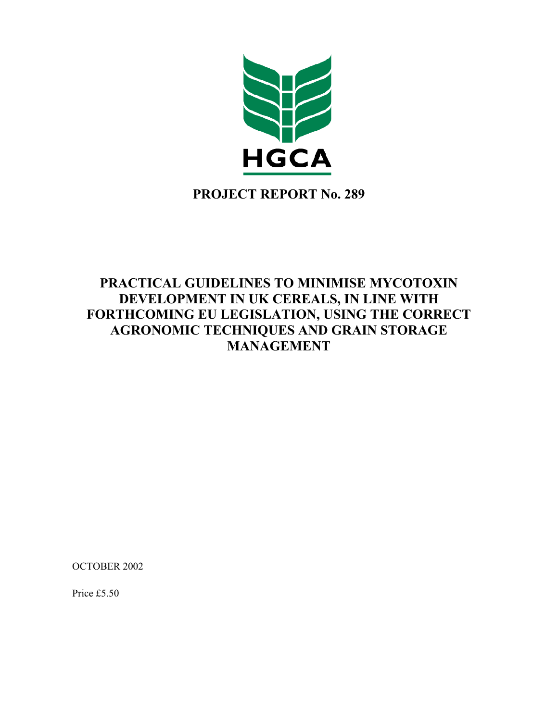

**PROJECT REPORT No. 289** 

# **PRACTICAL GUIDELINES TO MINIMISE MYCOTOXIN DEVELOPMENT IN UK CEREALS, IN LINE WITH FORTHCOMING EU LEGISLATION, USING THE CORRECT AGRONOMIC TECHNIQUES AND GRAIN STORAGE MANAGEMENT**

OCTOBER 2002

Price £5.50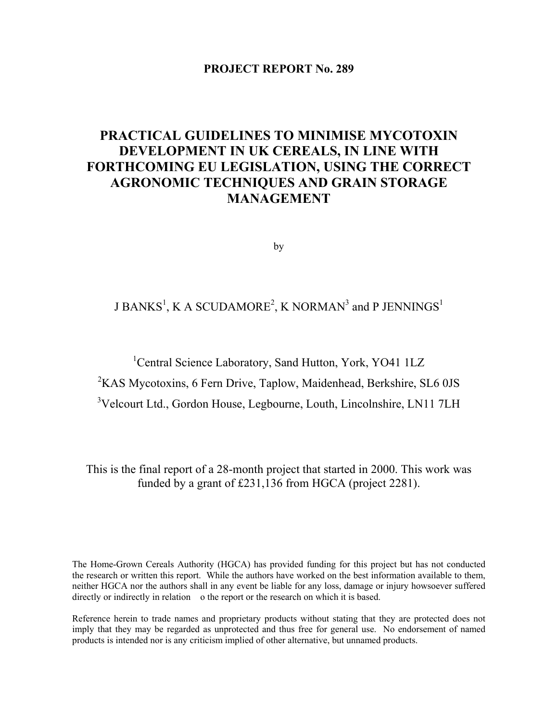## **PROJECT REPORT No. 289**

# **PRACTICAL GUIDELINES TO MINIMISE MYCOTOXIN DEVELOPMENT IN UK CEREALS, IN LINE WITH FORTHCOMING EU LEGISLATION, USING THE CORRECT AGRONOMIC TECHNIQUES AND GRAIN STORAGE MANAGEMENT**

by

# J BANKS $^1$ , K A SCUDAMORE $^2$ , K NORMAN $^3$  and P JENNINGS $^1$

<sup>1</sup>Central Science Laboratory, Sand Hutton, York, YO41 1LZ

<sup>2</sup>KAS Mycotoxins, 6 Fern Drive, Taplow, Maidenhead, Berkshire, SL6 0JS

<sup>3</sup>Velcourt Ltd., Gordon House, Legbourne, Louth, Lincolnshire, LN11 7LH

This is the final report of a 28-month project that started in 2000. This work was funded by a grant of £231,136 from HGCA (project 2281).

The Home-Grown Cereals Authority (HGCA) has provided funding for this project but has not conducted the research or written this report. While the authors have worked on the best information available to them, neither HGCA nor the authors shall in any event be liable for any loss, damage or injury howsoever suffered directly or indirectly in relation o the report or the research on which it is based.

Reference herein to trade names and proprietary products without stating that they are protected does not imply that they may be regarded as unprotected and thus free for general use. No endorsement of named products is intended nor is any criticism implied of other alternative, but unnamed products.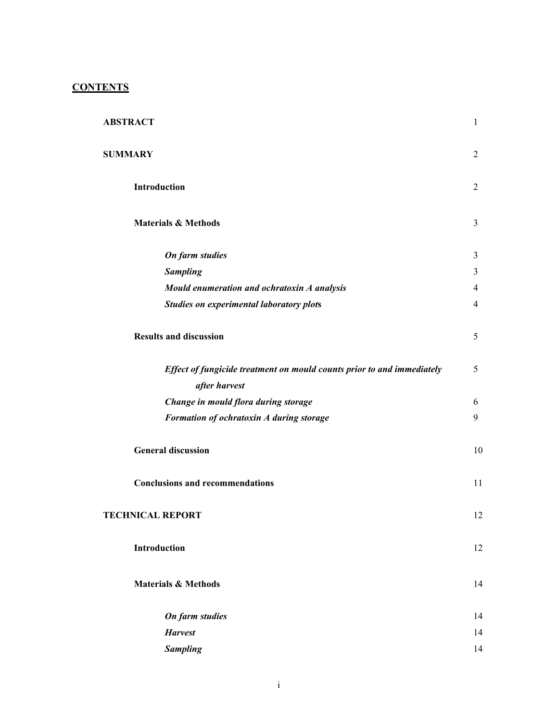## **CONTENTS**

| <b>ABSTRACT</b>                                                        | $\mathbf{1}$   |
|------------------------------------------------------------------------|----------------|
| <b>SUMMARY</b>                                                         | $\overline{2}$ |
| Introduction                                                           | $\overline{2}$ |
| <b>Materials &amp; Methods</b>                                         | $\mathfrak{Z}$ |
| On farm studies                                                        | 3              |
| <b>Sampling</b>                                                        | 3              |
| Mould enumeration and ochratoxin A analysis                            | $\overline{4}$ |
| <b>Studies on experimental laboratory plots</b>                        | $\overline{4}$ |
| <b>Results and discussion</b>                                          | 5              |
| Effect of fungicide treatment on mould counts prior to and immediately | 5              |
| after harvest                                                          |                |
| Change in mould flora during storage                                   | 6              |
| Formation of ochratoxin A during storage                               | 9              |
| <b>General discussion</b>                                              | 10             |
| <b>Conclusions and recommendations</b>                                 | 11             |
| <b>TECHNICAL REPORT</b>                                                | 12             |
| Introduction                                                           | 12             |
| <b>Materials &amp; Methods</b>                                         | 14             |
| <b>On farm studies</b>                                                 | 14             |
| <b>Harvest</b>                                                         | 14             |
| <b>Sampling</b>                                                        | 14             |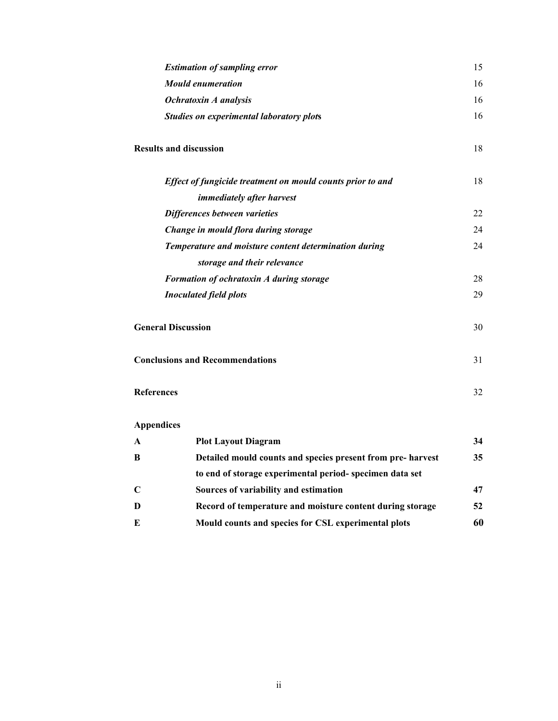|                               | <b>Estimation of sampling error</b>                         | 15 |
|-------------------------------|-------------------------------------------------------------|----|
| <b>Mould enumeration</b>      |                                                             | 16 |
|                               | Ochratoxin A analysis                                       | 16 |
|                               | <b>Studies on experimental laboratory plots</b>             | 16 |
| <b>Results and discussion</b> |                                                             | 18 |
|                               | Effect of fungicide treatment on mould counts prior to and  | 18 |
|                               | immediately after harvest                                   |    |
|                               | Differences between varieties                               | 22 |
|                               | Change in mould flora during storage                        | 24 |
|                               | Temperature and moisture content determination during       | 24 |
|                               | storage and their relevance                                 |    |
|                               | Formation of ochratoxin A during storage                    | 28 |
|                               | <b>Inoculated field plots</b>                               | 29 |
| <b>General Discussion</b>     |                                                             | 30 |
|                               | <b>Conclusions and Recommendations</b>                      | 31 |
| <b>References</b>             |                                                             | 32 |
| <b>Appendices</b>             |                                                             |    |
| $\mathbf{A}$                  | <b>Plot Layout Diagram</b>                                  | 34 |
| B                             | Detailed mould counts and species present from pre- harvest | 35 |
|                               |                                                             |    |

|             | Detailed mould counts and species present from pre- narvest | JJ. |
|-------------|-------------------------------------------------------------|-----|
|             | to end of storage experimental period-specimen data set     |     |
| $\mathbf C$ | Sources of variability and estimation                       | 47  |
| D           | Record of temperature and moisture content during storage   | 52  |
| E           | Mould counts and species for CSL experimental plots         | 60  |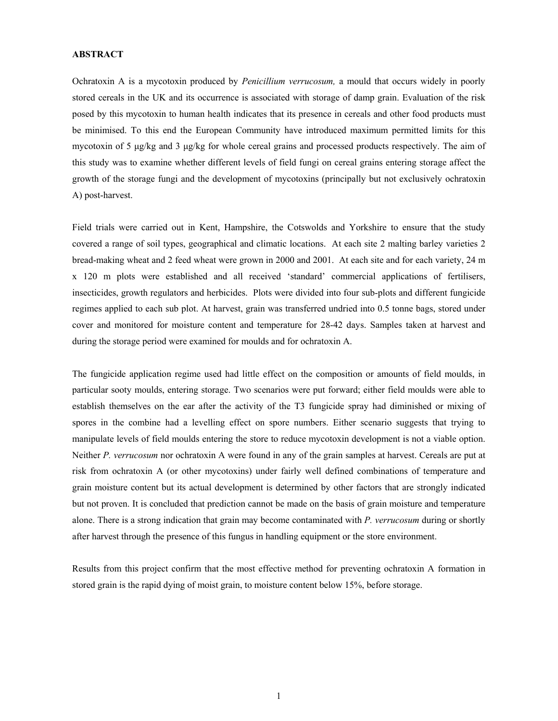#### **ABSTRACT**

Ochratoxin A is a mycotoxin produced by *Penicillium verrucosum,* a mould that occurs widely in poorly stored cereals in the UK and its occurrence is associated with storage of damp grain. Evaluation of the risk posed by this mycotoxin to human health indicates that its presence in cereals and other food products must be minimised. To this end the European Community have introduced maximum permitted limits for this mycotoxin of 5 µg/kg and 3 µg/kg for whole cereal grains and processed products respectively. The aim of this study was to examine whether different levels of field fungi on cereal grains entering storage affect the growth of the storage fungi and the development of mycotoxins (principally but not exclusively ochratoxin A) post-harvest.

Field trials were carried out in Kent, Hampshire, the Cotswolds and Yorkshire to ensure that the study covered a range of soil types, geographical and climatic locations. At each site 2 malting barley varieties 2 bread-making wheat and 2 feed wheat were grown in 2000 and 2001. At each site and for each variety, 24 m x 120 m plots were established and all received 'standard' commercial applications of fertilisers, insecticides, growth regulators and herbicides. Plots were divided into four sub-plots and different fungicide regimes applied to each sub plot. At harvest, grain was transferred undried into 0.5 tonne bags, stored under cover and monitored for moisture content and temperature for 28-42 days. Samples taken at harvest and during the storage period were examined for moulds and for ochratoxin A.

The fungicide application regime used had little effect on the composition or amounts of field moulds, in particular sooty moulds, entering storage. Two scenarios were put forward; either field moulds were able to establish themselves on the ear after the activity of the T3 fungicide spray had diminished or mixing of spores in the combine had a levelling effect on spore numbers. Either scenario suggests that trying to manipulate levels of field moulds entering the store to reduce mycotoxin development is not a viable option. Neither *P. verrucosum* nor ochratoxin A were found in any of the grain samples at harvest. Cereals are put at risk from ochratoxin A (or other mycotoxins) under fairly well defined combinations of temperature and grain moisture content but its actual development is determined by other factors that are strongly indicated but not proven. It is concluded that prediction cannot be made on the basis of grain moisture and temperature alone. There is a strong indication that grain may become contaminated with *P. verrucosum* during or shortly after harvest through the presence of this fungus in handling equipment or the store environment.

Results from this project confirm that the most effective method for preventing ochratoxin A formation in stored grain is the rapid dying of moist grain, to moisture content below 15%, before storage.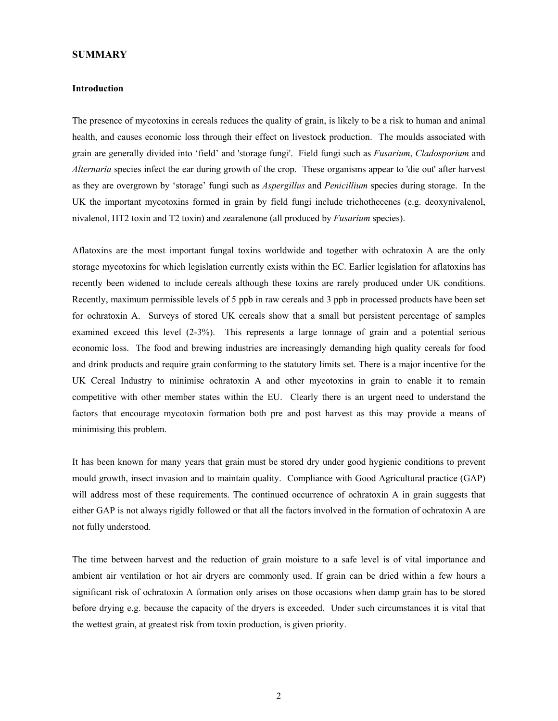#### **SUMMARY**

#### **Introduction**

The presence of mycotoxins in cereals reduces the quality of grain, is likely to be a risk to human and animal health, and causes economic loss through their effect on livestock production. The moulds associated with grain are generally divided into 'field' and 'storage fungi'. Field fungi such as *Fusarium*, *Cladosporium* and *Alternaria* species infect the ear during growth of the crop. These organisms appear to 'die out' after harvest as they are overgrown by 'storage' fungi such as *Aspergillus* and *Penicillium* species during storage. In the UK the important mycotoxins formed in grain by field fungi include trichothecenes (e.g. deoxynivalenol, nivalenol, HT2 toxin and T2 toxin) and zearalenone (all produced by *Fusarium* species).

Aflatoxins are the most important fungal toxins worldwide and together with ochratoxin A are the only storage mycotoxins for which legislation currently exists within the EC. Earlier legislation for aflatoxins has recently been widened to include cereals although these toxins are rarely produced under UK conditions. Recently, maximum permissible levels of 5 ppb in raw cereals and 3 ppb in processed products have been set for ochratoxin A. Surveys of stored UK cereals show that a small but persistent percentage of samples examined exceed this level (2-3%). This represents a large tonnage of grain and a potential serious economic loss. The food and brewing industries are increasingly demanding high quality cereals for food and drink products and require grain conforming to the statutory limits set. There is a major incentive for the UK Cereal Industry to minimise ochratoxin A and other mycotoxins in grain to enable it to remain competitive with other member states within the EU. Clearly there is an urgent need to understand the factors that encourage mycotoxin formation both pre and post harvest as this may provide a means of minimising this problem.

It has been known for many years that grain must be stored dry under good hygienic conditions to prevent mould growth, insect invasion and to maintain quality. Compliance with Good Agricultural practice (GAP) will address most of these requirements. The continued occurrence of ochratoxin A in grain suggests that either GAP is not always rigidly followed or that all the factors involved in the formation of ochratoxin A are not fully understood.

The time between harvest and the reduction of grain moisture to a safe level is of vital importance and ambient air ventilation or hot air dryers are commonly used. If grain can be dried within a few hours a significant risk of ochratoxin A formation only arises on those occasions when damp grain has to be stored before drying e.g. because the capacity of the dryers is exceeded. Under such circumstances it is vital that the wettest grain, at greatest risk from toxin production, is given priority.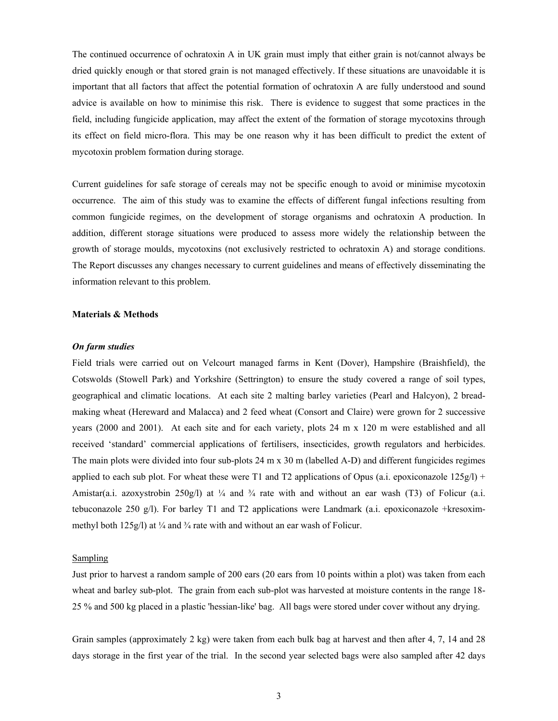The continued occurrence of ochratoxin A in UK grain must imply that either grain is not/cannot always be dried quickly enough or that stored grain is not managed effectively. If these situations are unavoidable it is important that all factors that affect the potential formation of ochratoxin A are fully understood and sound advice is available on how to minimise this risk. There is evidence to suggest that some practices in the field, including fungicide application, may affect the extent of the formation of storage mycotoxins through its effect on field micro-flora. This may be one reason why it has been difficult to predict the extent of mycotoxin problem formation during storage.

Current guidelines for safe storage of cereals may not be specific enough to avoid or minimise mycotoxin occurrence. The aim of this study was to examine the effects of different fungal infections resulting from common fungicide regimes, on the development of storage organisms and ochratoxin A production. In addition, different storage situations were produced to assess more widely the relationship between the growth of storage moulds, mycotoxins (not exclusively restricted to ochratoxin A) and storage conditions. The Report discusses any changes necessary to current guidelines and means of effectively disseminating the information relevant to this problem.

#### **Materials & Methods**

#### *On farm studies*

Field trials were carried out on Velcourt managed farms in Kent (Dover), Hampshire (Braishfield), the Cotswolds (Stowell Park) and Yorkshire (Settrington) to ensure the study covered a range of soil types, geographical and climatic locations. At each site 2 malting barley varieties (Pearl and Halcyon), 2 breadmaking wheat (Hereward and Malacca) and 2 feed wheat (Consort and Claire) were grown for 2 successive years (2000 and 2001). At each site and for each variety, plots 24 m x 120 m were established and all received 'standard' commercial applications of fertilisers, insecticides, growth regulators and herbicides. The main plots were divided into four sub-plots 24 m x 30 m (labelled A-D) and different fungicides regimes applied to each sub plot. For wheat these were T1 and T2 applications of Opus (a.i. epoxiconazole  $125g/l$ ) + Amistar(a.i. azoxystrobin 250g/l) at  $\frac{1}{4}$  and  $\frac{3}{4}$  rate with and without an ear wash (T3) of Folicur (a.i. tebuconazole 250 g/l). For barley T1 and T2 applications were Landmark (a.i. epoxiconazole +kresoximmethyl both  $125g/l$ ) at ¼ and ¼ rate with and without an ear wash of Folicur.

#### **Sampling**

Just prior to harvest a random sample of 200 ears (20 ears from 10 points within a plot) was taken from each wheat and barley sub-plot. The grain from each sub-plot was harvested at moisture contents in the range 18- 25 % and 500 kg placed in a plastic 'hessian-like' bag. All bags were stored under cover without any drying.

Grain samples (approximately 2 kg) were taken from each bulk bag at harvest and then after 4, 7, 14 and 28 days storage in the first year of the trial. In the second year selected bags were also sampled after 42 days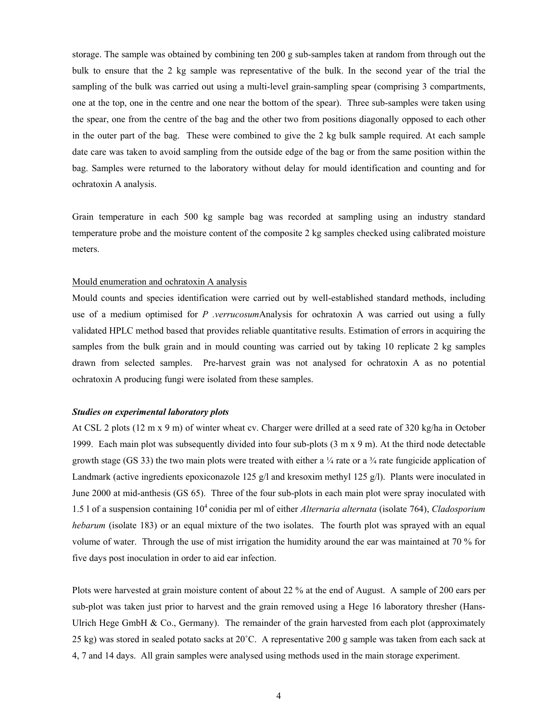storage. The sample was obtained by combining ten 200 g sub-samples taken at random from through out the bulk to ensure that the 2 kg sample was representative of the bulk. In the second year of the trial the sampling of the bulk was carried out using a multi-level grain-sampling spear (comprising 3 compartments, one at the top, one in the centre and one near the bottom of the spear). Three sub-samples were taken using the spear, one from the centre of the bag and the other two from positions diagonally opposed to each other in the outer part of the bag. These were combined to give the 2 kg bulk sample required. At each sample date care was taken to avoid sampling from the outside edge of the bag or from the same position within the bag. Samples were returned to the laboratory without delay for mould identification and counting and for ochratoxin A analysis.

Grain temperature in each 500 kg sample bag was recorded at sampling using an industry standard temperature probe and the moisture content of the composite 2 kg samples checked using calibrated moisture meters.

#### Mould enumeration and ochratoxin A analysis

Mould counts and species identification were carried out by well-established standard methods, including use of a medium optimised for *P .verrucosum*Analysis for ochratoxin A was carried out using a fully validated HPLC method based that provides reliable quantitative results. Estimation of errors in acquiring the samples from the bulk grain and in mould counting was carried out by taking 10 replicate 2 kg samples drawn from selected samples. Pre-harvest grain was not analysed for ochratoxin A as no potential ochratoxin A producing fungi were isolated from these samples.

#### *Studies on experimental laboratory plots*

At CSL 2 plots (12 m x 9 m) of winter wheat cv. Charger were drilled at a seed rate of 320 kg/ha in October 1999. Each main plot was subsequently divided into four sub-plots (3 m x 9 m). At the third node detectable growth stage (GS 33) the two main plots were treated with either a  $\frac{1}{4}$  rate or a  $\frac{3}{4}$  rate fungicide application of Landmark (active ingredients epoxiconazole 125  $g/l$  and kresoxim methyl 125  $g/l$ ). Plants were inoculated in June 2000 at mid-anthesis (GS 65). Three of the four sub-plots in each main plot were spray inoculated with 1.5 l of a suspension containing 104 conidia per ml of either *Alternaria alternata* (isolate 764), *Cladosporium hebarum* (isolate 183) or an equal mixture of the two isolates. The fourth plot was sprayed with an equal volume of water. Through the use of mist irrigation the humidity around the ear was maintained at 70 % for five days post inoculation in order to aid ear infection.

Plots were harvested at grain moisture content of about 22 % at the end of August. A sample of 200 ears per sub-plot was taken just prior to harvest and the grain removed using a Hege 16 laboratory thresher (Hans-Ulrich Hege GmbH  $\&$  Co., Germany). The remainder of the grain harvested from each plot (approximately 25 kg) was stored in sealed potato sacks at 20˚C. A representative 200 g sample was taken from each sack at 4, 7 and 14 days. All grain samples were analysed using methods used in the main storage experiment.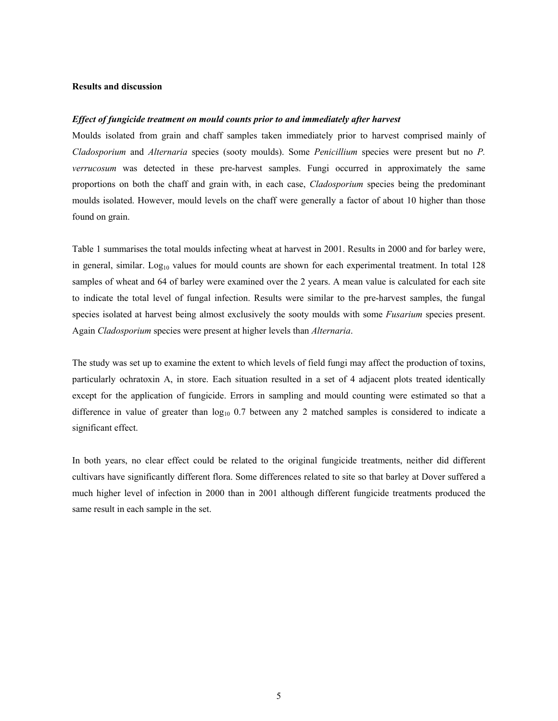#### **Results and discussion**

#### *Effect of fungicide treatment on mould counts prior to and immediately after harvest*

Moulds isolated from grain and chaff samples taken immediately prior to harvest comprised mainly of *Cladosporium* and *Alternaria* species (sooty moulds). Some *Penicillium* species were present but no *P. verrucosum* was detected in these pre-harvest samples. Fungi occurred in approximately the same proportions on both the chaff and grain with, in each case, *Cladosporium* species being the predominant moulds isolated. However, mould levels on the chaff were generally a factor of about 10 higher than those found on grain.

Table 1 summarises the total moulds infecting wheat at harvest in 2001. Results in 2000 and for barley were, in general, similar.  $Log_{10}$  values for mould counts are shown for each experimental treatment. In total 128 samples of wheat and 64 of barley were examined over the 2 years. A mean value is calculated for each site to indicate the total level of fungal infection. Results were similar to the pre-harvest samples, the fungal species isolated at harvest being almost exclusively the sooty moulds with some *Fusarium* species present. Again *Cladosporium* species were present at higher levels than *Alternaria*.

The study was set up to examine the extent to which levels of field fungi may affect the production of toxins, particularly ochratoxin A, in store. Each situation resulted in a set of 4 adjacent plots treated identically except for the application of fungicide. Errors in sampling and mould counting were estimated so that a difference in value of greater than  $log_{10}$  0.7 between any 2 matched samples is considered to indicate a significant effect.

In both years, no clear effect could be related to the original fungicide treatments, neither did different cultivars have significantly different flora. Some differences related to site so that barley at Dover suffered a much higher level of infection in 2000 than in 2001 although different fungicide treatments produced the same result in each sample in the set.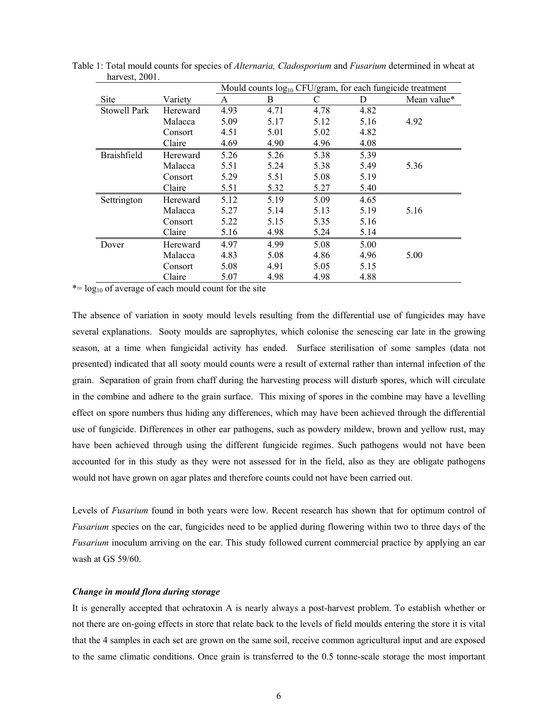|                     |          |      |      |      |      | Mould counts $log_{10}$ CFU/gram, for each fungicide treatment |
|---------------------|----------|------|------|------|------|----------------------------------------------------------------|
| Site                | Variety  | A    | B    | C    | D    | Mean value*                                                    |
| <b>Stowell Park</b> | Hereward | 4.93 | 4.71 | 4.78 | 4.82 |                                                                |
|                     | Malacca  | 5.09 | 5.17 | 5.12 | 5.16 | 4.92                                                           |
|                     | Consort  | 4.51 | 5.01 | 5.02 | 4.82 |                                                                |
|                     | Claire   | 4.69 | 4.90 | 4.96 | 4.08 |                                                                |
| Braishfield         | Hereward | 5.26 | 5.26 | 5.38 | 5.39 |                                                                |
|                     | Malacca  | 5.51 | 5.24 | 5.38 | 5.49 | 5.36                                                           |
|                     | Consort  | 5.29 | 5.51 | 5.08 | 5.19 |                                                                |
|                     | Claire   | 5.51 | 5.32 | 5.27 | 5.40 |                                                                |
| Settrington         | Hereward | 5.12 | 5.19 | 5.09 | 4.65 |                                                                |
|                     | Malacca  | 5.27 | 5.14 | 5.13 | 5.19 | 5.16                                                           |
|                     | Consort  | 5.22 | 5.15 | 5.35 | 5.16 |                                                                |
|                     | Claire   | 5.16 | 4.98 | 5.24 | 5.14 |                                                                |
| Dover               | Hereward | 4.97 | 4.99 | 5.08 | 5.00 |                                                                |
|                     | Malacca  | 4.83 | 5.08 | 4.86 | 4.96 | 5.00                                                           |
|                     | Consort  | 5.08 | 4.91 | 5.05 | 5.15 |                                                                |
|                     | Claire   | 5.07 | 4.98 | 4.98 | 4.88 |                                                                |

Table 1: Total mould counts for species of *Alternaria, Cladosporium* and *Fusarium* determined in wheat at harvest, 2001.

 $*$ = log<sub>10</sub> of average of each mould count for the site

The absence of variation in sooty mould levels resulting from the differential use of fungicides may have several explanations. Sooty moulds are saprophytes, which colonise the senescing ear late in the growing season, at a time when fungicidal activity has ended. Surface sterilisation of some samples (data not presented) indicated that all sooty mould counts were a result of external rather than internal infection of the grain. Separation of grain from chaff during the harvesting process will disturb spores, which will circulate in the combine and adhere to the grain surface. This mixing of spores in the combine may have a levelling effect on spore numbers thus hiding any differences, which may have been achieved through the differential use of fungicide. Differences in other ear pathogens, such as powdery mildew, brown and yellow rust, may have been achieved through using the different fungicide regimes. Such pathogens would not have been accounted for in this study as they were not assessed for in the field, also as they are obligate pathogens would not have grown on agar plates and therefore counts could not have been carried out.

Levels of *Fusarium* found in both years were low. Recent research has shown that for optimum control of *Fusarium* species on the ear, fungicides need to be applied during flowering within two to three days of the *Fusarium* inoculum arriving on the ear. This study followed current commercial practice by applying an ear wash at GS 59/60.

### *Change in mould flora during storage*

It is generally accepted that ochratoxin A is nearly always a post-harvest problem. To establish whether or not there are on-going effects in store that relate back to the levels of field moulds entering the store it is vital that the 4 samples in each set are grown on the same soil, receive common agricultural input and are exposed to the same climatic conditions. Once grain is transferred to the 0.5 tonne-scale storage the most important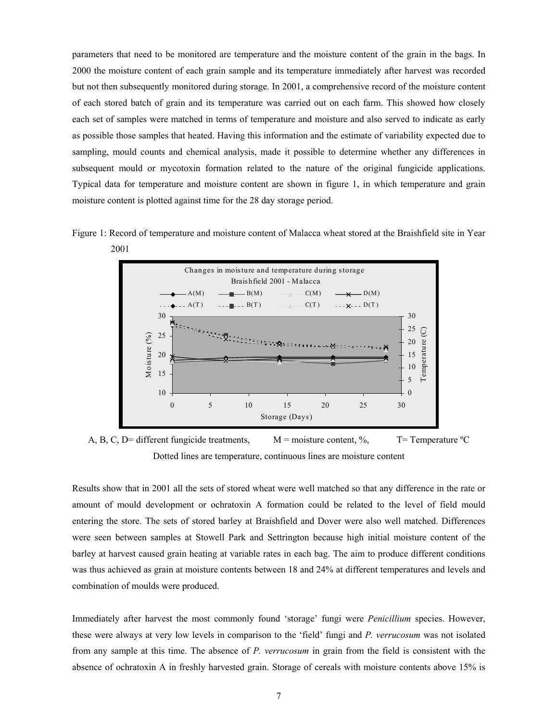parameters that need to be monitored are temperature and the moisture content of the grain in the bags. In 2000 the moisture content of each grain sample and its temperature immediately after harvest was recorded but not then subsequently monitored during storage. In 2001, a comprehensive record of the moisture content of each stored batch of grain and its temperature was carried out on each farm. This showed how closely each set of samples were matched in terms of temperature and moisture and also served to indicate as early as possible those samples that heated. Having this information and the estimate of variability expected due to sampling, mould counts and chemical analysis, made it possible to determine whether any differences in subsequent mould or mycotoxin formation related to the nature of the original fungicide applications. Typical data for temperature and moisture content are shown in figure 1, in which temperature and grain moisture content is plotted against time for the 28 day storage period.





A, B, C, D= different fungicide treatments,  $M =$  moisture content, %, T= Temperature °C Dotted lines are temperature, continuous lines are moisture content

Results show that in 2001 all the sets of stored wheat were well matched so that any difference in the rate or amount of mould development or ochratoxin A formation could be related to the level of field mould entering the store. The sets of stored barley at Braishfield and Dover were also well matched. Differences were seen between samples at Stowell Park and Settrington because high initial moisture content of the barley at harvest caused grain heating at variable rates in each bag. The aim to produce different conditions was thus achieved as grain at moisture contents between 18 and 24% at different temperatures and levels and combination of moulds were produced.

Immediately after harvest the most commonly found 'storage' fungi were *Penicillium* species. However, these were always at very low levels in comparison to the 'field' fungi and *P. verrucosum* was not isolated from any sample at this time. The absence of *P. verrucosum* in grain from the field is consistent with the absence of ochratoxin A in freshly harvested grain. Storage of cereals with moisture contents above 15% is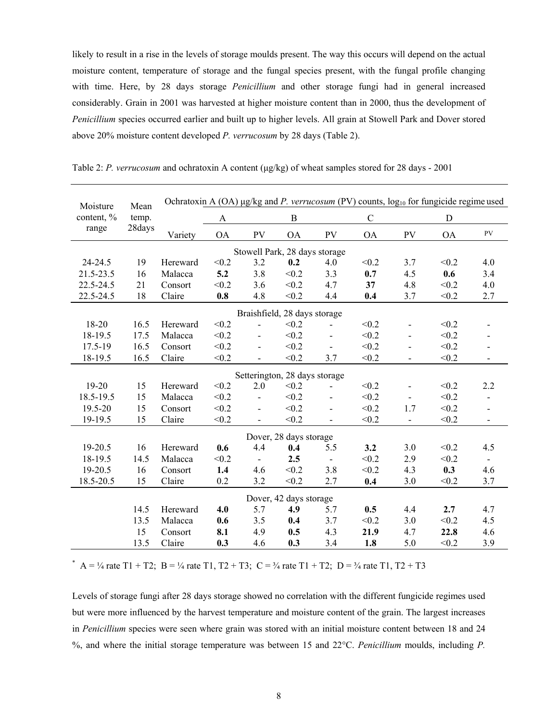likely to result in a rise in the levels of storage moulds present. The way this occurs will depend on the actual moisture content, temperature of storage and the fungal species present, with the fungal profile changing with time. Here, by 28 days storage *Penicillium* and other storage fungi had in general increased considerably. Grain in 2001 was harvested at higher moisture content than in 2000, thus the development of *Penicillium* species occurred earlier and built up to higher levels. All grain at Stowell Park and Dover stored above 20% moisture content developed *P. verrucosum* by 28 days (Table 2).

| Moisture   | Mean   |          |           |                          |                               |                          |             |                          | Ochratoxin A (OA) $\mu$ g/kg and P. verrucosum (PV) counts, $\log_{10}$ for fungicide regime used |                          |
|------------|--------|----------|-----------|--------------------------|-------------------------------|--------------------------|-------------|--------------------------|---------------------------------------------------------------------------------------------------|--------------------------|
| content, % | temp.  |          | A         |                          | $\, {\bf B}$                  |                          | $\mathbf C$ |                          | D                                                                                                 |                          |
| range      | 28days | Variety  | <b>OA</b> | PV                       | <b>OA</b>                     | PV                       | <b>OA</b>   | PV                       | <b>OA</b>                                                                                         | PV                       |
|            |        |          |           |                          | Stowell Park, 28 days storage |                          |             |                          |                                                                                                   |                          |
| 24-24.5    | 19     | Hereward | < 0.2     | 3.2                      | 0.2                           | 4.0                      | < 0.2       | 3.7                      | < 0.2                                                                                             | 4.0                      |
| 21.5-23.5  | 16     | Malacca  | 5.2       | 3.8                      | < 0.2                         | 3.3                      | 0.7         | 4.5                      | 0.6                                                                                               | 3.4                      |
| 22.5-24.5  | 21     | Consort  | < 0.2     | 3.6                      | < 0.2                         | 4.7                      | 37          | 4.8                      | < 0.2                                                                                             | 4.0                      |
| 22.5-24.5  | 18     | Claire   | 0.8       | 4.8                      | < 0.2                         | 4.4                      | 0.4         | 3.7                      | < 0.2                                                                                             | 2.7                      |
|            |        |          |           |                          | Braishfield, 28 days storage  |                          |             |                          |                                                                                                   |                          |
| 18-20      | 16.5   | Hereward | < 0.2     |                          | < 0.2                         |                          | < 0.2       |                          | < 0.2                                                                                             |                          |
| 18-19.5    | 17.5   | Malacca  | < 0.2     |                          | < 0.2                         |                          | < 0.2       |                          | < 0.2                                                                                             |                          |
| 17.5-19    | 16.5   | Consort  | < 0.2     | $\overline{\phantom{0}}$ | < 0.2                         | $\overline{\phantom{a}}$ | < 0.2       |                          | < 0.2                                                                                             | $\blacksquare$           |
| 18-19.5    | 16.5   | Claire   | < 0.2     |                          | < 0.2                         | 3.7                      | < 0.2       | $\overline{\phantom{0}}$ | < 0.2                                                                                             |                          |
|            |        |          |           |                          | Setterington, 28 days storage |                          |             |                          |                                                                                                   |                          |
| 19-20      | 15     | Hereward | < 0.2     | 2.0                      | < 0.2                         |                          | < 0.2       |                          | < 0.2                                                                                             | 2.2                      |
| 18.5-19.5  | 15     | Malacca  | < 0.2     | $\overline{\phantom{a}}$ | < 0.2                         | $\blacksquare$           | < 0.2       |                          | < 0.2                                                                                             | $\overline{\phantom{a}}$ |
| 19.5-20    | 15     | Consort  | < 0.2     |                          | < 0.2                         |                          | < 0.2       | 1.7                      | < 0.2                                                                                             | $\overline{\phantom{a}}$ |
| 19-19.5    | 15     | Claire   | < 0.2     | $\overline{\phantom{a}}$ | < 0.2                         |                          | < 0.2       | $\overline{\phantom{a}}$ | < 0.2                                                                                             | $\overline{\phantom{a}}$ |
|            |        |          |           |                          | Dover, 28 days storage        |                          |             |                          |                                                                                                   |                          |
| 19-20.5    | 16     | Hereward | 0.6       | 4.4                      | 0.4                           | 5.5                      | 3.2         | 3.0                      | < 0.2                                                                                             | 4.5                      |
| 18-19.5    | 14.5   | Malacca  | < 0.2     | $\overline{\phantom{a}}$ | 2.5                           | $\overline{\phantom{0}}$ | < 0.2       | 2.9                      | < 0.2                                                                                             | $\overline{\phantom{a}}$ |
| 19-20.5    | 16     | Consort  | 1.4       | 4.6                      | < 0.2                         | 3.8                      | < 0.2       | 4.3                      | 0.3                                                                                               | 4.6                      |
| 18.5-20.5  | 15     | Claire   | 0.2       | 3.2                      | < 0.2                         | 2.7                      | 0.4         | 3.0                      | < 0.2                                                                                             | 3.7                      |
|            |        |          |           |                          | Dover, 42 days storage        |                          |             |                          |                                                                                                   |                          |
|            | 14.5   | Hereward | 4.0       | 5.7                      | 4.9                           | 5.7                      | 0.5         | 4.4                      | 2.7                                                                                               | 4.7                      |
|            | 13.5   | Malacca  | 0.6       | 3.5                      | 0.4                           | 3.7                      | < 0.2       | 3.0                      | < 0.2                                                                                             | 4.5                      |
|            | 15     | Consort  | 8.1       | 4.9                      | 0.5                           | 4.3                      | 21.9        | 4.7                      | 22.8                                                                                              | 4.6                      |
|            | 13.5   | Claire   | 0.3       | 4.6                      | 0.3                           | 3.4                      | 1.8         | 5.0                      | < 0.2                                                                                             | 3.9                      |

Table 2: *P. verrucosum* and ochratoxin A content ( $\mu$ g/kg) of wheat samples stored for 28 days - 2001

\* A =  $\frac{1}{4}$  rate T1 + T2; B =  $\frac{1}{4}$  rate T1, T2 + T3; C =  $\frac{3}{4}$  rate T1 + T2; D =  $\frac{3}{4}$  rate T1, T2 + T3

Levels of storage fungi after 28 days storage showed no correlation with the different fungicide regimes used but were more influenced by the harvest temperature and moisture content of the grain. The largest increases in *Penicillium* species were seen where grain was stored with an initial moisture content between 18 and 24 %, and where the initial storage temperature was between 15 and 22°C. *Penicillium* moulds, including *P.*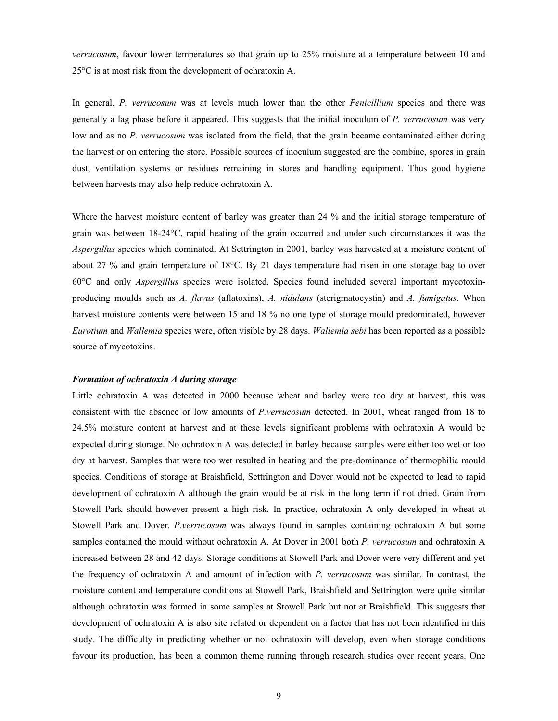*verrucosum*, favour lower temperatures so that grain up to 25% moisture at a temperature between 10 and 25°C is at most risk from the development of ochratoxin A.

In general, *P. verrucosum* was at levels much lower than the other *Penicillium* species and there was generally a lag phase before it appeared. This suggests that the initial inoculum of *P. verrucosum* was very low and as no *P. verrucosum* was isolated from the field, that the grain became contaminated either during the harvest or on entering the store. Possible sources of inoculum suggested are the combine, spores in grain dust, ventilation systems or residues remaining in stores and handling equipment. Thus good hygiene between harvests may also help reduce ochratoxin A.

Where the harvest moisture content of barley was greater than 24 % and the initial storage temperature of grain was between 18-24°C, rapid heating of the grain occurred and under such circumstances it was the *Aspergillus* species which dominated. At Settrington in 2001, barley was harvested at a moisture content of about 27 % and grain temperature of 18°C. By 21 days temperature had risen in one storage bag to over 60°C and only *Aspergillus* species were isolated. Species found included several important mycotoxinproducing moulds such as *A. flavus* (aflatoxins), *A. nidulans* (sterigmatocystin) and *A. fumigatus*. When harvest moisture contents were between 15 and 18 % no one type of storage mould predominated, however *Eurotium* and *Wallemia* species were, often visible by 28 days. *Wallemia sebi* has been reported as a possible source of mycotoxins.

#### *Formation of ochratoxin A during storage*

Little ochratoxin A was detected in 2000 because wheat and barley were too dry at harvest, this was consistent with the absence or low amounts of *P.verrucosum* detected. In 2001, wheat ranged from 18 to 24.5% moisture content at harvest and at these levels significant problems with ochratoxin A would be expected during storage. No ochratoxin A was detected in barley because samples were either too wet or too dry at harvest. Samples that were too wet resulted in heating and the pre-dominance of thermophilic mould species. Conditions of storage at Braishfield, Settrington and Dover would not be expected to lead to rapid development of ochratoxin A although the grain would be at risk in the long term if not dried. Grain from Stowell Park should however present a high risk. In practice, ochratoxin A only developed in wheat at Stowell Park and Dover. *P.verrucosum* was always found in samples containing ochratoxin A but some samples contained the mould without ochratoxin A. At Dover in 2001 both *P. verrucosum* and ochratoxin A increased between 28 and 42 days. Storage conditions at Stowell Park and Dover were very different and yet the frequency of ochratoxin A and amount of infection with *P. verrucosum* was similar. In contrast, the moisture content and temperature conditions at Stowell Park, Braishfield and Settrington were quite similar although ochratoxin was formed in some samples at Stowell Park but not at Braishfield. This suggests that development of ochratoxin A is also site related or dependent on a factor that has not been identified in this study. The difficulty in predicting whether or not ochratoxin will develop, even when storage conditions favour its production, has been a common theme running through research studies over recent years. One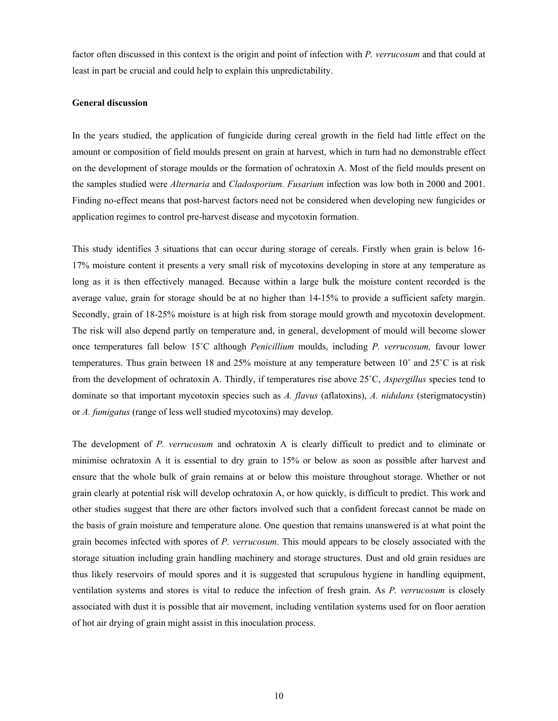factor often discussed in this context is the origin and point of infection with *P. verrucosum* and that could at least in part be crucial and could help to explain this unpredictability.

#### **General discussion**

In the years studied, the application of fungicide during cereal growth in the field had little effect on the amount or composition of field moulds present on grain at harvest, which in turn had no demonstrable effect on the development of storage moulds or the formation of ochratoxin A. Most of the field moulds present on the samples studied were *Alternaria* and *Cladosporium. Fusarium* infection was low both in 2000 and 2001. Finding no-effect means that post-harvest factors need not be considered when developing new fungicides or application regimes to control pre-harvest disease and mycotoxin formation.

This study identifies 3 situations that can occur during storage of cereals. Firstly when grain is below 16- 17% moisture content it presents a very small risk of mycotoxins developing in store at any temperature as long as it is then effectively managed. Because within a large bulk the moisture content recorded is the average value, grain for storage should be at no higher than 14-15% to provide a sufficient safety margin. Secondly, grain of 18-25% moisture is at high risk from storage mould growth and mycotoxin development. The risk will also depend partly on temperature and, in general, development of mould will become slower once temperatures fall below 15˚C although *Penicillium* moulds, including *P. verrucosum,* favour lower temperatures. Thus grain between 18 and 25% moisture at any temperature between 10˚ and 25˚C is at risk from the development of ochratoxin A. Thirdly, if temperatures rise above 25˚C, *Aspergillus* species tend to dominate so that important mycotoxin species such as *A. flavus* (aflatoxins), *A. nidulans* (sterigmatocystin) or *A. fumigatus* (range of less well studied mycotoxins) may develop.

The development of *P. verrucosum* and ochratoxin A is clearly difficult to predict and to eliminate or minimise ochratoxin A it is essential to dry grain to 15% or below as soon as possible after harvest and ensure that the whole bulk of grain remains at or below this moisture throughout storage. Whether or not grain clearly at potential risk will develop ochratoxin A, or how quickly, is difficult to predict. This work and other studies suggest that there are other factors involved such that a confident forecast cannot be made on the basis of grain moisture and temperature alone. One question that remains unanswered is at what point the grain becomes infected with spores of *P. verrucosum*. This mould appears to be closely associated with the storage situation including grain handling machinery and storage structures. Dust and old grain residues are thus likely reservoirs of mould spores and it is suggested that scrupulous hygiene in handling equipment, ventilation systems and stores is vital to reduce the infection of fresh grain. As *P. verrucosum* is closely associated with dust it is possible that air movement, including ventilation systems used for on floor aeration of hot air drying of grain might assist in this inoculation process.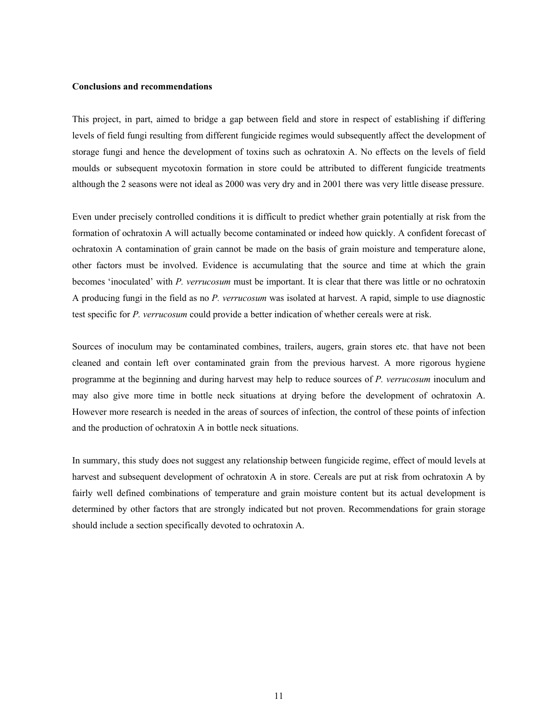#### **Conclusions and recommendations**

This project, in part, aimed to bridge a gap between field and store in respect of establishing if differing levels of field fungi resulting from different fungicide regimes would subsequently affect the development of storage fungi and hence the development of toxins such as ochratoxin A. No effects on the levels of field moulds or subsequent mycotoxin formation in store could be attributed to different fungicide treatments although the 2 seasons were not ideal as 2000 was very dry and in 2001 there was very little disease pressure.

Even under precisely controlled conditions it is difficult to predict whether grain potentially at risk from the formation of ochratoxin A will actually become contaminated or indeed how quickly. A confident forecast of ochratoxin A contamination of grain cannot be made on the basis of grain moisture and temperature alone, other factors must be involved. Evidence is accumulating that the source and time at which the grain becomes 'inoculated' with *P. verrucosum* must be important. It is clear that there was little or no ochratoxin A producing fungi in the field as no *P. verrucosum* was isolated at harvest. A rapid, simple to use diagnostic test specific for *P. verrucosum* could provide a better indication of whether cereals were at risk.

Sources of inoculum may be contaminated combines, trailers, augers, grain stores etc. that have not been cleaned and contain left over contaminated grain from the previous harvest. A more rigorous hygiene programme at the beginning and during harvest may help to reduce sources of *P. verrucosum* inoculum and may also give more time in bottle neck situations at drying before the development of ochratoxin A. However more research is needed in the areas of sources of infection, the control of these points of infection and the production of ochratoxin A in bottle neck situations.

In summary, this study does not suggest any relationship between fungicide regime, effect of mould levels at harvest and subsequent development of ochratoxin A in store. Cereals are put at risk from ochratoxin A by fairly well defined combinations of temperature and grain moisture content but its actual development is determined by other factors that are strongly indicated but not proven. Recommendations for grain storage should include a section specifically devoted to ochratoxin A.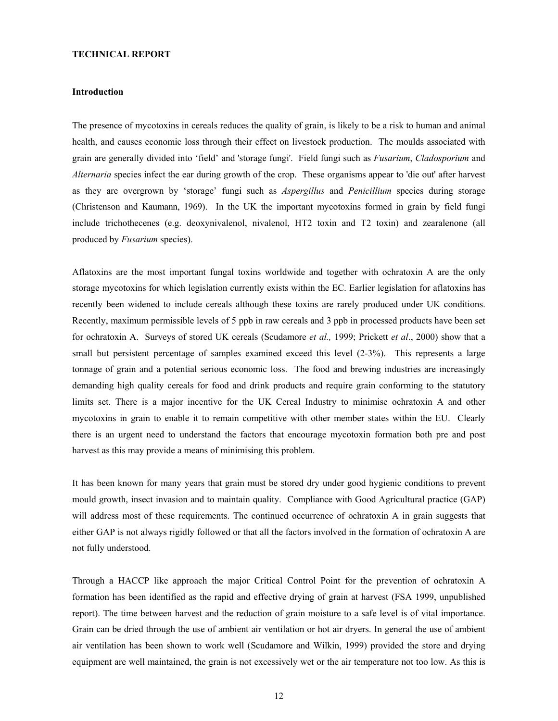#### **TECHNICAL REPORT**

#### **Introduction**

The presence of mycotoxins in cereals reduces the quality of grain, is likely to be a risk to human and animal health, and causes economic loss through their effect on livestock production. The moulds associated with grain are generally divided into 'field' and 'storage fungi'. Field fungi such as *Fusarium*, *Cladosporium* and *Alternaria* species infect the ear during growth of the crop. These organisms appear to 'die out' after harvest as they are overgrown by 'storage' fungi such as *Aspergillus* and *Penicillium* species during storage (Christenson and Kaumann, 1969). In the UK the important mycotoxins formed in grain by field fungi include trichothecenes (e.g. deoxynivalenol, nivalenol, HT2 toxin and T2 toxin) and zearalenone (all produced by *Fusarium* species).

Aflatoxins are the most important fungal toxins worldwide and together with ochratoxin A are the only storage mycotoxins for which legislation currently exists within the EC. Earlier legislation for aflatoxins has recently been widened to include cereals although these toxins are rarely produced under UK conditions. Recently, maximum permissible levels of 5 ppb in raw cereals and 3 ppb in processed products have been set for ochratoxin A. Surveys of stored UK cereals (Scudamore *et al.,* 1999; Prickett *et al*., 2000) show that a small but persistent percentage of samples examined exceed this level (2-3%). This represents a large tonnage of grain and a potential serious economic loss. The food and brewing industries are increasingly demanding high quality cereals for food and drink products and require grain conforming to the statutory limits set. There is a major incentive for the UK Cereal Industry to minimise ochratoxin A and other mycotoxins in grain to enable it to remain competitive with other member states within the EU. Clearly there is an urgent need to understand the factors that encourage mycotoxin formation both pre and post harvest as this may provide a means of minimising this problem.

It has been known for many years that grain must be stored dry under good hygienic conditions to prevent mould growth, insect invasion and to maintain quality. Compliance with Good Agricultural practice (GAP) will address most of these requirements. The continued occurrence of ochratoxin A in grain suggests that either GAP is not always rigidly followed or that all the factors involved in the formation of ochratoxin A are not fully understood.

Through a HACCP like approach the major Critical Control Point for the prevention of ochratoxin A formation has been identified as the rapid and effective drying of grain at harvest (FSA 1999, unpublished report). The time between harvest and the reduction of grain moisture to a safe level is of vital importance. Grain can be dried through the use of ambient air ventilation or hot air dryers. In general the use of ambient air ventilation has been shown to work well (Scudamore and Wilkin, 1999) provided the store and drying equipment are well maintained, the grain is not excessively wet or the air temperature not too low. As this is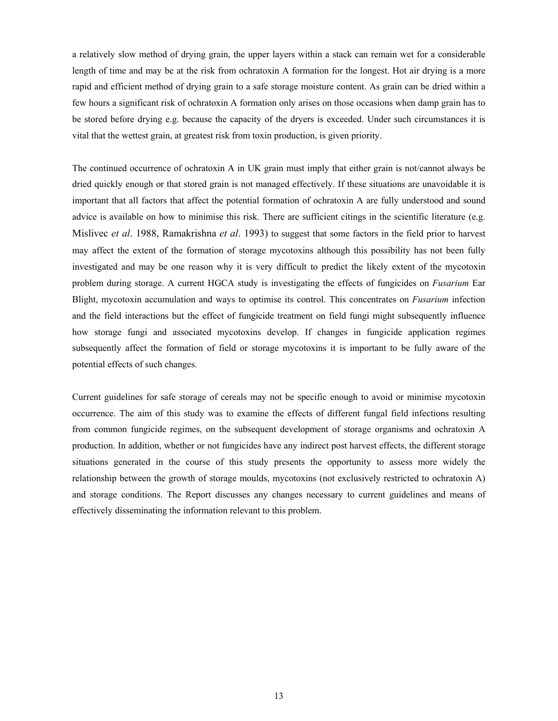a relatively slow method of drying grain, the upper layers within a stack can remain wet for a considerable length of time and may be at the risk from ochratoxin A formation for the longest. Hot air drying is a more rapid and efficient method of drying grain to a safe storage moisture content. As grain can be dried within a few hours a significant risk of ochratoxin A formation only arises on those occasions when damp grain has to be stored before drying e.g. because the capacity of the dryers is exceeded. Under such circumstances it is vital that the wettest grain, at greatest risk from toxin production, is given priority.

The continued occurrence of ochratoxin A in UK grain must imply that either grain is not/cannot always be dried quickly enough or that stored grain is not managed effectively. If these situations are unavoidable it is important that all factors that affect the potential formation of ochratoxin A are fully understood and sound advice is available on how to minimise this risk. There are sufficient citings in the scientific literature (e.g. Mislivec *et al*. 1988, Ramakrishna *et al*. 1993) to suggest that some factors in the field prior to harvest may affect the extent of the formation of storage mycotoxins although this possibility has not been fully investigated and may be one reason why it is very difficult to predict the likely extent of the mycotoxin problem during storage. A current HGCA study is investigating the effects of fungicides on *Fusarium* Ear Blight, mycotoxin accumulation and ways to optimise its control. This concentrates on *Fusarium* infection and the field interactions but the effect of fungicide treatment on field fungi might subsequently influence how storage fungi and associated mycotoxins develop. If changes in fungicide application regimes subsequently affect the formation of field or storage mycotoxins it is important to be fully aware of the potential effects of such changes.

Current guidelines for safe storage of cereals may not be specific enough to avoid or minimise mycotoxin occurrence. The aim of this study was to examine the effects of different fungal field infections resulting from common fungicide regimes, on the subsequent development of storage organisms and ochratoxin A production. In addition, whether or not fungicides have any indirect post harvest effects, the different storage situations generated in the course of this study presents the opportunity to assess more widely the relationship between the growth of storage moulds, mycotoxins (not exclusively restricted to ochratoxin A) and storage conditions. The Report discusses any changes necessary to current guidelines and means of effectively disseminating the information relevant to this problem.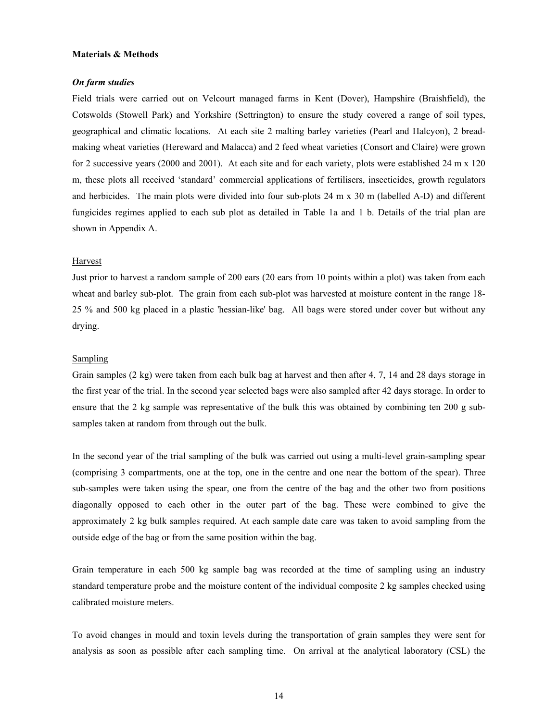#### **Materials & Methods**

#### *On farm studies*

Field trials were carried out on Velcourt managed farms in Kent (Dover), Hampshire (Braishfield), the Cotswolds (Stowell Park) and Yorkshire (Settrington) to ensure the study covered a range of soil types, geographical and climatic locations. At each site 2 malting barley varieties (Pearl and Halcyon), 2 breadmaking wheat varieties (Hereward and Malacca) and 2 feed wheat varieties (Consort and Claire) were grown for 2 successive years (2000 and 2001). At each site and for each variety, plots were established 24 m x 120 m, these plots all received 'standard' commercial applications of fertilisers, insecticides, growth regulators and herbicides. The main plots were divided into four sub-plots 24 m x 30 m (labelled A-D) and different fungicides regimes applied to each sub plot as detailed in Table 1a and 1 b. Details of the trial plan are shown in Appendix A.

#### Harvest

Just prior to harvest a random sample of 200 ears (20 ears from 10 points within a plot) was taken from each wheat and barley sub-plot. The grain from each sub-plot was harvested at moisture content in the range 18- 25 % and 500 kg placed in a plastic 'hessian-like' bag. All bags were stored under cover but without any drying.

#### Sampling

Grain samples (2 kg) were taken from each bulk bag at harvest and then after 4, 7, 14 and 28 days storage in the first year of the trial. In the second year selected bags were also sampled after 42 days storage. In order to ensure that the 2 kg sample was representative of the bulk this was obtained by combining ten 200 g subsamples taken at random from through out the bulk.

In the second year of the trial sampling of the bulk was carried out using a multi-level grain-sampling spear (comprising 3 compartments, one at the top, one in the centre and one near the bottom of the spear). Three sub-samples were taken using the spear, one from the centre of the bag and the other two from positions diagonally opposed to each other in the outer part of the bag. These were combined to give the approximately 2 kg bulk samples required. At each sample date care was taken to avoid sampling from the outside edge of the bag or from the same position within the bag.

Grain temperature in each 500 kg sample bag was recorded at the time of sampling using an industry standard temperature probe and the moisture content of the individual composite 2 kg samples checked using calibrated moisture meters.

To avoid changes in mould and toxin levels during the transportation of grain samples they were sent for analysis as soon as possible after each sampling time. On arrival at the analytical laboratory (CSL) the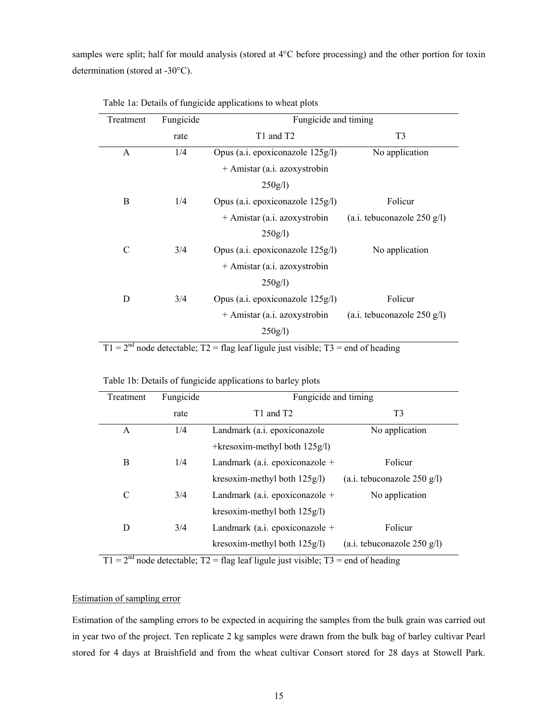samples were split; half for mould analysis (stored at 4°C before processing) and the other portion for toxin determination (stored at -30°C).

| Fungicide<br>Treatment |      | Fungicide and timing             |                               |
|------------------------|------|----------------------------------|-------------------------------|
|                        | rate | T1 and T2                        | T <sub>3</sub>                |
| A                      | 1/4  | Opus (a.i. epoxiconazole 125g/l) | No application                |
|                        |      | + Amistar (a.i. azoxystrobin     |                               |
|                        |      | 250g/l                           |                               |
| B                      | 1/4  | Opus (a.i. epoxiconazole 125g/l) | Folicur                       |
|                        |      | + Amistar (a.i. azoxystrobin     | $(a.i.$ tebuconazole 250 g/l) |
|                        |      | 250g/l                           |                               |
| $\mathcal{C}$          | 3/4  | Opus (a.i. epoxiconazole 125g/l) | No application                |
|                        |      | + Amistar (a.i. azoxystrobin     |                               |
|                        |      | 250g/l                           |                               |
| D                      | 3/4  | Opus (a.i. epoxiconazole 125g/l) | Folicur                       |
|                        |      | + Amistar (a.i. azoxystrobin     | (a.i. tebuconazole $250$ g/l) |
|                        |      | $250g/l$ )                       |                               |

Table 1a: Details of fungicide applications to wheat plots

 $T1 = 2<sup>nd</sup>$  node detectable;  $T2 = flag$  leaf ligule just visible;  $T3 = end$  of heading

| Treatment | Fungicide | Fungicide and timing                 |                               |  |  |
|-----------|-----------|--------------------------------------|-------------------------------|--|--|
|           | rate      | T <sub>1</sub> and T <sub>2</sub>    | T <sub>3</sub>                |  |  |
| A         | 1/4       | Landmark (a.i. epoxiconazole         | No application                |  |  |
|           |           | $+k$ resoxim-methyl both 125 $g$ /l) |                               |  |  |
| B         | 1/4       | Landmark (a.i. epoxiconazole $+$     | Folicur                       |  |  |
|           |           | kresoxim-methyl both $125g/l$ )      | (a.i. tebuconazole $250$ g/l) |  |  |
| C         | 3/4       | Landmark (a.i. epoxiconazole $+$     | No application                |  |  |
|           |           | kresoxim-methyl both $125g/l$ )      |                               |  |  |
| D         | 3/4       | Landmark (a.i. epoxiconazole $+$     | Folicur                       |  |  |
|           |           | kresoxim-methyl both $125g/l$ )      | $(a.i.$ tebuconazole 250 g/l) |  |  |

Table 1b: Details of fungicide applications to barley plots

 $T1 = 2<sup>nd</sup>$  node detectable;  $T2 = flag$  leaf ligule just visible;  $T3 = end$  of heading

#### Estimation of sampling error

Estimation of the sampling errors to be expected in acquiring the samples from the bulk grain was carried out in year two of the project. Ten replicate 2 kg samples were drawn from the bulk bag of barley cultivar Pearl stored for 4 days at Braishfield and from the wheat cultivar Consort stored for 28 days at Stowell Park.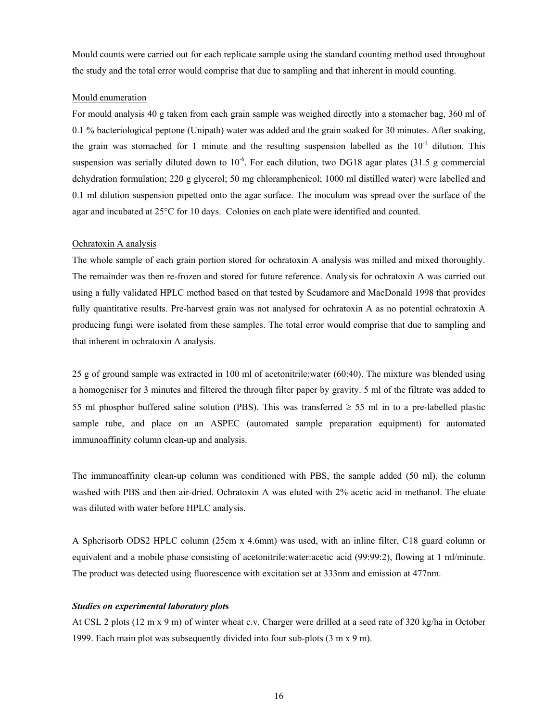Mould counts were carried out for each replicate sample using the standard counting method used throughout the study and the total error would comprise that due to sampling and that inherent in mould counting.

#### Mould enumeration

For mould analysis 40 g taken from each grain sample was weighed directly into a stomacher bag, 360 ml of 0.1 % bacteriological peptone (Unipath) water was added and the grain soaked for 30 minutes. After soaking, the grain was stomached for 1 minute and the resulting suspension labelled as the  $10^{-1}$  dilution. This suspension was serially diluted down to  $10^{-6}$ . For each dilution, two DG18 agar plates (31.5 g commercial dehydration formulation; 220 g glycerol; 50 mg chloramphenicol; 1000 ml distilled water) were labelled and 0.1 ml dilution suspension pipetted onto the agar surface. The inoculum was spread over the surface of the agar and incubated at 25°C for 10 days. Colonies on each plate were identified and counted.

#### Ochratoxin A analysis

The whole sample of each grain portion stored for ochratoxin A analysis was milled and mixed thoroughly. The remainder was then re-frozen and stored for future reference. Analysis for ochratoxin A was carried out using a fully validated HPLC method based on that tested by Scudamore and MacDonald 1998 that provides fully quantitative results. Pre-harvest grain was not analysed for ochratoxin A as no potential ochratoxin A producing fungi were isolated from these samples. The total error would comprise that due to sampling and that inherent in ochratoxin A analysis.

25 g of ground sample was extracted in 100 ml of acetonitrile:water (60:40). The mixture was blended using a homogeniser for 3 minutes and filtered the through filter paper by gravity. 5 ml of the filtrate was added to 55 ml phosphor buffered saline solution (PBS). This was transferred  $\geq$  55 ml in to a pre-labelled plastic sample tube, and place on an ASPEC (automated sample preparation equipment) for automated immunoaffinity column clean-up and analysis.

The immunoaffinity clean-up column was conditioned with PBS, the sample added (50 ml), the column washed with PBS and then air-dried. Ochratoxin A was eluted with 2% acetic acid in methanol. The eluate was diluted with water before HPLC analysis.

A Spherisorb ODS2 HPLC column (25cm x 4.6mm) was used, with an inline filter, C18 guard column or equivalent and a mobile phase consisting of acetonitrile:water:acetic acid (99:99:2), flowing at 1 ml/minute. The product was detected using fluorescence with excitation set at 333nm and emission at 477nm.

### *Studies on experimental laboratory plot***s**

At CSL 2 plots (12 m x 9 m) of winter wheat c.v. Charger were drilled at a seed rate of 320 kg/ha in October 1999. Each main plot was subsequently divided into four sub-plots (3 m x 9 m).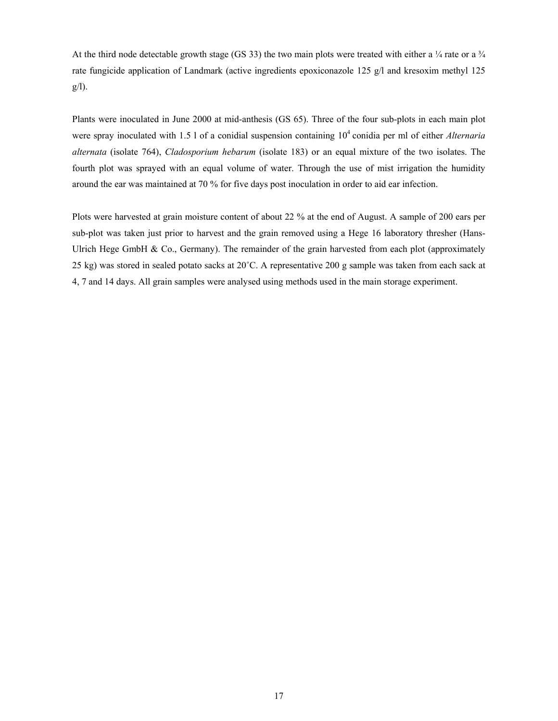At the third node detectable growth stage (GS 33) the two main plots were treated with either a  $\frac{1}{4}$  rate or a  $\frac{3}{4}$ rate fungicide application of Landmark (active ingredients epoxiconazole 125 g/l and kresoxim methyl 125 g/l).

Plants were inoculated in June 2000 at mid-anthesis (GS 65). Three of the four sub-plots in each main plot were spray inoculated with 1.5 l of a conidial suspension containing 10<sup>4</sup> conidia per ml of either *Alternaria alternata* (isolate 764), *Cladosporium hebarum* (isolate 183) or an equal mixture of the two isolates. The fourth plot was sprayed with an equal volume of water. Through the use of mist irrigation the humidity around the ear was maintained at 70 % for five days post inoculation in order to aid ear infection.

Plots were harvested at grain moisture content of about 22 % at the end of August. A sample of 200 ears per sub-plot was taken just prior to harvest and the grain removed using a Hege 16 laboratory thresher (Hans-Ulrich Hege GmbH  $\&$  Co., Germany). The remainder of the grain harvested from each plot (approximately 25 kg) was stored in sealed potato sacks at 20˚C. A representative 200 g sample was taken from each sack at 4, 7 and 14 days. All grain samples were analysed using methods used in the main storage experiment.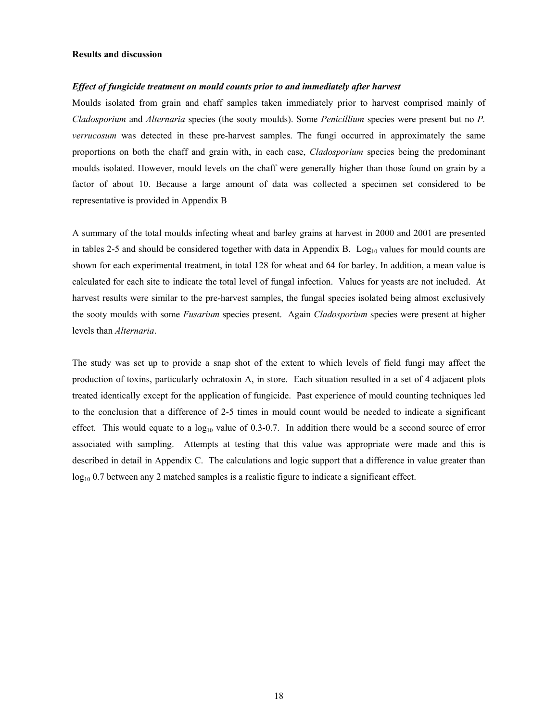#### **Results and discussion**

#### *Effect of fungicide treatment on mould counts prior to and immediately after harvest*

Moulds isolated from grain and chaff samples taken immediately prior to harvest comprised mainly of *Cladosporium* and *Alternaria* species (the sooty moulds). Some *Penicillium* species were present but no *P. verrucosum* was detected in these pre-harvest samples. The fungi occurred in approximately the same proportions on both the chaff and grain with, in each case, *Cladosporium* species being the predominant moulds isolated. However, mould levels on the chaff were generally higher than those found on grain by a factor of about 10. Because a large amount of data was collected a specimen set considered to be representative is provided in Appendix B

A summary of the total moulds infecting wheat and barley grains at harvest in 2000 and 2001 are presented in tables 2-5 and should be considered together with data in Appendix B.  $Log_{10}$  values for mould counts are shown for each experimental treatment, in total 128 for wheat and 64 for barley. In addition, a mean value is calculated for each site to indicate the total level of fungal infection. Values for yeasts are not included. At harvest results were similar to the pre-harvest samples, the fungal species isolated being almost exclusively the sooty moulds with some *Fusarium* species present. Again *Cladosporium* species were present at higher levels than *Alternaria*.

The study was set up to provide a snap shot of the extent to which levels of field fungi may affect the production of toxins, particularly ochratoxin A, in store. Each situation resulted in a set of 4 adjacent plots treated identically except for the application of fungicide. Past experience of mould counting techniques led to the conclusion that a difference of 2-5 times in mould count would be needed to indicate a significant effect. This would equate to a  $log_{10}$  value of 0.3-0.7. In addition there would be a second source of error associated with sampling. Attempts at testing that this value was appropriate were made and this is described in detail in Appendix C. The calculations and logic support that a difference in value greater than  $log_{10}$  0.7 between any 2 matched samples is a realistic figure to indicate a significant effect.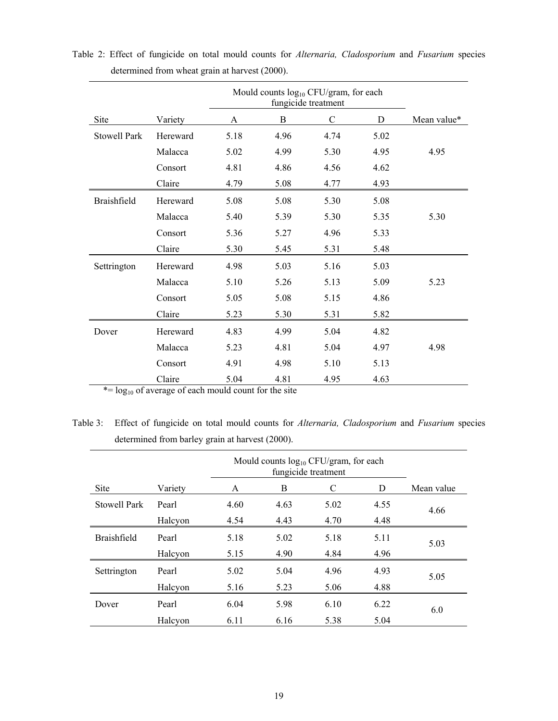|                     |          |      | Mould counts log <sub>10</sub> CFU/gram, for each<br>fungicide treatment |               |      |             |  |  |  |
|---------------------|----------|------|--------------------------------------------------------------------------|---------------|------|-------------|--|--|--|
| Site                | Variety  | A    | B                                                                        | $\mathcal{C}$ | D    | Mean value* |  |  |  |
| <b>Stowell Park</b> | Hereward | 5.18 | 4.96                                                                     | 4.74          | 5.02 |             |  |  |  |
|                     | Malacca  | 5.02 | 4.99                                                                     | 5.30          | 4.95 | 4.95        |  |  |  |
|                     | Consort  | 4.81 | 4.86                                                                     | 4.56          | 4.62 |             |  |  |  |
|                     | Claire   | 4.79 | 5.08                                                                     | 4.77          | 4.93 |             |  |  |  |
| Braishfield         | Hereward | 5.08 | 5.08                                                                     | 5.30          | 5.08 |             |  |  |  |
|                     | Malacca  | 5.40 | 5.39                                                                     | 5.30          | 5.35 | 5.30        |  |  |  |
|                     | Consort  | 5.36 | 5.27                                                                     | 4.96          | 5.33 |             |  |  |  |
|                     | Claire   | 5.30 | 5.45                                                                     | 5.31          | 5.48 |             |  |  |  |
| Settrington         | Hereward | 4.98 | 5.03                                                                     | 5.16          | 5.03 |             |  |  |  |
|                     | Malacca  | 5.10 | 5.26                                                                     | 5.13          | 5.09 | 5.23        |  |  |  |
|                     | Consort  | 5.05 | 5.08                                                                     | 5.15          | 4.86 |             |  |  |  |
|                     | Claire   | 5.23 | 5.30                                                                     | 5.31          | 5.82 |             |  |  |  |
| Dover               | Hereward | 4.83 | 4.99                                                                     | 5.04          | 4.82 |             |  |  |  |
|                     | Malacca  | 5.23 | 4.81                                                                     | 5.04          | 4.97 | 4.98        |  |  |  |
|                     | Consort  | 4.91 | 4.98                                                                     | 5.10          | 5.13 |             |  |  |  |
|                     | Claire   | 5.04 | 4.81                                                                     | 4.95          | 4.63 |             |  |  |  |

Table 2: Effect of fungicide on total mould counts for *Alternaria, Cladosporium* and *Fusarium* species determined from wheat grain at harvest (2000).

 $* = log_{10}$  of average of each mould count for the site

Table 3: Effect of fungicide on total mould counts for *Alternaria, Cladosporium* and *Fusarium* species determined from barley grain at harvest (2000).

|                     |         |      | Mould counts $log_{10}$ CFU/gram, for each<br>fungicide treatment |      |      |            |  |  |  |
|---------------------|---------|------|-------------------------------------------------------------------|------|------|------------|--|--|--|
| Site                | Variety | A    | B                                                                 | C    | D    | Mean value |  |  |  |
| <b>Stowell Park</b> | Pearl   | 4.60 | 4.63                                                              | 5.02 | 4.55 | 4.66       |  |  |  |
|                     | Halcyon | 4.54 | 4.43                                                              | 4.70 | 4.48 |            |  |  |  |
| <b>Braishfield</b>  | Pearl   | 5.18 | 5.02                                                              | 5.18 | 5.11 | 5.03       |  |  |  |
|                     | Halcyon | 5.15 | 4.90                                                              | 4.84 | 4.96 |            |  |  |  |
| Settrington         | Pearl   | 5.02 | 5.04                                                              | 4.96 | 4.93 | 5.05       |  |  |  |
|                     | Halcyon | 5.16 | 5.23                                                              | 5.06 | 4.88 |            |  |  |  |
| Dover               | Pearl   | 6.04 | 5.98                                                              | 6.10 | 6.22 | 6.0        |  |  |  |
|                     | Halcyon | 6.11 | 6.16                                                              | 5.38 | 5.04 |            |  |  |  |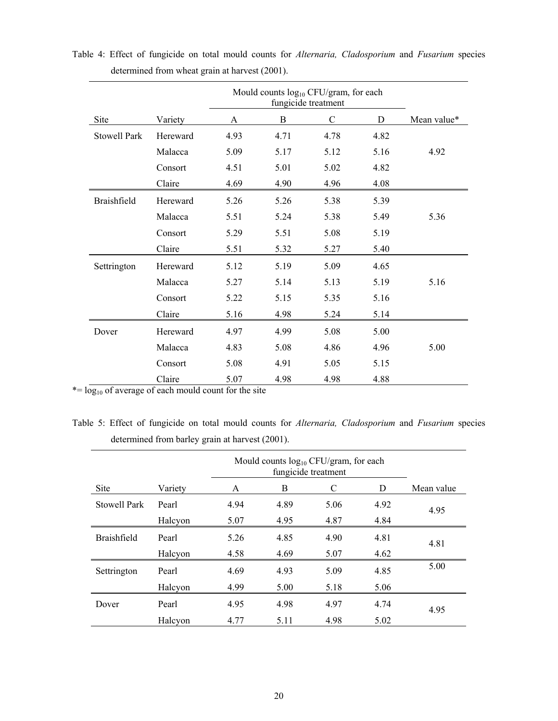|                     |          | Mould counts $log_{10}$ CFU/gram, for each |      |               |      |             |
|---------------------|----------|--------------------------------------------|------|---------------|------|-------------|
| Site                | Variety  | A                                          | B    | $\mathcal{C}$ | D    | Mean value* |
| <b>Stowell Park</b> | Hereward | 4.93                                       | 4.71 | 4.78          | 4.82 |             |
|                     | Malacca  | 5.09                                       | 5.17 | 5.12          | 5.16 | 4.92        |
|                     | Consort  | 4.51                                       | 5.01 | 5.02          | 4.82 |             |
|                     | Claire   | 4.69                                       | 4.90 | 4.96          | 4.08 |             |
| <b>Braishfield</b>  | Hereward | 5.26                                       | 5.26 | 5.38          | 5.39 |             |
|                     | Malacca  | 5.51                                       | 5.24 | 5.38          | 5.49 | 5.36        |
|                     | Consort  | 5.29                                       | 5.51 | 5.08          | 5.19 |             |
|                     | Claire   | 5.51                                       | 5.32 | 5.27          | 5.40 |             |
| Settrington         | Hereward | 5.12                                       | 5.19 | 5.09          | 4.65 |             |
|                     | Malacca  | 5.27                                       | 5.14 | 5.13          | 5.19 | 5.16        |
|                     | Consort  | 5.22                                       | 5.15 | 5.35          | 5.16 |             |
|                     | Claire   | 5.16                                       | 4.98 | 5.24          | 5.14 |             |
| Dover               | Hereward | 4.97                                       | 4.99 | 5.08          | 5.00 |             |
|                     | Malacca  | 4.83                                       | 5.08 | 4.86          | 4.96 | 5.00        |
|                     | Consort  | 5.08                                       | 4.91 | 5.05          | 5.15 |             |
|                     | Claire   | 5.07                                       | 4.98 | 4.98          | 4.88 |             |

Table 4: Effect of fungicide on total mould counts for *Alternaria, Cladosporium* and *Fusarium* species determined from wheat grain at harvest (2001).

 $* = log_{10}$  of average of each mould count for the site

Table 5: Effect of fungicide on total mould counts for *Alternaria, Cladosporium* and *Fusarium* species determined from barley grain at harvest (2001).

|                    |                             |      | Mould counts $log_{10}$ CFU/gram, for each<br>fungicide treatment |      |      |      |  |  |  |
|--------------------|-----------------------------|------|-------------------------------------------------------------------|------|------|------|--|--|--|
| Site               | B<br>D<br>Variety<br>C<br>A |      |                                                                   |      |      |      |  |  |  |
| Stowell Park       | Pearl                       | 4.94 | 4.89                                                              | 5.06 | 4.92 | 4.95 |  |  |  |
|                    | Halcyon                     | 5.07 | 4.95                                                              | 4.87 | 4.84 |      |  |  |  |
| <b>Braishfield</b> | Pearl                       | 5.26 | 4.85                                                              | 4.90 | 4.81 | 4.81 |  |  |  |
|                    | Halcyon                     | 4.58 | 4.69                                                              | 5.07 | 4.62 |      |  |  |  |
| Settrington        | Pearl                       | 4.69 | 4.93                                                              | 5.09 | 4.85 | 5.00 |  |  |  |
|                    | Halcyon                     | 4.99 | 5.00                                                              | 5.18 | 5.06 |      |  |  |  |
| Dover              | Pearl                       | 4.95 | 4.98                                                              | 4.97 | 4.74 | 4.95 |  |  |  |
|                    | Halcyon                     | 4.77 | 5.11                                                              | 4.98 | 5.02 |      |  |  |  |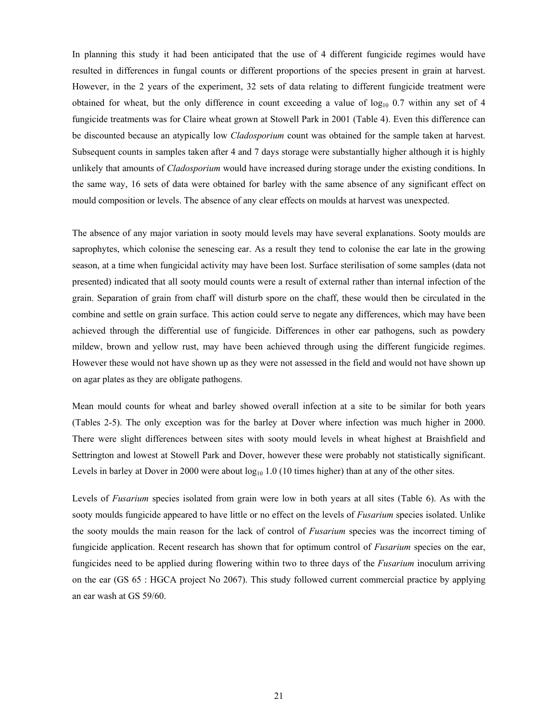In planning this study it had been anticipated that the use of 4 different fungicide regimes would have resulted in differences in fungal counts or different proportions of the species present in grain at harvest. However, in the 2 years of the experiment, 32 sets of data relating to different fungicide treatment were obtained for wheat, but the only difference in count exceeding a value of  $log_{10}$  0.7 within any set of 4 fungicide treatments was for Claire wheat grown at Stowell Park in 2001 (Table 4). Even this difference can be discounted because an atypically low *Cladosporium* count was obtained for the sample taken at harvest. Subsequent counts in samples taken after 4 and 7 days storage were substantially higher although it is highly unlikely that amounts of *Cladosporium* would have increased during storage under the existing conditions. In the same way, 16 sets of data were obtained for barley with the same absence of any significant effect on mould composition or levels. The absence of any clear effects on moulds at harvest was unexpected.

The absence of any major variation in sooty mould levels may have several explanations. Sooty moulds are saprophytes, which colonise the senescing ear. As a result they tend to colonise the ear late in the growing season, at a time when fungicidal activity may have been lost. Surface sterilisation of some samples (data not presented) indicated that all sooty mould counts were a result of external rather than internal infection of the grain. Separation of grain from chaff will disturb spore on the chaff, these would then be circulated in the combine and settle on grain surface. This action could serve to negate any differences, which may have been achieved through the differential use of fungicide. Differences in other ear pathogens, such as powdery mildew, brown and yellow rust, may have been achieved through using the different fungicide regimes. However these would not have shown up as they were not assessed in the field and would not have shown up on agar plates as they are obligate pathogens.

Mean mould counts for wheat and barley showed overall infection at a site to be similar for both years (Tables 2-5). The only exception was for the barley at Dover where infection was much higher in 2000. There were slight differences between sites with sooty mould levels in wheat highest at Braishfield and Settrington and lowest at Stowell Park and Dover, however these were probably not statistically significant. Levels in barley at Dover in 2000 were about  $log_{10} 1.0$  (10 times higher) than at any of the other sites.

Levels of *Fusarium* species isolated from grain were low in both years at all sites (Table 6). As with the sooty moulds fungicide appeared to have little or no effect on the levels of *Fusarium* species isolated. Unlike the sooty moulds the main reason for the lack of control of *Fusarium* species was the incorrect timing of fungicide application. Recent research has shown that for optimum control of *Fusarium* species on the ear, fungicides need to be applied during flowering within two to three days of the *Fusarium* inoculum arriving on the ear (GS 65 : HGCA project No 2067). This study followed current commercial practice by applying an ear wash at GS 59/60.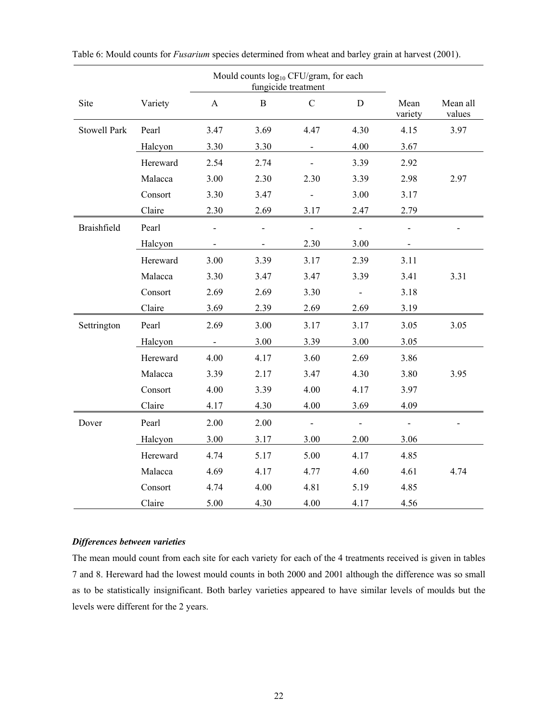| Mould counts log <sub>10</sub> CFU/gram, for each<br>fungicide treatment |          |                           |              |               |                   |                 |                    |
|--------------------------------------------------------------------------|----------|---------------------------|--------------|---------------|-------------------|-----------------|--------------------|
| Site                                                                     | Variety  | $\boldsymbol{\mathsf{A}}$ | $\, {\bf B}$ | $\mathcal{C}$ | ${\bf D}$         | Mean<br>variety | Mean all<br>values |
| <b>Stowell Park</b>                                                      | Pearl    | 3.47                      | 3.69         | 4.47          | 4.30              | 4.15            | 3.97               |
|                                                                          | Halcyon  | 3.30                      | 3.30         |               | 4.00              | 3.67            |                    |
|                                                                          | Hereward | 2.54                      | 2.74         |               | 3.39              | 2.92            |                    |
|                                                                          | Malacca  | 3.00                      | 2.30         | 2.30          | 3.39              | 2.98            | 2.97               |
|                                                                          | Consort  | 3.30                      | 3.47         |               | 3.00              | 3.17            |                    |
|                                                                          | Claire   | 2.30                      | 2.69         | 3.17          | 2.47              | 2.79            |                    |
| Braishfield                                                              | Pearl    |                           |              |               | $\overline{a}$    |                 |                    |
|                                                                          | Halcyon  |                           |              | 2.30          | 3.00              |                 |                    |
|                                                                          | Hereward | 3.00                      | 3.39         | 3.17          | 2.39              | 3.11            |                    |
|                                                                          | Malacca  | 3.30                      | 3.47         | 3.47          | 3.39              | 3.41            | 3.31               |
|                                                                          | Consort  | 2.69                      | 2.69         | 3.30          |                   | 3.18            |                    |
|                                                                          | Claire   | 3.69                      | 2.39         | 2.69          | 2.69              | 3.19            |                    |
| Settrington                                                              | Pearl    | 2.69                      | 3.00         | 3.17          | 3.17              | 3.05            | 3.05               |
|                                                                          | Halcyon  | $\overline{\phantom{a}}$  | 3.00         | 3.39          | 3.00              | 3.05            |                    |
|                                                                          | Hereward | 4.00                      | 4.17         | 3.60          | 2.69              | 3.86            |                    |
|                                                                          | Malacca  | 3.39                      | 2.17         | 3.47          | 4.30              | 3.80            | 3.95               |
|                                                                          | Consort  | 4.00                      | 3.39         | 4.00          | 4.17              | 3.97            |                    |
|                                                                          | Claire   | 4.17                      | 4.30         | 4.00          | 3.69              | 4.09            |                    |
| Dover                                                                    | Pearl    | 2.00                      | 2.00         | $\frac{1}{2}$ | $\qquad \qquad -$ |                 |                    |
|                                                                          | Halcyon  | 3.00                      | 3.17         | 3.00          | 2.00              | 3.06            |                    |
|                                                                          | Hereward | 4.74                      | 5.17         | 5.00          | 4.17              | 4.85            |                    |
|                                                                          | Malacca  | 4.69                      | 4.17         | 4.77          | 4.60              | 4.61            | 4.74               |
|                                                                          | Consort  | 4.74                      | 4.00         | 4.81          | 5.19              | 4.85            |                    |
|                                                                          | Claire   | 5.00                      | 4.30         | 4.00          | 4.17              | 4.56            |                    |

Table 6: Mould counts for *Fusarium* species determined from wheat and barley grain at harvest (2001).

### *Differences between varieties*

The mean mould count from each site for each variety for each of the 4 treatments received is given in tables 7 and 8. Hereward had the lowest mould counts in both 2000 and 2001 although the difference was so small as to be statistically insignificant. Both barley varieties appeared to have similar levels of moulds but the levels were different for the 2 years.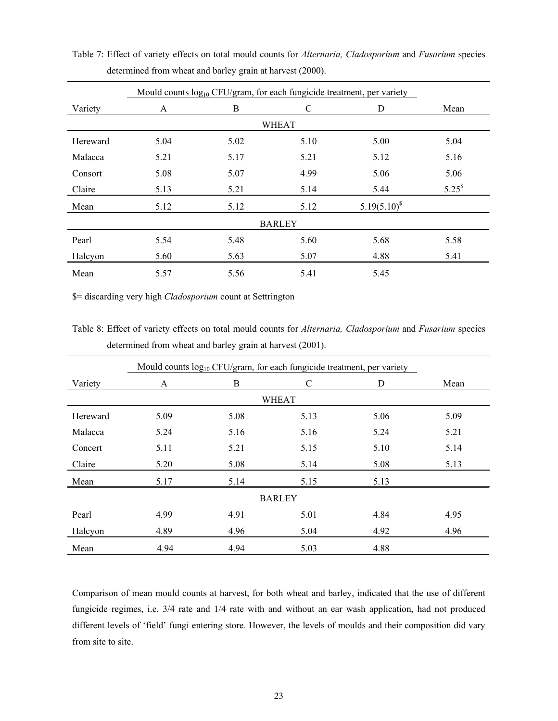|          |      | Mould counts log <sub>10</sub> CFU/gram, for each fungicide treatment, per variety |               |                  |             |
|----------|------|------------------------------------------------------------------------------------|---------------|------------------|-------------|
| Variety  | A    | B                                                                                  | C             | D                | Mean        |
|          |      |                                                                                    | <b>WHEAT</b>  |                  |             |
| Hereward | 5.04 |                                                                                    |               |                  |             |
| Malacca  | 5.21 | 5.17                                                                               | 5.21          | 5.12             | 5.16        |
| Consort  | 5.08 | 5.07                                                                               | 4.99          | 5.06             | 5.06        |
| Claire   | 5.13 | 5.21                                                                               | 5.14          | 5.44             | $5.25^{\$}$ |
| Mean     | 5.12 | 5.12                                                                               | 5.12          | $5.19(5.10)^{s}$ |             |
|          |      |                                                                                    | <b>BARLEY</b> |                  |             |
| Pearl    | 5.54 | 5.48                                                                               | 5.60          | 5.68             | 5.58        |
| Halcyon  | 5.60 | 5.63                                                                               | 5.07          | 4.88             | 5.41        |
| Mean     | 5.57 | 5.56                                                                               | 5.41          | 5.45             |             |

Table 7: Effect of variety effects on total mould counts for *Alternaria, Cladosporium* and *Fusarium* species determined from wheat and barley grain at harvest (2000).

\$= discarding very high *Cladosporium* count at Settrington

Table 8: Effect of variety effects on total mould counts for *Alternaria, Cladosporium* and *Fusarium* species determined from wheat and barley grain at harvest (2001).

|          | Mould counts $log_{10}$ CFU/gram, for each fungicide treatment, per variety |      |               |      |      |  |  |  |  |  |
|----------|-----------------------------------------------------------------------------|------|---------------|------|------|--|--|--|--|--|
| Variety  | A                                                                           | B    | C             | D    | Mean |  |  |  |  |  |
|          |                                                                             |      | <b>WHEAT</b>  |      |      |  |  |  |  |  |
| Hereward | 5.09                                                                        |      |               |      |      |  |  |  |  |  |
| Malacca  | 5.24                                                                        | 5.16 | 5.16          | 5.24 | 5.21 |  |  |  |  |  |
| Concert  | 5.11                                                                        | 5.21 | 5.15          | 5.10 | 5.14 |  |  |  |  |  |
| Claire   | 5.20                                                                        | 5.08 | 5.14          | 5.08 | 5.13 |  |  |  |  |  |
| Mean     | 5.17                                                                        | 5.14 | 5.15          | 5.13 |      |  |  |  |  |  |
|          |                                                                             |      | <b>BARLEY</b> |      |      |  |  |  |  |  |
| Pearl    | 4.99                                                                        | 4.91 | 5.01          | 4.84 | 4.95 |  |  |  |  |  |
| Halcyon  | 4.89                                                                        | 4.96 | 5.04          | 4.92 | 4.96 |  |  |  |  |  |
| Mean     | 4.94                                                                        | 4.94 | 5.03          | 4.88 |      |  |  |  |  |  |

Comparison of mean mould counts at harvest, for both wheat and barley, indicated that the use of different fungicide regimes, i.e. 3/4 rate and 1/4 rate with and without an ear wash application, had not produced different levels of 'field' fungi entering store. However, the levels of moulds and their composition did vary from site to site.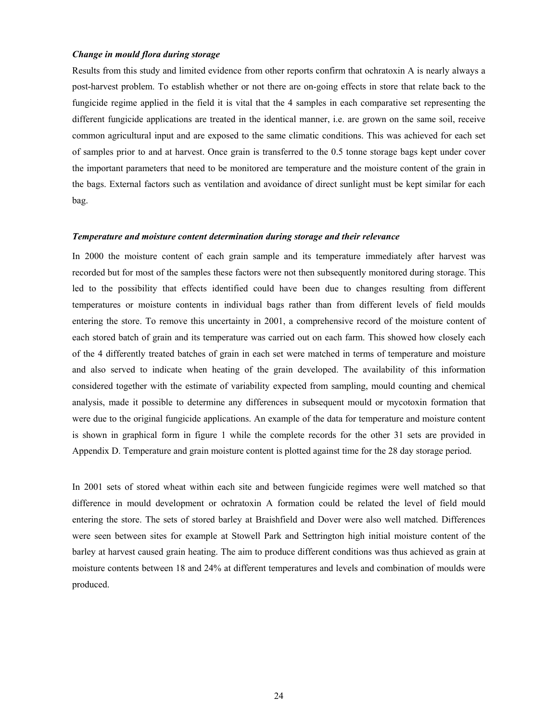#### *Change in mould flora during storage*

Results from this study and limited evidence from other reports confirm that ochratoxin A is nearly always a post-harvest problem. To establish whether or not there are on-going effects in store that relate back to the fungicide regime applied in the field it is vital that the 4 samples in each comparative set representing the different fungicide applications are treated in the identical manner, i.e. are grown on the same soil, receive common agricultural input and are exposed to the same climatic conditions. This was achieved for each set of samples prior to and at harvest. Once grain is transferred to the 0.5 tonne storage bags kept under cover the important parameters that need to be monitored are temperature and the moisture content of the grain in the bags. External factors such as ventilation and avoidance of direct sunlight must be kept similar for each bag.

#### *Temperature and moisture content determination during storage and their relevance*

In 2000 the moisture content of each grain sample and its temperature immediately after harvest was recorded but for most of the samples these factors were not then subsequently monitored during storage. This led to the possibility that effects identified could have been due to changes resulting from different temperatures or moisture contents in individual bags rather than from different levels of field moulds entering the store. To remove this uncertainty in 2001, a comprehensive record of the moisture content of each stored batch of grain and its temperature was carried out on each farm. This showed how closely each of the 4 differently treated batches of grain in each set were matched in terms of temperature and moisture and also served to indicate when heating of the grain developed. The availability of this information considered together with the estimate of variability expected from sampling, mould counting and chemical analysis, made it possible to determine any differences in subsequent mould or mycotoxin formation that were due to the original fungicide applications. An example of the data for temperature and moisture content is shown in graphical form in figure 1 while the complete records for the other 31 sets are provided in Appendix D. Temperature and grain moisture content is plotted against time for the 28 day storage period.

In 2001 sets of stored wheat within each site and between fungicide regimes were well matched so that difference in mould development or ochratoxin A formation could be related the level of field mould entering the store. The sets of stored barley at Braishfield and Dover were also well matched. Differences were seen between sites for example at Stowell Park and Settrington high initial moisture content of the barley at harvest caused grain heating. The aim to produce different conditions was thus achieved as grain at moisture contents between 18 and 24% at different temperatures and levels and combination of moulds were produced.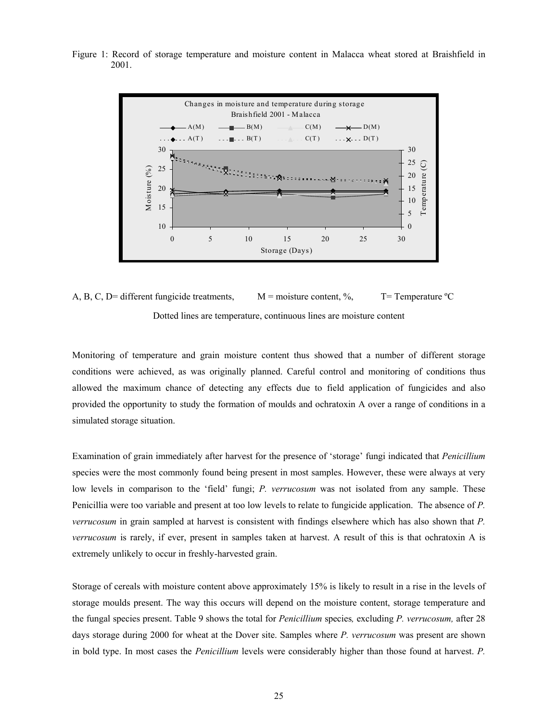Figure 1: Record of storage temperature and moisture content in Malacca wheat stored at Braishfield in 2001.



A, B, C, D= different fungicide treatments,  $M =$  moisture content, %, T= Temperature °C Dotted lines are temperature, continuous lines are moisture content

Monitoring of temperature and grain moisture content thus showed that a number of different storage conditions were achieved, as was originally planned. Careful control and monitoring of conditions thus allowed the maximum chance of detecting any effects due to field application of fungicides and also provided the opportunity to study the formation of moulds and ochratoxin A over a range of conditions in a simulated storage situation.

Examination of grain immediately after harvest for the presence of 'storage' fungi indicated that *Penicillium* species were the most commonly found being present in most samples. However, these were always at very low levels in comparison to the 'field' fungi; *P. verrucosum* was not isolated from any sample. These Penicillia were too variable and present at too low levels to relate to fungicide application. The absence of *P. verrucosum* in grain sampled at harvest is consistent with findings elsewhere which has also shown that *P. verrucosum* is rarely, if ever, present in samples taken at harvest. A result of this is that ochratoxin A is extremely unlikely to occur in freshly-harvested grain.

Storage of cereals with moisture content above approximately 15% is likely to result in a rise in the levels of storage moulds present. The way this occurs will depend on the moisture content, storage temperature and the fungal species present. Table 9 shows the total for *Penicillium* species*,* excluding *P. verrucosum,* after 28 days storage during 2000 for wheat at the Dover site. Samples where *P. verrucosum* was present are shown in bold type. In most cases the *Penicillium* levels were considerably higher than those found at harvest. *P.*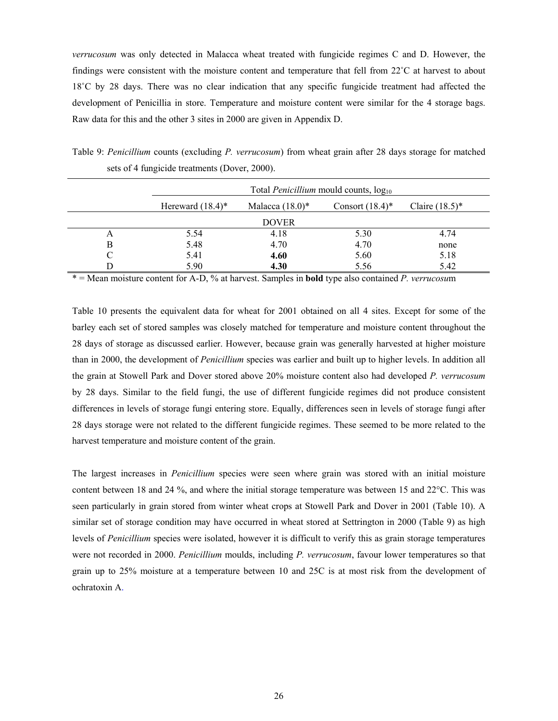*verrucosum* was only detected in Malacca wheat treated with fungicide regimes C and D. However, the findings were consistent with the moisture content and temperature that fell from 22˚C at harvest to about 18˚C by 28 days. There was no clear indication that any specific fungicide treatment had affected the development of Penicillia in store. Temperature and moisture content were similar for the 4 storage bags. Raw data for this and the other 3 sites in 2000 are given in Appendix D.

Table 9: *Penicillium* counts (excluding *P. verrucosum*) from wheat grain after 28 days storage for matched sets of 4 fungicide treatments (Dover, 2000).

|   |                                |                    | Total <i>Penicillium</i> mould counts, $log_{10}$ |                   |
|---|--------------------------------|--------------------|---------------------------------------------------|-------------------|
|   | Hereward $(18.4)$ <sup>*</sup> | Malacca $(18.0)$ * | Consort $(18.4)$ <sup>*</sup>                     | Claire $(18.5)^*$ |
|   |                                | <b>DOVER</b>       |                                                   |                   |
| A | 5.54                           | 4.18               | 5.30                                              | 4.74              |
| B | 5.48                           | 4.70               | 4.70                                              | none              |
|   | 5.41                           | 4.60               | 5.60                                              | 5.18              |
|   | 5.90                           | 4.30               | 5.56                                              | 5.42              |

\* = Mean moisture content for A-D, % at harvest. Samples in **bold** type also contained *P. verrucosu*m

Table 10 presents the equivalent data for wheat for 2001 obtained on all 4 sites. Except for some of the barley each set of stored samples was closely matched for temperature and moisture content throughout the 28 days of storage as discussed earlier. However, because grain was generally harvested at higher moisture than in 2000, the development of *Penicillium* species was earlier and built up to higher levels. In addition all the grain at Stowell Park and Dover stored above 20% moisture content also had developed *P. verrucosum* by 28 days. Similar to the field fungi, the use of different fungicide regimes did not produce consistent differences in levels of storage fungi entering store. Equally, differences seen in levels of storage fungi after 28 days storage were not related to the different fungicide regimes. These seemed to be more related to the harvest temperature and moisture content of the grain.

The largest increases in *Penicillium* species were seen where grain was stored with an initial moisture content between 18 and 24 %, and where the initial storage temperature was between 15 and 22°C. This was seen particularly in grain stored from winter wheat crops at Stowell Park and Dover in 2001 (Table 10). A similar set of storage condition may have occurred in wheat stored at Settrington in 2000 (Table 9) as high levels of *Penicillium* species were isolated, however it is difficult to verify this as grain storage temperatures were not recorded in 2000. *Penicillium* moulds, including *P. verrucosum*, favour lower temperatures so that grain up to 25% moisture at a temperature between 10 and 25C is at most risk from the development of ochratoxin A.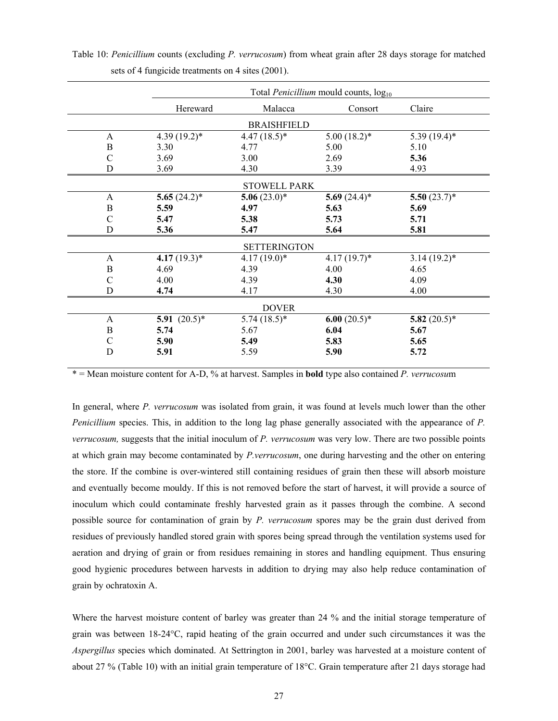|               |                 |                     | Total <i>Penicillium</i> mould counts, log <sub>10</sub> |                 |  |
|---------------|-----------------|---------------------|----------------------------------------------------------|-----------------|--|
|               | Hereward        | Malacca             | Consort                                                  | Claire          |  |
|               |                 | <b>BRAISHFIELD</b>  |                                                          |                 |  |
| A             | $4.39(19.2)^*$  | $4.47(18.5)^*$      | $5.00(18.2)*$                                            | $5.39(19.4)$ *  |  |
| B             | 3.30            | 4.77                | 5.00                                                     | 5.10            |  |
| С             | 3.69            | 3.00                | 2.69                                                     | 5.36            |  |
| D             | 3.69            | 4.30                | 3.39                                                     | 4.93            |  |
|               |                 | <b>STOWELL PARK</b> |                                                          |                 |  |
| A             | 5.65 $(24.2)$ * | 5.06 $(23.0)^*$     | 5.69 $(24.4)^*$                                          | 5.50 $(23.7)^*$ |  |
| B             | 5.59            | 4.97                | 5.63                                                     | 5.69            |  |
| $\mathcal{C}$ | 5.47            | 5.38                | 5.73                                                     | 5.71            |  |
| D             | 5.36            | 5.47                | 5.64                                                     | 5.81            |  |
|               |                 |                     |                                                          |                 |  |
|               |                 | <b>SETTERINGTON</b> |                                                          |                 |  |
| $\mathbf{A}$  | 4.17 $(19.3)^*$ | $4.17(19.0)*$       | $4.17(19.7)^*$                                           | $3.14(19.2)$ *  |  |
| B             | 4.69            | 4.39                | 4.00                                                     | 4.65            |  |
| C             | 4.00            | 4.39                | 4.30                                                     | 4.09            |  |
| D             | 4.74            | 4.17                | 4.30                                                     | 4.00            |  |
|               |                 | <b>DOVER</b>        |                                                          |                 |  |
| $\mathbf{A}$  | 5.91 $(20.5)^*$ | $5.74(18.5)*$       | 6.00 $(20.5)^*$                                          | 5.82 $(20.5)^*$ |  |
| $\bf{B}$      | 5.74            | 5.67                | 6.04                                                     | 5.67            |  |
| $\mathcal{C}$ | 5.90            | 5.49                | 5.83                                                     | 5.65            |  |
| D             | 5.91            | 5.59                | 5.90                                                     | 5.72            |  |
|               |                 |                     |                                                          |                 |  |

Table 10: *Penicillium* counts (excluding *P. verrucosum*) from wheat grain after 28 days storage for matched sets of 4 fungicide treatments on 4 sites (2001).

\* = Mean moisture content for A-D, % at harvest. Samples in **bold** type also contained *P. verrucosu*m

In general, where *P. verrucosum* was isolated from grain, it was found at levels much lower than the other *Penicillium* species. This, in addition to the long lag phase generally associated with the appearance of *P. verrucosum,* suggests that the initial inoculum of *P. verrucosum* was very low. There are two possible points at which grain may become contaminated by *P.verrucosum*, one during harvesting and the other on entering the store. If the combine is over-wintered still containing residues of grain then these will absorb moisture and eventually become mouldy. If this is not removed before the start of harvest, it will provide a source of inoculum which could contaminate freshly harvested grain as it passes through the combine. A second possible source for contamination of grain by *P. verrucosum* spores may be the grain dust derived from residues of previously handled stored grain with spores being spread through the ventilation systems used for aeration and drying of grain or from residues remaining in stores and handling equipment. Thus ensuring good hygienic procedures between harvests in addition to drying may also help reduce contamination of grain by ochratoxin A.

Where the harvest moisture content of barley was greater than 24 % and the initial storage temperature of grain was between 18-24°C, rapid heating of the grain occurred and under such circumstances it was the *Aspergillus* species which dominated. At Settrington in 2001, barley was harvested at a moisture content of about 27 % (Table 10) with an initial grain temperature of 18°C. Grain temperature after 21 days storage had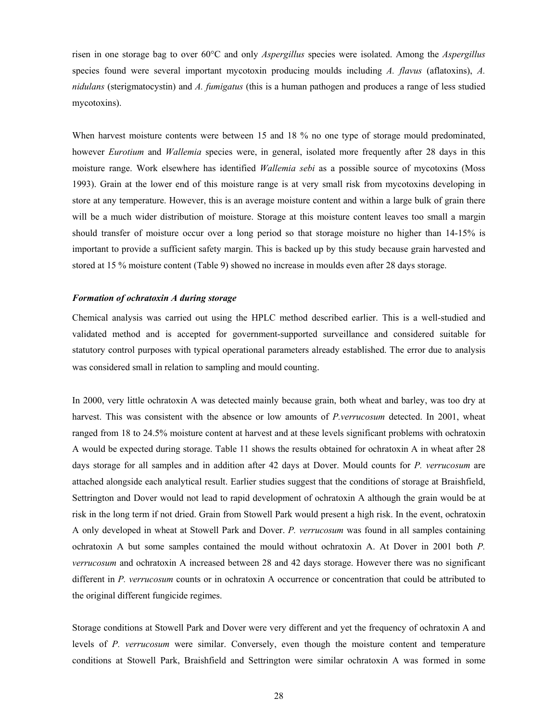risen in one storage bag to over 60°C and only *Aspergillus* species were isolated. Among the *Aspergillus* species found were several important mycotoxin producing moulds including *A. flavus* (aflatoxins), *A. nidulans* (sterigmatocystin) and *A. fumigatus* (this is a human pathogen and produces a range of less studied mycotoxins).

When harvest moisture contents were between 15 and 18 % no one type of storage mould predominated, however *Eurotium* and *Wallemia* species were, in general, isolated more frequently after 28 days in this moisture range. Work elsewhere has identified *Wallemia sebi* as a possible source of mycotoxins (Moss 1993). Grain at the lower end of this moisture range is at very small risk from mycotoxins developing in store at any temperature. However, this is an average moisture content and within a large bulk of grain there will be a much wider distribution of moisture. Storage at this moisture content leaves too small a margin should transfer of moisture occur over a long period so that storage moisture no higher than 14-15% is important to provide a sufficient safety margin. This is backed up by this study because grain harvested and stored at 15 % moisture content (Table 9) showed no increase in moulds even after 28 days storage.

#### *Formation of ochratoxin A during storage*

Chemical analysis was carried out using the HPLC method described earlier. This is a well-studied and validated method and is accepted for government-supported surveillance and considered suitable for statutory control purposes with typical operational parameters already established. The error due to analysis was considered small in relation to sampling and mould counting.

In 2000, very little ochratoxin A was detected mainly because grain, both wheat and barley, was too dry at harvest. This was consistent with the absence or low amounts of *P.verrucosum* detected. In 2001, wheat ranged from 18 to 24.5% moisture content at harvest and at these levels significant problems with ochratoxin A would be expected during storage. Table 11 shows the results obtained for ochratoxin A in wheat after 28 days storage for all samples and in addition after 42 days at Dover. Mould counts for *P. verrucosum* are attached alongside each analytical result. Earlier studies suggest that the conditions of storage at Braishfield, Settrington and Dover would not lead to rapid development of ochratoxin A although the grain would be at risk in the long term if not dried. Grain from Stowell Park would present a high risk. In the event, ochratoxin A only developed in wheat at Stowell Park and Dover. *P. verrucosum* was found in all samples containing ochratoxin A but some samples contained the mould without ochratoxin A. At Dover in 2001 both *P. verrucosum* and ochratoxin A increased between 28 and 42 days storage. However there was no significant different in *P. verrucosum* counts or in ochratoxin A occurrence or concentration that could be attributed to the original different fungicide regimes.

Storage conditions at Stowell Park and Dover were very different and yet the frequency of ochratoxin A and levels of *P. verrucosum* were similar. Conversely, even though the moisture content and temperature conditions at Stowell Park, Braishfield and Settrington were similar ochratoxin A was formed in some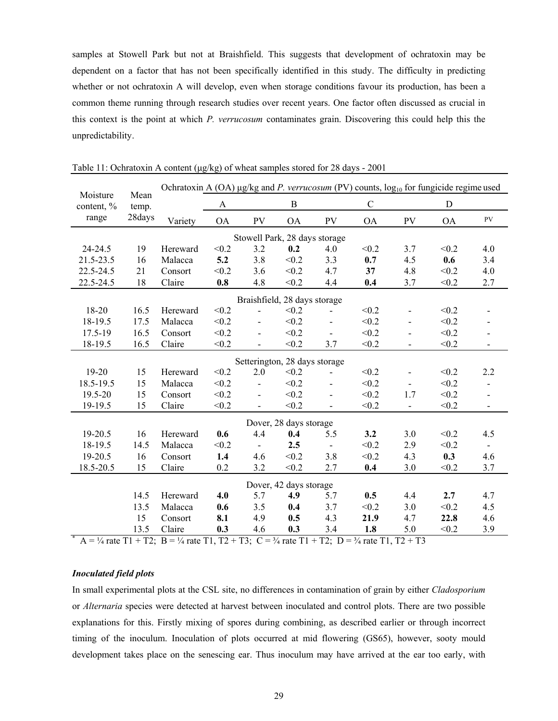samples at Stowell Park but not at Braishfield. This suggests that development of ochratoxin may be dependent on a factor that has not been specifically identified in this study. The difficulty in predicting whether or not ochratoxin A will develop, even when storage conditions favour its production, has been a common theme running through research studies over recent years. One factor often discussed as crucial in this context is the point at which *P. verrucosum* contaminates grain. Discovering this could help this the unpredictability.

| Moisture   | Mean   | Ochratoxin A (OA) $\mu$ g/kg and P. verrucosum (PV) counts, $\log_{10}$ for fungicide regime used                                      |           |                          |                                        |                          |             |                          |           |                          |
|------------|--------|----------------------------------------------------------------------------------------------------------------------------------------|-----------|--------------------------|----------------------------------------|--------------------------|-------------|--------------------------|-----------|--------------------------|
| content, % | temp.  |                                                                                                                                        | A         |                          | $\bf{B}$                               |                          | $\mathbf C$ |                          | D         |                          |
| range      | 28days | Variety                                                                                                                                | <b>OA</b> | PV                       | <b>OA</b>                              | PV                       | <b>OA</b>   | PV                       | <b>OA</b> | ${\rm PV}$               |
|            |        |                                                                                                                                        |           |                          | Stowell Park, 28 days storage          |                          |             |                          |           |                          |
| 24-24.5    | 19     | Hereward                                                                                                                               | < 0.2     | 3.2                      | 0.2                                    | 4.0                      | < 0.2       | 3.7                      | < 0.2     | 4.0                      |
| 21.5-23.5  | 16     | Malacca                                                                                                                                | 5.2       | 3.8                      | < 0.2                                  | 3.3                      | 0.7         | 4.5                      | 0.6       | 3.4                      |
| 22.5-24.5  | 21     | Consort                                                                                                                                | < 0.2     | 3.6                      | < 0.2                                  | 4.7                      | 37          | 4.8                      | < 0.2     | 4.0                      |
| 22.5-24.5  | 18     | Claire                                                                                                                                 | 0.8       | 4.8                      | < 0.2                                  | 4.4                      | 0.4         | 3.7                      | < 0.2     | 2.7                      |
|            |        |                                                                                                                                        |           |                          | Braishfield, 28 days storage           |                          |             |                          |           |                          |
| 18-20      | 16.5   | Hereward                                                                                                                               | < 0.2     |                          | < 0.2                                  |                          | < 0.2       |                          | < 0.2     |                          |
| 18-19.5    | 17.5   | Malacca                                                                                                                                | < 0.2     |                          | < 0.2                                  |                          | < 0.2       |                          | < 0.2     |                          |
| 17.5-19    | 16.5   | Consort                                                                                                                                | < 0.2     |                          | < 0.2                                  |                          | < 0.2       |                          | < 0.2     |                          |
| 18-19.5    | 16.5   | Claire                                                                                                                                 | < 0.2     |                          | < 0.2                                  | 3.7                      | < 0.2       | $\overline{\phantom{0}}$ | < 0.2     | $\overline{\phantom{0}}$ |
|            |        |                                                                                                                                        |           |                          |                                        |                          |             |                          |           |                          |
| $19 - 20$  | 15     | Hereward                                                                                                                               | < 0.2     | 2.0                      | Setterington, 28 days storage<br>< 0.2 |                          | < 0.2       |                          | < 0.2     | 2.2                      |
| 18.5-19.5  | 15     | Malacca                                                                                                                                | < 0.2     | $\blacksquare$           | < 0.2                                  | $\overline{\phantom{0}}$ | < 0.2       |                          | < 0.2     | $\blacksquare$           |
| 19.5-20    | 15     | Consort                                                                                                                                | < 0.2     |                          | < 0.2                                  |                          | < 0.2       | 1.7                      | < 0.2     | $\overline{\phantom{0}}$ |
| 19-19.5    | 15     | Claire                                                                                                                                 | < 0.2     | $\overline{\phantom{0}}$ | < 0.2                                  | $\overline{\phantom{0}}$ | < 0.2       | $\overline{\phantom{0}}$ | < 0.2     | $\overline{\phantom{a}}$ |
|            |        |                                                                                                                                        |           |                          |                                        |                          |             |                          |           |                          |
|            |        |                                                                                                                                        |           |                          | Dover, 28 days storage                 |                          |             |                          |           |                          |
| 19-20.5    | 16     | Hereward                                                                                                                               | 0.6       | 4.4                      | 0.4                                    | 5.5                      | 3.2         | 3.0                      | < 0.2     | 4.5                      |
| 18-19.5    | 14.5   | Malacca                                                                                                                                | < 0.2     | $\overline{\phantom{a}}$ | 2.5                                    | $\overline{\phantom{0}}$ | < 0.2       | 2.9                      | < 0.2     | $\overline{\phantom{a}}$ |
| 19-20.5    | 16     | Consort                                                                                                                                | 1.4       | 4.6                      | < 0.2                                  | 3.8                      | < 0.2       | 4.3                      | 0.3       | 4.6                      |
| 18.5-20.5  | 15     | Claire                                                                                                                                 | 0.2       | 3.2                      | < 0.2                                  | 2.7                      | 0.4         | 3.0                      | < 0.2     | 3.7                      |
|            |        |                                                                                                                                        |           |                          | Dover, 42 days storage                 |                          |             |                          |           |                          |
|            | 14.5   | Hereward                                                                                                                               | 4.0       | 5.7                      | 4.9                                    | 5.7                      | 0.5         | 4.4                      | 2.7       | 4.7                      |
|            | 13.5   | Malacca                                                                                                                                | 0.6       | 3.5                      | 0.4                                    | 3.7                      | < 0.2       | 3.0                      | < 0.2     | 4.5                      |
|            | 15     | Consort                                                                                                                                | 8.1       | 4.9                      | 0.5                                    | 4.3                      | 21.9        | 4.7                      | 22.8      | 4.6                      |
|            | 13.5   | Claire                                                                                                                                 | 0.3       | 4.6                      | 0.3                                    | 3.4                      | 1.8         | 5.0                      | < 0.2     | 3.9                      |
|            |        | A = $\frac{1}{4}$ rate T1 + T2; B = $\frac{1}{4}$ rate T1, T2 + T3; C = $\frac{3}{4}$ rate T1 + T2; D = $\frac{3}{4}$ rate T1, T2 + T3 |           |                          |                                        |                          |             |                          |           |                          |

Table 11: Ochratoxin A content (µg/kg) of wheat samples stored for 28 days - 2001

#### *Inoculated field plots*

In small experimental plots at the CSL site, no differences in contamination of grain by either *Cladosporium* or *Alternaria* species were detected at harvest between inoculated and control plots. There are two possible explanations for this. Firstly mixing of spores during combining, as described earlier or through incorrect timing of the inoculum. Inoculation of plots occurred at mid flowering (GS65), however, sooty mould development takes place on the senescing ear. Thus inoculum may have arrived at the ear too early, with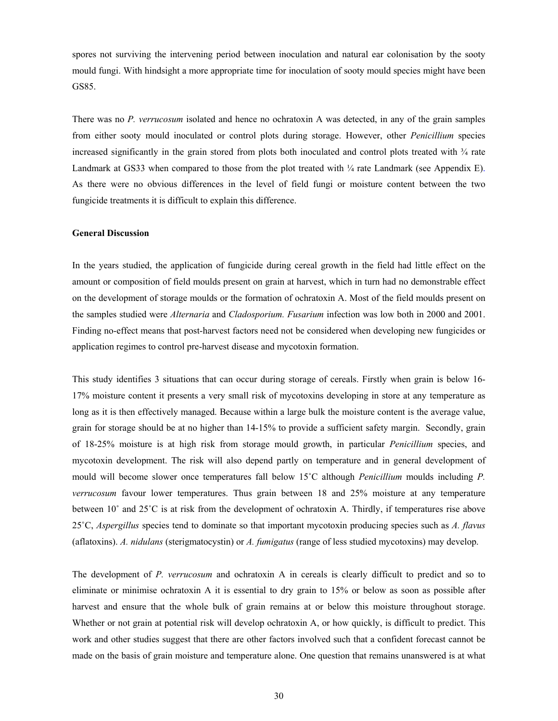spores not surviving the intervening period between inoculation and natural ear colonisation by the sooty mould fungi. With hindsight a more appropriate time for inoculation of sooty mould species might have been GS85.

There was no *P. verrucosum* isolated and hence no ochratoxin A was detected, in any of the grain samples from either sooty mould inoculated or control plots during storage. However, other *Penicillium* species increased significantly in the grain stored from plots both inoculated and control plots treated with ¾ rate Landmark at GS33 when compared to those from the plot treated with  $\frac{1}{4}$  rate Landmark (see Appendix E). As there were no obvious differences in the level of field fungi or moisture content between the two fungicide treatments it is difficult to explain this difference.

#### **General Discussion**

In the years studied, the application of fungicide during cereal growth in the field had little effect on the amount or composition of field moulds present on grain at harvest, which in turn had no demonstrable effect on the development of storage moulds or the formation of ochratoxin A. Most of the field moulds present on the samples studied were *Alternaria* and *Cladosporium. Fusarium* infection was low both in 2000 and 2001. Finding no-effect means that post-harvest factors need not be considered when developing new fungicides or application regimes to control pre-harvest disease and mycotoxin formation.

This study identifies 3 situations that can occur during storage of cereals. Firstly when grain is below 16- 17% moisture content it presents a very small risk of mycotoxins developing in store at any temperature as long as it is then effectively managed. Because within a large bulk the moisture content is the average value, grain for storage should be at no higher than 14-15% to provide a sufficient safety margin. Secondly, grain of 18-25% moisture is at high risk from storage mould growth, in particular *Penicillium* species, and mycotoxin development. The risk will also depend partly on temperature and in general development of mould will become slower once temperatures fall below 15˚C although *Penicillium* moulds including *P. verrucosum* favour lower temperatures. Thus grain between 18 and 25% moisture at any temperature between 10˚ and 25˚C is at risk from the development of ochratoxin A. Thirdly, if temperatures rise above 25˚C, *Aspergillus* species tend to dominate so that important mycotoxin producing species such as *A. flavus* (aflatoxins). *A. nidulans* (sterigmatocystin) or *A. fumigatus* (range of less studied mycotoxins) may develop.

The development of *P. verrucosum* and ochratoxin A in cereals is clearly difficult to predict and so to eliminate or minimise ochratoxin A it is essential to dry grain to 15% or below as soon as possible after harvest and ensure that the whole bulk of grain remains at or below this moisture throughout storage. Whether or not grain at potential risk will develop ochratoxin A, or how quickly, is difficult to predict. This work and other studies suggest that there are other factors involved such that a confident forecast cannot be made on the basis of grain moisture and temperature alone. One question that remains unanswered is at what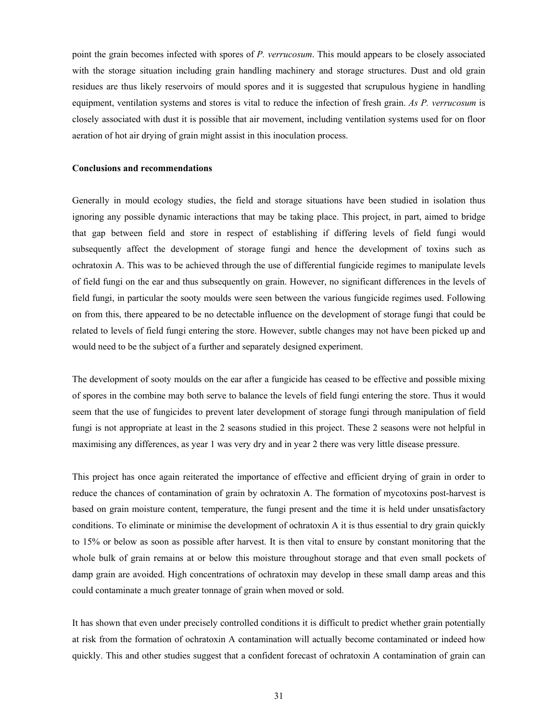point the grain becomes infected with spores of *P. verrucosum*. This mould appears to be closely associated with the storage situation including grain handling machinery and storage structures. Dust and old grain residues are thus likely reservoirs of mould spores and it is suggested that scrupulous hygiene in handling equipment, ventilation systems and stores is vital to reduce the infection of fresh grain. *As P. verrucosum* is closely associated with dust it is possible that air movement, including ventilation systems used for on floor aeration of hot air drying of grain might assist in this inoculation process.

#### **Conclusions and recommendations**

Generally in mould ecology studies, the field and storage situations have been studied in isolation thus ignoring any possible dynamic interactions that may be taking place. This project, in part, aimed to bridge that gap between field and store in respect of establishing if differing levels of field fungi would subsequently affect the development of storage fungi and hence the development of toxins such as ochratoxin A. This was to be achieved through the use of differential fungicide regimes to manipulate levels of field fungi on the ear and thus subsequently on grain. However, no significant differences in the levels of field fungi, in particular the sooty moulds were seen between the various fungicide regimes used. Following on from this, there appeared to be no detectable influence on the development of storage fungi that could be related to levels of field fungi entering the store. However, subtle changes may not have been picked up and would need to be the subject of a further and separately designed experiment.

The development of sooty moulds on the ear after a fungicide has ceased to be effective and possible mixing of spores in the combine may both serve to balance the levels of field fungi entering the store. Thus it would seem that the use of fungicides to prevent later development of storage fungi through manipulation of field fungi is not appropriate at least in the 2 seasons studied in this project. These 2 seasons were not helpful in maximising any differences, as year 1 was very dry and in year 2 there was very little disease pressure.

This project has once again reiterated the importance of effective and efficient drying of grain in order to reduce the chances of contamination of grain by ochratoxin A. The formation of mycotoxins post-harvest is based on grain moisture content, temperature, the fungi present and the time it is held under unsatisfactory conditions. To eliminate or minimise the development of ochratoxin A it is thus essential to dry grain quickly to 15% or below as soon as possible after harvest. It is then vital to ensure by constant monitoring that the whole bulk of grain remains at or below this moisture throughout storage and that even small pockets of damp grain are avoided. High concentrations of ochratoxin may develop in these small damp areas and this could contaminate a much greater tonnage of grain when moved or sold.

It has shown that even under precisely controlled conditions it is difficult to predict whether grain potentially at risk from the formation of ochratoxin A contamination will actually become contaminated or indeed how quickly. This and other studies suggest that a confident forecast of ochratoxin A contamination of grain can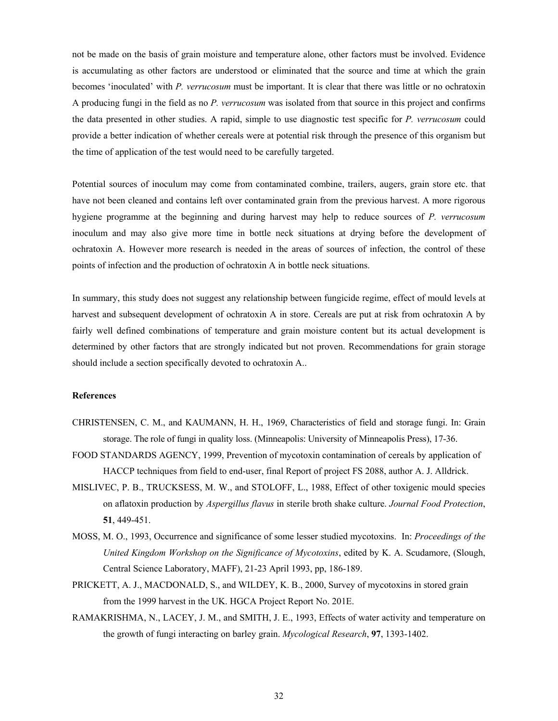not be made on the basis of grain moisture and temperature alone, other factors must be involved. Evidence is accumulating as other factors are understood or eliminated that the source and time at which the grain becomes 'inoculated' with *P. verrucosum* must be important. It is clear that there was little or no ochratoxin A producing fungi in the field as no *P. verrucosum* was isolated from that source in this project and confirms the data presented in other studies. A rapid, simple to use diagnostic test specific for *P. verrucosum* could provide a better indication of whether cereals were at potential risk through the presence of this organism but the time of application of the test would need to be carefully targeted.

Potential sources of inoculum may come from contaminated combine, trailers, augers, grain store etc. that have not been cleaned and contains left over contaminated grain from the previous harvest. A more rigorous hygiene programme at the beginning and during harvest may help to reduce sources of *P. verrucosum* inoculum and may also give more time in bottle neck situations at drying before the development of ochratoxin A. However more research is needed in the areas of sources of infection, the control of these points of infection and the production of ochratoxin A in bottle neck situations.

In summary, this study does not suggest any relationship between fungicide regime, effect of mould levels at harvest and subsequent development of ochratoxin A in store. Cereals are put at risk from ochratoxin A by fairly well defined combinations of temperature and grain moisture content but its actual development is determined by other factors that are strongly indicated but not proven. Recommendations for grain storage should include a section specifically devoted to ochratoxin A..

### **References**

- CHRISTENSEN, C. M., and KAUMANN, H. H., 1969, Characteristics of field and storage fungi. In: Grain storage. The role of fungi in quality loss. (Minneapolis: University of Minneapolis Press), 17-36.
- FOOD STANDARDS AGENCY, 1999, Prevention of mycotoxin contamination of cereals by application of HACCP techniques from field to end-user, final Report of project FS 2088, author A. J. Alldrick.
- MISLIVEC, P. B., TRUCKSESS, M. W., and STOLOFF, L., 1988, Effect of other toxigenic mould species on aflatoxin production by *Aspergillus flavus* in sterile broth shake culture. *Journal Food Protection*, **51**, 449-451.
- MOSS, M. O., 1993, Occurrence and significance of some lesser studied mycotoxins. In: *Proceedings of the United Kingdom Workshop on the Significance of Mycotoxins*, edited by K. A. Scudamore, (Slough, Central Science Laboratory, MAFF), 21-23 April 1993, pp, 186-189.
- PRICKETT, A. J., MACDONALD, S., and WILDEY, K. B., 2000, Survey of mycotoxins in stored grain from the 1999 harvest in the UK. HGCA Project Report No. 201E.
- RAMAKRISHMA, N., LACEY, J. M., and SMITH, J. E., 1993, Effects of water activity and temperature on the growth of fungi interacting on barley grain. *Mycological Research*, **97**, 1393-1402.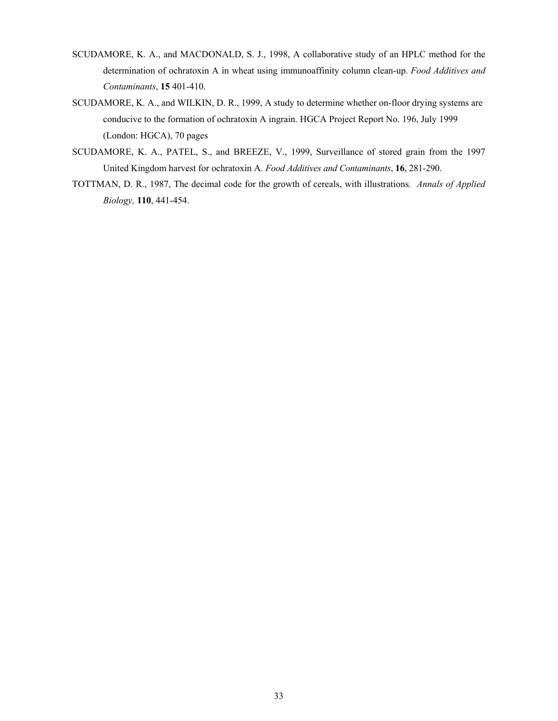- SCUDAMORE, K. A., and MACDONALD, S. J., 1998, A collaborative study of an HPLC method for the determination of ochratoxin A in wheat using immunoaffinity column clean-up. *Food Additives and Contaminants*, **15** 401-410.
- SCUDAMORE, K. A., and WILKIN, D. R., 1999, A study to determine whether on-floor drying systems are conducive to the formation of ochratoxin A ingrain. HGCA Project Report No. 196, July 1999 (London: HGCA), 70 pages
- SCUDAMORE, K. A., PATEL, S., and BREEZE, V., 1999, Surveillance of stored grain from the 1997 United Kingdom harvest for ochratoxin A. *Food Additives and Contaminants*, **16**, 281-290.
- TOTTMAN, D. R., 1987, The decimal code for the growth of cereals, with illustrations*. Annals of Applied Biology,* **110**, 441-454.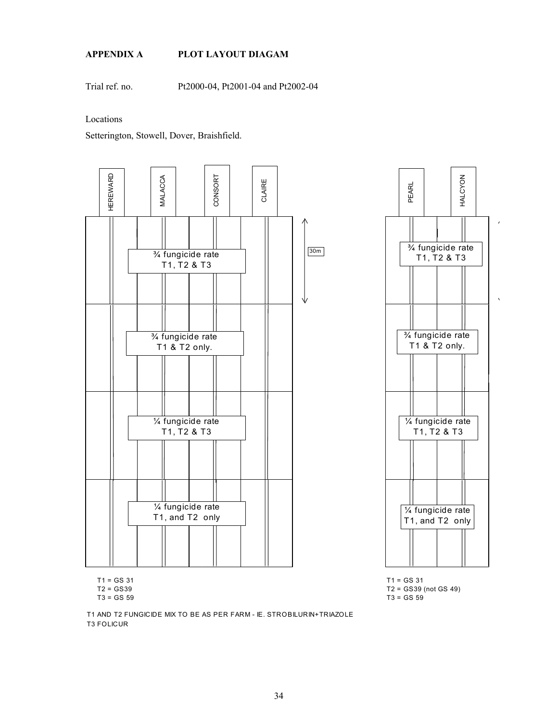## **APPENDIX A PLOT LAYOUT DIAGAM**

Trial ref. no. Pt2000-04, Pt2001-04 and Pt2002-04

Locations

Setterington, Stowell, Dover, Braishfield.





 $T1 = GS\ 31$  T1 = GS 31

T1 AND T2 FUNGICIDE MIX TO BE AS PER FARM - IE. STROBILURIN+TRIAZOLE T3 FOLICUR

T2 = GS39 T2 = GS39 (not GS 49) T3 = GS 59 T3 = GS 59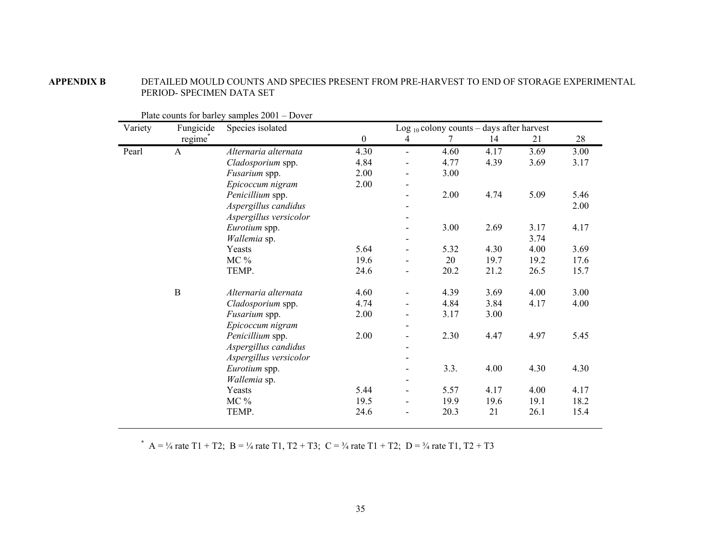**APPENDIX B** DETAILED MOULD COUNTS AND SPECIES PRESENT FROM PRE-HARVEST TO END OF STORAGE EXPERIMENTAL PERIOD- SPECIMEN DATA SET

| Variety | Fungicide           | Species isolated       |                  |                | Log $_{10}$ colony counts – days after harvest |      |      |      |
|---------|---------------------|------------------------|------------------|----------------|------------------------------------------------|------|------|------|
|         | regime <sup>®</sup> |                        | $\boldsymbol{0}$ | 4              |                                                | 14   | 21   | 28   |
| Pearl   | A                   | Alternaria alternata   | 4.30             | $\blacksquare$ | 4.60                                           | 4.17 | 3.69 | 3.00 |
|         |                     | Cladosporium spp.      | 4.84             |                | 4.77                                           | 4.39 | 3.69 | 3.17 |
|         |                     | Fusarium spp.          | 2.00             |                | 3.00                                           |      |      |      |
|         |                     | Epicoccum nigram       | 2.00             |                |                                                |      |      |      |
|         |                     | Penicillium spp.       |                  |                | 2.00                                           | 4.74 | 5.09 | 5.46 |
|         |                     | Aspergillus candidus   |                  |                |                                                |      |      | 2.00 |
|         |                     | Aspergillus versicolor |                  |                |                                                |      |      |      |
|         |                     | Eurotium spp.          |                  |                | 3.00                                           | 2.69 | 3.17 | 4.17 |
|         |                     | Wallemia sp.           |                  |                |                                                |      | 3.74 |      |
|         |                     | Yeasts                 | 5.64             |                | 5.32                                           | 4.30 | 4.00 | 3.69 |
|         |                     | $MC\%$                 | 19.6             |                | 20                                             | 19.7 | 19.2 | 17.6 |
|         |                     | TEMP.                  | 24.6             |                | 20.2                                           | 21.2 | 26.5 | 15.7 |
|         | $\, {\bf B}$        | Alternaria alternata   | 4.60             |                | 4.39                                           | 3.69 | 4.00 | 3.00 |
|         |                     | Cladosporium spp.      | 4.74             |                | 4.84                                           | 3.84 | 4.17 | 4.00 |
|         |                     | Fusarium spp.          | 2.00             |                | 3.17                                           | 3.00 |      |      |
|         |                     | Epicoccum nigram       |                  |                |                                                |      |      |      |
|         |                     | Penicillium spp.       | 2.00             |                | 2.30                                           | 4.47 | 4.97 | 5.45 |
|         |                     | Aspergillus candidus   |                  |                |                                                |      |      |      |
|         |                     | Aspergillus versicolor |                  |                |                                                |      |      |      |
|         |                     | Eurotium spp.          |                  |                | 3.3.                                           | 4.00 | 4.30 | 4.30 |
|         |                     | Wallemia sp.           |                  |                |                                                |      |      |      |
|         |                     | Yeasts                 | 5.44             |                | 5.57                                           | 4.17 | 4.00 | 4.17 |
|         |                     | $MC\%$                 | 19.5             |                | 19.9                                           | 19.6 | 19.1 | 18.2 |
|         |                     | TEMP.                  | 24.6             |                | 20.3                                           | 21   | 26.1 | 15.4 |

Plate counts for barley samples 2001 – Dover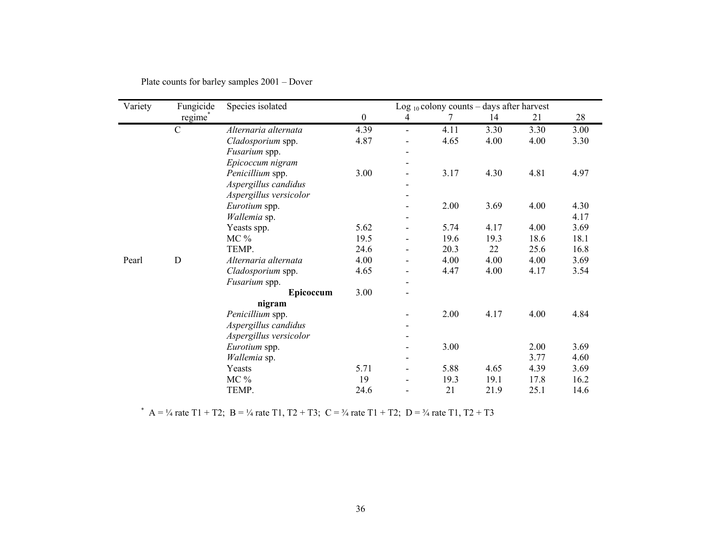| Variety | Fungicide           | Species isolated       |                  |                          | Log $_{10}$ colony counts – days after harvest |      |      |      |
|---------|---------------------|------------------------|------------------|--------------------------|------------------------------------------------|------|------|------|
|         | regime <sup>®</sup> |                        | $\boldsymbol{0}$ | 4                        | 7                                              | 14   | 21   | 28   |
|         | $\mathcal{C}$       | Alternaria alternata   | 4.39             | $\blacksquare$           | 4.11                                           | 3.30 | 3.30 | 3.00 |
|         |                     | Cladosporium spp.      | 4.87             |                          | 4.65                                           | 4.00 | 4.00 | 3.30 |
|         |                     | Fusarium spp.          |                  |                          |                                                |      |      |      |
|         |                     | Epicoccum nigram       |                  |                          |                                                |      |      |      |
|         |                     | Penicillium spp.       | 3.00             |                          | 3.17                                           | 4.30 | 4.81 | 4.97 |
|         |                     | Aspergillus candidus   |                  | $\overline{\phantom{0}}$ |                                                |      |      |      |
|         |                     | Aspergillus versicolor |                  |                          |                                                |      |      |      |
|         |                     | Eurotium spp.          |                  |                          | 2.00                                           | 3.69 | 4.00 | 4.30 |
|         |                     | Wallemia sp.           |                  | $\overline{\phantom{0}}$ |                                                |      |      | 4.17 |
|         |                     | Yeasts spp.            | 5.62             |                          | 5.74                                           | 4.17 | 4.00 | 3.69 |
|         |                     | $MC\%$                 | 19.5             |                          | 19.6                                           | 19.3 | 18.6 | 18.1 |
|         |                     | TEMP.                  | 24.6             |                          | 20.3                                           | 22   | 25.6 | 16.8 |
| Pearl   | D                   | Alternaria alternata   | 4.00             |                          | 4.00                                           | 4.00 | 4.00 | 3.69 |
|         |                     | Cladosporium spp.      | 4.65             | $\overline{a}$           | 4.47                                           | 4.00 | 4.17 | 3.54 |
|         |                     | Fusarium spp.          |                  | $\overline{a}$           |                                                |      |      |      |
|         |                     | Epicoccum              | 3.00             | $\overline{a}$           |                                                |      |      |      |
|         |                     | nigram                 |                  |                          |                                                |      |      |      |
|         |                     | Penicillium spp.       |                  |                          | 2.00                                           | 4.17 | 4.00 | 4.84 |
|         |                     | Aspergillus candidus   |                  |                          |                                                |      |      |      |
|         |                     | Aspergillus versicolor |                  |                          |                                                |      |      |      |
|         |                     | Eurotium spp.          |                  |                          | 3.00                                           |      | 2.00 | 3.69 |
|         |                     | Wallemia sp.           |                  |                          |                                                |      | 3.77 | 4.60 |
|         |                     | Yeasts                 | 5.71             |                          | 5.88                                           | 4.65 | 4.39 | 3.69 |
|         |                     | MC %                   | 19               |                          | 19.3                                           | 19.1 | 17.8 | 16.2 |
|         |                     | TEMP.                  | 24.6             |                          | 21                                             | 21.9 | 25.1 | 14.6 |

Plate counts for barley samples 2001 – Dover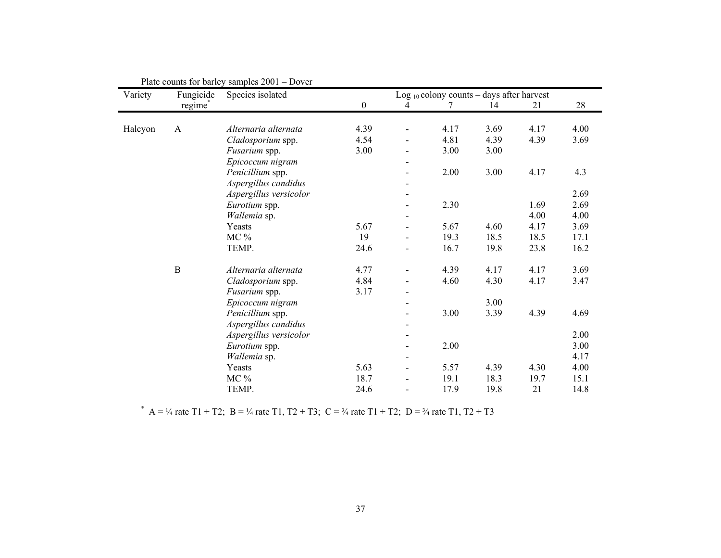| Variety | Fungicide    | Species isolated       |                  |                          | Log $_{10}$ colony counts – days after harvest |      |      |      |
|---------|--------------|------------------------|------------------|--------------------------|------------------------------------------------|------|------|------|
|         | regime®      |                        | $\boldsymbol{0}$ | 4                        |                                                | 14   | 21   | 28   |
| Halcyon | $\mathbf{A}$ | Alternaria alternata   | 4.39             |                          | 4.17                                           | 3.69 | 4.17 | 4.00 |
|         |              | Cladosporium spp.      | 4.54             |                          | 4.81                                           | 4.39 | 4.39 | 3.69 |
|         |              | Fusarium spp.          | 3.00             |                          | 3.00                                           | 3.00 |      |      |
|         |              | Epicoccum nigram       |                  |                          |                                                |      |      |      |
|         |              | Penicillium spp.       |                  |                          | 2.00                                           | 3.00 | 4.17 | 4.3  |
|         |              | Aspergillus candidus   |                  |                          |                                                |      |      |      |
|         |              | Aspergillus versicolor |                  |                          |                                                |      |      | 2.69 |
|         |              | Eurotium spp.          |                  | $\blacksquare$           | 2.30                                           |      | 1.69 | 2.69 |
|         |              | Wallemia sp.           |                  | -                        |                                                |      | 4.00 | 4.00 |
|         |              | Yeasts                 | 5.67             |                          | 5.67                                           | 4.60 | 4.17 | 3.69 |
|         |              | $MC\%$                 | 19               |                          | 19.3                                           | 18.5 | 18.5 | 17.1 |
|         |              | TEMP.                  | 24.6             |                          | 16.7                                           | 19.8 | 23.8 | 16.2 |
|         | $\bf{B}$     | Alternaria alternata   | 4.77             |                          | 4.39                                           | 4.17 | 4.17 | 3.69 |
|         |              | Cladosporium spp.      | 4.84             |                          | 4.60                                           | 4.30 | 4.17 | 3.47 |
|         |              | Fusarium spp.          | 3.17             | $\overline{\phantom{a}}$ |                                                |      |      |      |
|         |              | Epicoccum nigram       |                  |                          |                                                | 3.00 |      |      |
|         |              | Penicillium spp.       |                  |                          | 3.00                                           | 3.39 | 4.39 | 4.69 |
|         |              | Aspergillus candidus   |                  | $\overline{\phantom{a}}$ |                                                |      |      |      |
|         |              | Aspergillus versicolor |                  |                          |                                                |      |      | 2.00 |
|         |              | Eurotium spp.          |                  |                          | 2.00                                           |      |      | 3.00 |
|         |              | Wallemia sp.           |                  | $\overline{\phantom{0}}$ |                                                |      |      | 4.17 |
|         |              | Yeasts                 | 5.63             |                          | 5.57                                           | 4.39 | 4.30 | 4.00 |
|         |              | $MC\%$                 | 18.7             |                          | 19.1                                           | 18.3 | 19.7 | 15.1 |
|         |              | TEMP.                  | 24.6             |                          | 17.9                                           | 19.8 | 21   | 14.8 |

Plate counts for barley samples 2001 – Dover

\* A = ¼ rate T1 + T2; B = ¼ rate T1, T2 + T3; C = ¼ rate T1 + T2; D = ¼ rate T1, T2 + T3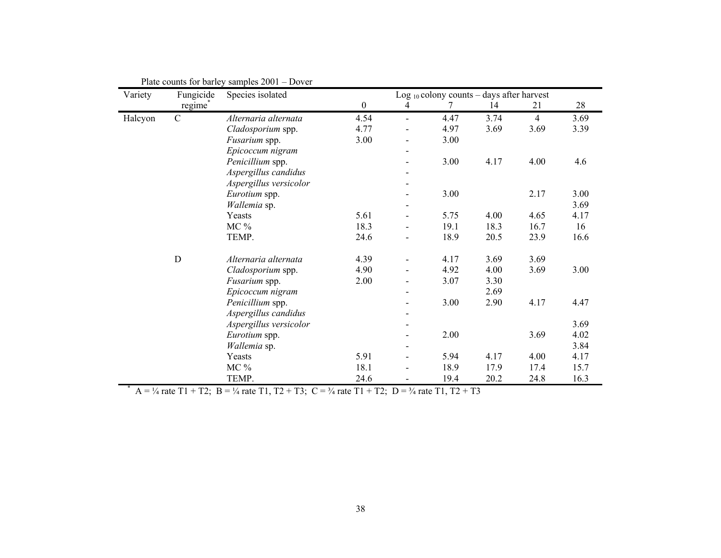| Variety | Fungicide   | Species isolated       |                  |   | Log $_{10}$ colony counts – days after harvest |      |                |      |
|---------|-------------|------------------------|------------------|---|------------------------------------------------|------|----------------|------|
|         | regime      |                        | $\boldsymbol{0}$ | 4 | 7                                              | 14   | 21             | 28   |
| Halcyon | $\mathbf C$ | Alternaria alternata   | 4.54             |   | 4.47                                           | 3.74 | $\overline{4}$ | 3.69 |
|         |             | Cladosporium spp.      | 4.77             |   | 4.97                                           | 3.69 | 3.69           | 3.39 |
|         |             | Fusarium spp.          | 3.00             |   | 3.00                                           |      |                |      |
|         |             | Epicoccum nigram       |                  |   |                                                |      |                |      |
|         |             | Penicillium spp.       |                  |   | 3.00                                           | 4.17 | 4.00           | 4.6  |
|         |             | Aspergillus candidus   |                  |   |                                                |      |                |      |
|         |             | Aspergillus versicolor |                  |   |                                                |      |                |      |
|         |             | Eurotium spp.          |                  |   | 3.00                                           |      | 2.17           | 3.00 |
|         |             | Wallemia sp.           |                  |   |                                                |      |                | 3.69 |
|         |             | Yeasts                 | 5.61             |   | 5.75                                           | 4.00 | 4.65           | 4.17 |
|         |             | $MC\%$                 | 18.3             |   | 19.1                                           | 18.3 | 16.7           | 16   |
|         |             | TEMP.                  | 24.6             |   | 18.9                                           | 20.5 | 23.9           | 16.6 |
|         | $\mathbf D$ | Alternaria alternata   | 4.39             |   | 4.17                                           | 3.69 | 3.69           |      |
|         |             | Cladosporium spp.      | 4.90             |   | 4.92                                           | 4.00 | 3.69           | 3.00 |
|         |             | Fusarium spp.          | 2.00             |   | 3.07                                           | 3.30 |                |      |
|         |             | Epicoccum nigram       |                  |   |                                                | 2.69 |                |      |
|         |             | Penicillium spp.       |                  |   | 3.00                                           | 2.90 | 4.17           | 4.47 |
|         |             | Aspergillus candidus   |                  |   |                                                |      |                |      |
|         |             | Aspergillus versicolor |                  |   |                                                |      |                | 3.69 |
|         |             | Eurotium spp.          |                  |   | 2.00                                           |      | 3.69           | 4.02 |
|         |             | Wallemia sp.           |                  |   |                                                |      |                | 3.84 |
|         |             | Yeasts                 | 5.91             |   | 5.94                                           | 4.17 | 4.00           | 4.17 |
|         |             | MC %                   | 18.1             |   | 18.9                                           | 17.9 | 17.4           | 15.7 |
|         |             | TEMP.                  | 24.6             |   | 19.4                                           | 20.2 | 24.8           | 16.3 |

Plate counts for barley samples 2001 – Dover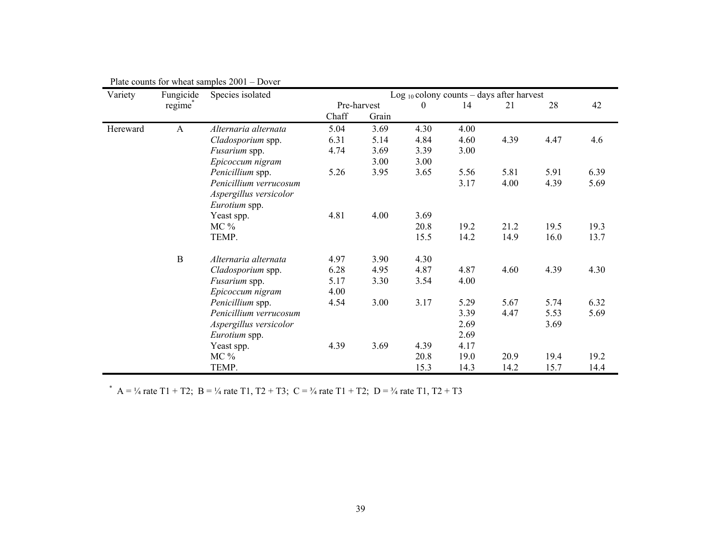| Variety  | Fungicide | Species isolated       |       |             |              | Log $_{10}$ colony counts – days after harvest |      |      |      |
|----------|-----------|------------------------|-------|-------------|--------------|------------------------------------------------|------|------|------|
|          | regime    |                        |       | Pre-harvest | $\mathbf{0}$ | 14                                             | 21   | 28   | 42   |
|          |           |                        | Chaff | Grain       |              |                                                |      |      |      |
| Hereward | A         | Alternaria alternata   | 5.04  | 3.69        | 4.30         | 4.00                                           |      |      |      |
|          |           | Cladosporium spp.      | 6.31  | 5.14        | 4.84         | 4.60                                           | 4.39 | 4.47 | 4.6  |
|          |           | Fusarium spp.          | 4.74  | 3.69        | 3.39         | 3.00                                           |      |      |      |
|          |           | Epicoccum nigram       |       | 3.00        | 3.00         |                                                |      |      |      |
|          |           | Penicillium spp.       | 5.26  | 3.95        | 3.65         | 5.56                                           | 5.81 | 5.91 | 6.39 |
|          |           | Penicillium verrucosum |       |             |              | 3.17                                           | 4.00 | 4.39 | 5.69 |
|          |           | Aspergillus versicolor |       |             |              |                                                |      |      |      |
|          |           | Eurotium spp.          |       |             |              |                                                |      |      |      |
|          |           | Yeast spp.             | 4.81  | 4.00        | 3.69         |                                                |      |      |      |
|          |           | $MC\%$                 |       |             | 20.8         | 19.2                                           | 21.2 | 19.5 | 19.3 |
|          |           | TEMP.                  |       |             | 15.5         | 14.2                                           | 14.9 | 16.0 | 13.7 |
|          | $\bf{B}$  | Alternaria alternata   | 4.97  | 3.90        | 4.30         |                                                |      |      |      |
|          |           | Cladosporium spp.      | 6.28  | 4.95        | 4.87         | 4.87                                           | 4.60 | 4.39 | 4.30 |
|          |           | Fusarium spp.          | 5.17  | 3.30        | 3.54         | 4.00                                           |      |      |      |
|          |           | Epicoccum nigram       | 4.00  |             |              |                                                |      |      |      |
|          |           | Penicillium spp.       | 4.54  | 3.00        | 3.17         | 5.29                                           | 5.67 | 5.74 | 6.32 |
|          |           | Penicillium verrucosum |       |             |              | 3.39                                           | 4.47 | 5.53 | 5.69 |
|          |           | Aspergillus versicolor |       |             |              | 2.69                                           |      | 3.69 |      |
|          |           | Eurotium spp.          |       |             |              | 2.69                                           |      |      |      |
|          |           | Yeast spp.             | 4.39  | 3.69        | 4.39         | 4.17                                           |      |      |      |
|          |           | $MC\%$                 |       |             | 20.8         | 19.0                                           | 20.9 | 19.4 | 19.2 |
|          |           | TEMP.                  |       |             | 15.3         | 14.3                                           | 14.2 | 15.7 | 14.4 |

\* A = ¼ rate T1 + T2; B = ¼ rate T1, T2 + T3; C = ¼ rate T1 + T2; D = ¼ rate T1, T2 + T3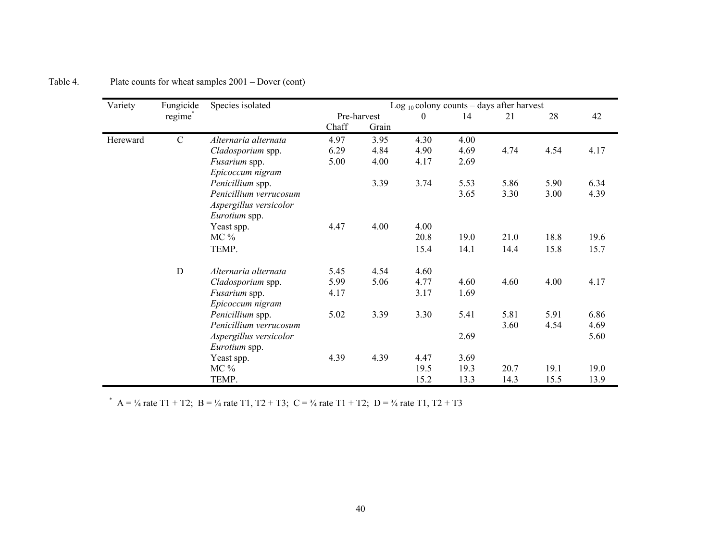| Variety  | Fungicide           | Species isolated       |       |             |          |      | Log $_{10}$ colony counts – days after harvest |      |      |
|----------|---------------------|------------------------|-------|-------------|----------|------|------------------------------------------------|------|------|
|          | regime <sup>®</sup> |                        |       | Pre-harvest | $\theta$ | 14   | 21                                             | 28   | 42   |
|          |                     |                        | Chaff | Grain       |          |      |                                                |      |      |
| Hereward | $\mathcal{C}$       | Alternaria alternata   | 4.97  | 3.95        | 4.30     | 4.00 |                                                |      |      |
|          |                     | Cladosporium spp.      | 6.29  | 4.84        | 4.90     | 4.69 | 4.74                                           | 4.54 | 4.17 |
|          |                     | Fusarium spp.          | 5.00  | 4.00        | 4.17     | 2.69 |                                                |      |      |
|          |                     | Epicoccum nigram       |       |             |          |      |                                                |      |      |
|          |                     | Penicillium spp.       |       | 3.39        | 3.74     | 5.53 | 5.86                                           | 5.90 | 6.34 |
|          |                     | Penicillium verrucosum |       |             |          | 3.65 | 3.30                                           | 3.00 | 4.39 |
|          |                     | Aspergillus versicolor |       |             |          |      |                                                |      |      |
|          |                     | Eurotium spp.          |       |             |          |      |                                                |      |      |
|          |                     | Yeast spp.             | 4.47  | 4.00        | 4.00     |      |                                                |      |      |
|          |                     | $MC\%$                 |       |             | 20.8     | 19.0 | 21.0                                           | 18.8 | 19.6 |
|          |                     | TEMP.                  |       |             | 15.4     | 14.1 | 14.4                                           | 15.8 | 15.7 |
|          | D                   | Alternaria alternata   | 5.45  | 4.54        | 4.60     |      |                                                |      |      |
|          |                     | Cladosporium spp.      | 5.99  | 5.06        | 4.77     | 4.60 | 4.60                                           | 4.00 | 4.17 |
|          |                     | Fusarium spp.          | 4.17  |             | 3.17     | 1.69 |                                                |      |      |
|          |                     | Epicoccum nigram       |       |             |          |      |                                                |      |      |
|          |                     | Penicillium spp.       | 5.02  | 3.39        | 3.30     | 5.41 | 5.81                                           | 5.91 | 6.86 |
|          |                     | Penicillium verrucosum |       |             |          |      | 3.60                                           | 4.54 | 4.69 |
|          |                     | Aspergillus versicolor |       |             |          | 2.69 |                                                |      | 5.60 |
|          |                     | Eurotium spp.          |       |             |          |      |                                                |      |      |
|          |                     | Yeast spp.             | 4.39  | 4.39        | 4.47     | 3.69 |                                                |      |      |
|          |                     | $MC\%$                 |       |             | 19.5     | 19.3 | 20.7                                           | 19.1 | 19.0 |
|          |                     | TEMP.                  |       |             | 15.2     | 13.3 | 14.3                                           | 15.5 | 13.9 |

Table 4. Plate counts for wheat samples  $2001 - Dover (cont)$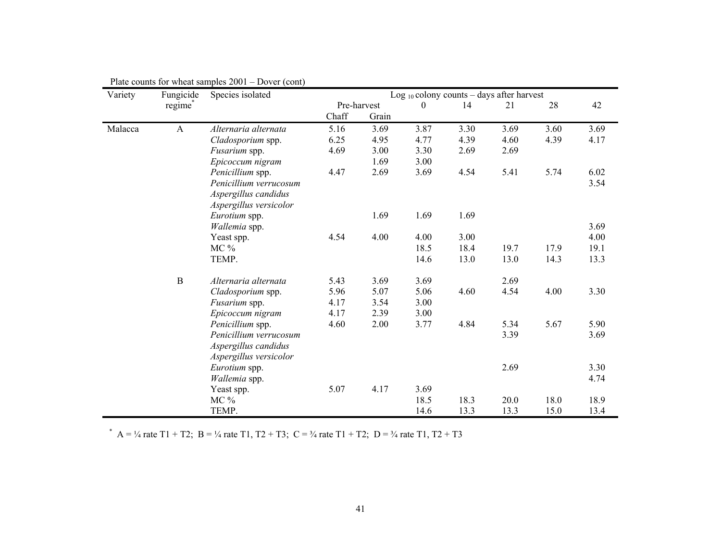| Variety | Fungicide           | Species isolated       |       |                      | Log $_{10}$ colony counts – days after harvest |      |      |      |      |
|---------|---------------------|------------------------|-------|----------------------|------------------------------------------------|------|------|------|------|
|         | regime <sup>®</sup> |                        | Chaff | Pre-harvest<br>Grain | $\mathbf{0}$                                   | 14   | 21   | 28   | 42   |
| Malacca | A                   | Alternaria alternata   | 5.16  | 3.69                 | 3.87                                           | 3.30 | 3.69 | 3.60 | 3.69 |
|         |                     | Cladosporium spp.      | 6.25  | 4.95                 | 4.77                                           | 4.39 | 4.60 | 4.39 | 4.17 |
|         |                     | Fusarium spp.          | 4.69  | 3.00                 | 3.30                                           | 2.69 | 2.69 |      |      |
|         |                     | Epicoccum nigram       |       | 1.69                 | 3.00                                           |      |      |      |      |
|         |                     | Penicillium spp.       | 4.47  | 2.69                 | 3.69                                           | 4.54 | 5.41 | 5.74 | 6.02 |
|         |                     | Penicillium verrucosum |       |                      |                                                |      |      |      | 3.54 |
|         |                     | Aspergillus candidus   |       |                      |                                                |      |      |      |      |
|         |                     | Aspergillus versicolor |       |                      |                                                |      |      |      |      |
|         |                     | Eurotium spp.          |       | 1.69                 | 1.69                                           | 1.69 |      |      |      |
|         |                     | Wallemia spp.          |       |                      |                                                |      |      |      | 3.69 |
|         |                     | Yeast spp.             | 4.54  | 4.00                 | 4.00                                           | 3.00 |      |      | 4.00 |
|         |                     | MC %                   |       |                      | 18.5                                           | 18.4 | 19.7 | 17.9 | 19.1 |
|         |                     | TEMP.                  |       |                      | 14.6                                           | 13.0 | 13.0 | 14.3 | 13.3 |
|         | $\bf{B}$            | Alternaria alternata   | 5.43  | 3.69                 | 3.69                                           |      | 2.69 |      |      |
|         |                     | Cladosporium spp.      | 5.96  | 5.07                 | 5.06                                           | 4.60 | 4.54 | 4.00 | 3.30 |
|         |                     | Fusarium spp.          | 4.17  | 3.54                 | 3.00                                           |      |      |      |      |
|         |                     | Epicoccum nigram       | 4.17  | 2.39                 | 3.00                                           |      |      |      |      |
|         |                     | Penicillium spp.       | 4.60  | 2.00                 | 3.77                                           | 4.84 | 5.34 | 5.67 | 5.90 |
|         |                     | Penicillium verrucosum |       |                      |                                                |      | 3.39 |      | 3.69 |
|         |                     | Aspergillus candidus   |       |                      |                                                |      |      |      |      |
|         |                     | Aspergillus versicolor |       |                      |                                                |      |      |      |      |
|         |                     | Eurotium spp.          |       |                      |                                                |      | 2.69 |      | 3.30 |
|         |                     | Wallemia spp.          |       |                      |                                                |      |      |      | 4.74 |
|         |                     | Yeast spp.             | 5.07  | 4.17                 | 3.69                                           |      |      |      |      |
|         |                     | MC %                   |       |                      | 18.5                                           | 18.3 | 20.0 | 18.0 | 18.9 |
|         |                     | TEMP.                  |       |                      | 14.6                                           | 13.3 | 13.3 | 15.0 | 13.4 |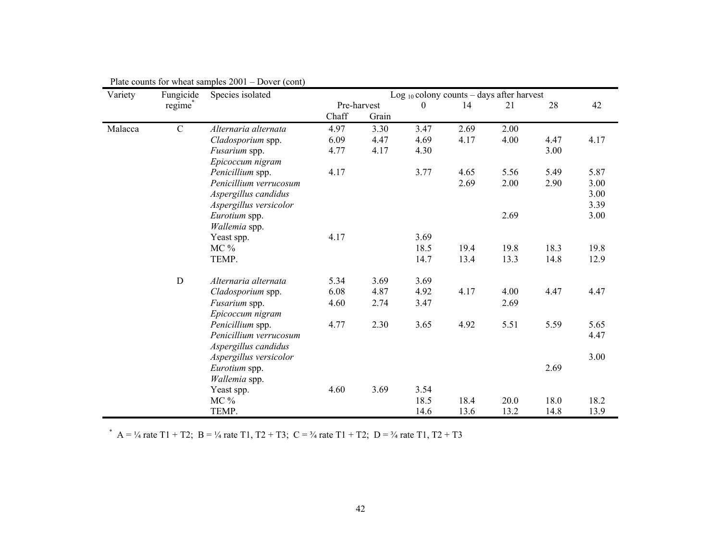| Variety | Fungicide           | Species isolated       |       |                      | Log $_{10}$ colony counts – days after harvest |      |      |      |      |
|---------|---------------------|------------------------|-------|----------------------|------------------------------------------------|------|------|------|------|
|         | regime <sup>®</sup> |                        | Chaff | Pre-harvest<br>Grain | $\mathbf{0}$                                   | 14   | 21   | 28   | 42   |
| Malacca | $\mathcal{C}$       | Alternaria alternata   | 4.97  | 3.30                 | 3.47                                           | 2.69 | 2.00 |      |      |
|         |                     | Cladosporium spp.      | 6.09  | 4.47                 | 4.69                                           | 4.17 | 4.00 | 4.47 | 4.17 |
|         |                     | Fusarium spp.          | 4.77  | 4.17                 | 4.30                                           |      |      | 3.00 |      |
|         |                     | Epicoccum nigram       |       |                      |                                                |      |      |      |      |
|         |                     | Penicillium spp.       | 4.17  |                      | 3.77                                           | 4.65 | 5.56 | 5.49 | 5.87 |
|         |                     | Penicillium verrucosum |       |                      |                                                | 2.69 | 2.00 | 2.90 | 3.00 |
|         |                     | Aspergillus candidus   |       |                      |                                                |      |      |      | 3.00 |
|         |                     | Aspergillus versicolor |       |                      |                                                |      |      |      | 3.39 |
|         |                     | Eurotium spp.          |       |                      |                                                |      | 2.69 |      | 3.00 |
|         |                     | Wallemia spp.          |       |                      |                                                |      |      |      |      |
|         |                     | Yeast spp.             | 4.17  |                      | 3.69                                           |      |      |      |      |
|         |                     | MC %                   |       |                      | 18.5                                           | 19.4 | 19.8 | 18.3 | 19.8 |
|         |                     | TEMP.                  |       |                      | 14.7                                           | 13.4 | 13.3 | 14.8 | 12.9 |
|         | $\mathbf D$         | Alternaria alternata   | 5.34  | 3.69                 | 3.69                                           |      |      |      |      |
|         |                     | Cladosporium spp.      | 6.08  | 4.87                 | 4.92                                           | 4.17 | 4.00 | 4.47 | 4.47 |
|         |                     | Fusarium spp.          | 4.60  | 2.74                 | 3.47                                           |      | 2.69 |      |      |
|         |                     | Epicoccum nigram       |       |                      |                                                |      |      |      |      |
|         |                     | Penicillium spp.       | 4.77  | 2.30                 | 3.65                                           | 4.92 | 5.51 | 5.59 | 5.65 |
|         |                     | Penicillium verrucosum |       |                      |                                                |      |      |      | 4.47 |
|         |                     | Aspergillus candidus   |       |                      |                                                |      |      |      |      |
|         |                     | Aspergillus versicolor |       |                      |                                                |      |      |      | 3.00 |
|         |                     | Eurotium spp.          |       |                      |                                                |      |      | 2.69 |      |
|         |                     | Wallemia spp.          |       |                      |                                                |      |      |      |      |
|         |                     | Yeast spp.             | 4.60  | 3.69                 | 3.54                                           |      |      |      |      |
|         |                     | MC %                   |       |                      | 18.5                                           | 18.4 | 20.0 | 18.0 | 18.2 |
|         |                     | TEMP.                  |       |                      | 14.6                                           | 13.6 | 13.2 | 14.8 | 13.9 |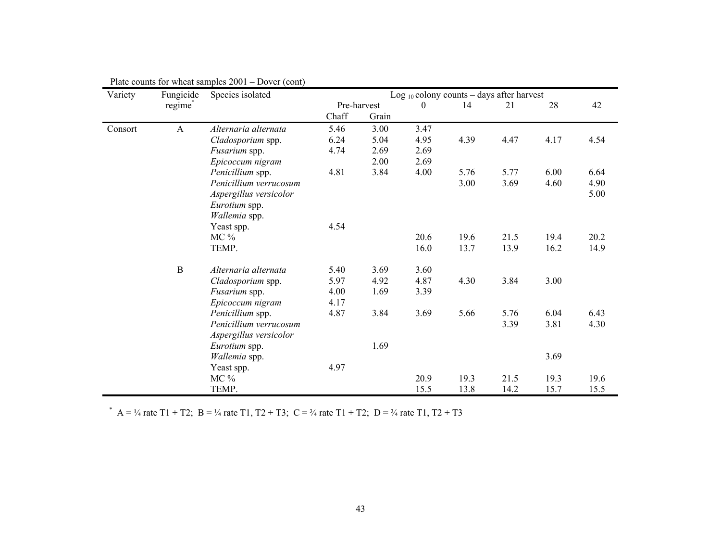| Variety | Fungicide    | Species isolated       |       |             | Log $_{10}$ colony counts – days after harvest |      |      |      |      |
|---------|--------------|------------------------|-------|-------------|------------------------------------------------|------|------|------|------|
|         | regime       |                        |       | Pre-harvest | $\Omega$                                       | 14   | 21   | 28   | 42   |
|         |              |                        | Chaff | Grain       |                                                |      |      |      |      |
| Consort | $\mathbf{A}$ | Alternaria alternata   | 5.46  | 3.00        | 3.47                                           |      |      |      |      |
|         |              | Cladosporium spp.      | 6.24  | 5.04        | 4.95                                           | 4.39 | 4.47 | 4.17 | 4.54 |
|         |              | Fusarium spp.          | 4.74  | 2.69        | 2.69                                           |      |      |      |      |
|         |              | Epicoccum nigram       |       | 2.00        | 2.69                                           |      |      |      |      |
|         |              | Penicillium spp.       | 4.81  | 3.84        | 4.00                                           | 5.76 | 5.77 | 6.00 | 6.64 |
|         |              | Penicillium verrucosum |       |             |                                                | 3.00 | 3.69 | 4.60 | 4.90 |
|         |              | Aspergillus versicolor |       |             |                                                |      |      |      | 5.00 |
|         |              | Eurotium spp.          |       |             |                                                |      |      |      |      |
|         |              | Wallemia spp.          |       |             |                                                |      |      |      |      |
|         |              | Yeast spp.             | 4.54  |             |                                                |      |      |      |      |
|         |              | $MC\%$                 |       |             | 20.6                                           | 19.6 | 21.5 | 19.4 | 20.2 |
|         |              | TEMP.                  |       |             | 16.0                                           | 13.7 | 13.9 | 16.2 | 14.9 |
|         | $\mathbf{B}$ | Alternaria alternata   | 5.40  | 3.69        | 3.60                                           |      |      |      |      |
|         |              | Cladosporium spp.      | 5.97  | 4.92        | 4.87                                           | 4.30 | 3.84 | 3.00 |      |
|         |              | Fusarium spp.          | 4.00  | 1.69        | 3.39                                           |      |      |      |      |
|         |              | Epicoccum nigram       | 4.17  |             |                                                |      |      |      |      |
|         |              | Penicillium spp.       | 4.87  | 3.84        | 3.69                                           | 5.66 | 5.76 | 6.04 | 6.43 |
|         |              | Penicillium verrucosum |       |             |                                                |      | 3.39 | 3.81 | 4.30 |
|         |              | Aspergillus versicolor |       |             |                                                |      |      |      |      |
|         |              | Eurotium spp.          |       | 1.69        |                                                |      |      |      |      |
|         |              | Wallemia spp.          |       |             |                                                |      |      | 3.69 |      |
|         |              | Yeast spp.             | 4.97  |             |                                                |      |      |      |      |
|         |              | $MC\%$                 |       |             | 20.9                                           | 19.3 | 21.5 | 19.3 | 19.6 |
|         |              | TEMP.                  |       |             | 15.5                                           | 13.8 | 14.2 | 15.7 | 15.5 |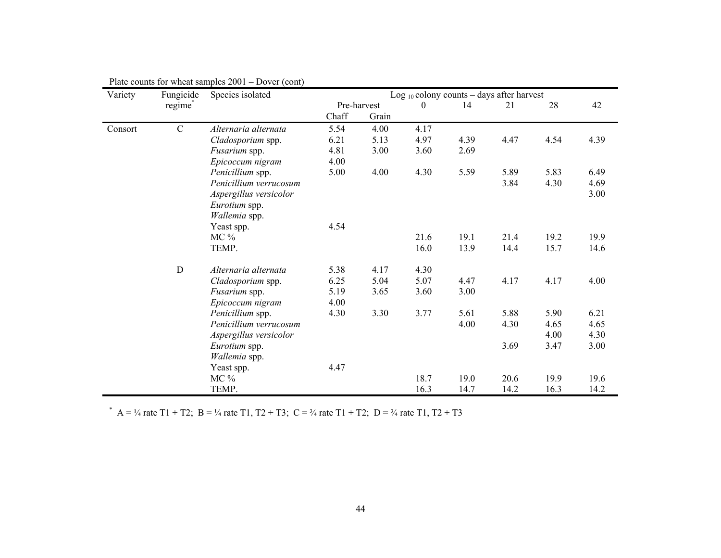| Variety | Fungicide     | Species isolated       |       |             | Log $_{10}$ colony counts – days after harvest |      |      |      |      |
|---------|---------------|------------------------|-------|-------------|------------------------------------------------|------|------|------|------|
|         | regime        |                        |       | Pre-harvest | $\Omega$                                       | 14   | 21   | 28   | 42   |
|         |               |                        | Chaff | Grain       |                                                |      |      |      |      |
| Consort | $\mathcal{C}$ | Alternaria alternata   | 5.54  | 4.00        | 4.17                                           |      |      |      |      |
|         |               | Cladosporium spp.      | 6.21  | 5.13        | 4.97                                           | 4.39 | 4.47 | 4.54 | 4.39 |
|         |               | Fusarium spp.          | 4.81  | 3.00        | 3.60                                           | 2.69 |      |      |      |
|         |               | Epicoccum nigram       | 4.00  |             |                                                |      |      |      |      |
|         |               | Penicillium spp.       | 5.00  | 4.00        | 4.30                                           | 5.59 | 5.89 | 5.83 | 6.49 |
|         |               | Penicillium verrucosum |       |             |                                                |      | 3.84 | 4.30 | 4.69 |
|         |               | Aspergillus versicolor |       |             |                                                |      |      |      | 3.00 |
|         |               | Eurotium spp.          |       |             |                                                |      |      |      |      |
|         |               | Wallemia spp.          |       |             |                                                |      |      |      |      |
|         |               | Yeast spp.             | 4.54  |             |                                                |      |      |      |      |
|         |               | $MC\%$                 |       |             | 21.6                                           | 19.1 | 21.4 | 19.2 | 19.9 |
|         |               | TEMP.                  |       |             | 16.0                                           | 13.9 | 14.4 | 15.7 | 14.6 |
|         | D             | Alternaria alternata   | 5.38  | 4.17        | 4.30                                           |      |      |      |      |
|         |               | Cladosporium spp.      | 6.25  | 5.04        | 5.07                                           | 4.47 | 4.17 | 4.17 | 4.00 |
|         |               | Fusarium spp.          | 5.19  | 3.65        | 3.60                                           | 3.00 |      |      |      |
|         |               | Epicoccum nigram       | 4.00  |             |                                                |      |      |      |      |
|         |               | Penicillium spp.       | 4.30  | 3.30        | 3.77                                           | 5.61 | 5.88 | 5.90 | 6.21 |
|         |               | Penicillium verrucosum |       |             |                                                | 4.00 | 4.30 | 4.65 | 4.65 |
|         |               | Aspergillus versicolor |       |             |                                                |      |      | 4.00 | 4.30 |
|         |               | Eurotium spp.          |       |             |                                                |      | 3.69 | 3.47 | 3.00 |
|         |               | Wallemia spp.          |       |             |                                                |      |      |      |      |
|         |               | Yeast spp.             | 4.47  |             |                                                |      |      |      |      |
|         |               | $MC\%$                 |       |             | 18.7                                           | 19.0 | 20.6 | 19.9 | 19.6 |
|         |               | TEMP.                  |       |             | 16.3                                           | 14.7 | 14.2 | 16.3 | 14.2 |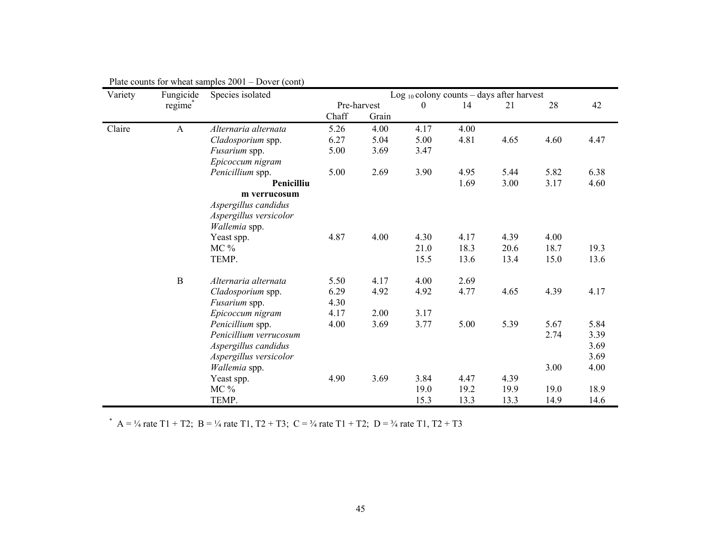| Variety | Fungicide   | Species isolated       | Log $_{10}$ colony counts – days after harvest |             |      |      |      |      |      |  |
|---------|-------------|------------------------|------------------------------------------------|-------------|------|------|------|------|------|--|
|         | regime      |                        |                                                | Pre-harvest | 0    | 14   | 21   | 28   | 42   |  |
|         |             |                        | Chaff                                          | Grain       |      |      |      |      |      |  |
| Claire  | A           | Alternaria alternata   | 5.26                                           | 4.00        | 4.17 | 4.00 |      |      |      |  |
|         |             | Cladosporium spp.      | 6.27                                           | 5.04        | 5.00 | 4.81 | 4.65 | 4.60 | 4.47 |  |
|         |             | Fusarium spp.          | 5.00                                           | 3.69        | 3.47 |      |      |      |      |  |
|         |             | Epicoccum nigram       |                                                |             |      |      |      |      |      |  |
|         |             | Penicillium spp.       | 5.00                                           | 2.69        | 3.90 | 4.95 | 5.44 | 5.82 | 6.38 |  |
|         |             | Penicilliu             |                                                |             |      | 1.69 | 3.00 | 3.17 | 4.60 |  |
|         |             | m verrucosum           |                                                |             |      |      |      |      |      |  |
|         |             | Aspergillus candidus   |                                                |             |      |      |      |      |      |  |
|         |             | Aspergillus versicolor |                                                |             |      |      |      |      |      |  |
|         |             | <i>Wallemia</i> spp.   |                                                |             |      |      |      |      |      |  |
|         |             | Yeast spp.             | 4.87                                           | 4.00        | 4.30 | 4.17 | 4.39 | 4.00 |      |  |
|         |             | $MC\%$                 |                                                |             | 21.0 | 18.3 | 20.6 | 18.7 | 19.3 |  |
|         |             | TEMP.                  |                                                |             | 15.5 | 13.6 | 13.4 | 15.0 | 13.6 |  |
|         | $\mathbf B$ | Alternaria alternata   | 5.50                                           | 4.17        | 4.00 | 2.69 |      |      |      |  |
|         |             | Cladosporium spp.      | 6.29                                           | 4.92        | 4.92 | 4.77 | 4.65 | 4.39 | 4.17 |  |
|         |             | Fusarium spp.          | 4.30                                           |             |      |      |      |      |      |  |
|         |             | Epicoccum nigram       | 4.17                                           | 2.00        | 3.17 |      |      |      |      |  |
|         |             | Penicillium spp.       | 4.00                                           | 3.69        | 3.77 | 5.00 | 5.39 | 5.67 | 5.84 |  |
|         |             | Penicillium verrucosum |                                                |             |      |      |      | 2.74 | 3.39 |  |
|         |             | Aspergillus candidus   |                                                |             |      |      |      |      | 3.69 |  |
|         |             | Aspergillus versicolor |                                                |             |      |      |      |      | 3.69 |  |
|         |             | Wallemia spp.          |                                                |             |      |      |      | 3.00 | 4.00 |  |
|         |             | Yeast spp.             | 4.90                                           | 3.69        | 3.84 | 4.47 | 4.39 |      |      |  |
|         |             | $MC\%$                 |                                                |             | 19.0 | 19.2 | 19.9 | 19.0 | 18.9 |  |
|         |             | TEMP.                  |                                                |             | 15.3 | 13.3 | 13.3 | 14.9 | 14.6 |  |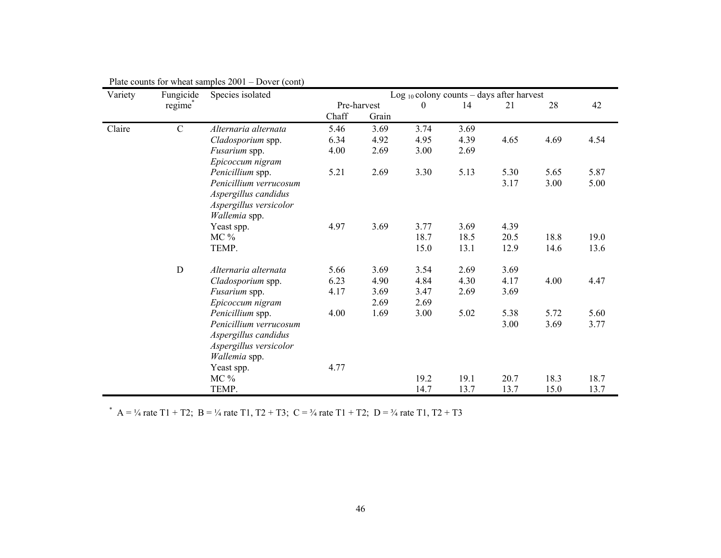| Variety | Fungicide   | Species isolated       |       |             |          | Log $_{10}$ colony counts – days after harvest |      |      |      |
|---------|-------------|------------------------|-------|-------------|----------|------------------------------------------------|------|------|------|
|         | regime      |                        |       | Pre-harvest | $\Omega$ | 14                                             | 21   | 28   | 42   |
|         |             |                        | Chaff | Grain       |          |                                                |      |      |      |
| Claire  | $\mathbf C$ | Alternaria alternata   | 5.46  | 3.69        | 3.74     | 3.69                                           |      |      |      |
|         |             | Cladosporium spp.      | 6.34  | 4.92        | 4.95     | 4.39                                           | 4.65 | 4.69 | 4.54 |
|         |             | Fusarium spp.          | 4.00  | 2.69        | 3.00     | 2.69                                           |      |      |      |
|         |             | Epicoccum nigram       |       |             |          |                                                |      |      |      |
|         |             | Penicillium spp.       | 5.21  | 2.69        | 3.30     | 5.13                                           | 5.30 | 5.65 | 5.87 |
|         |             | Penicillium verrucosum |       |             |          |                                                | 3.17 | 3.00 | 5.00 |
|         |             | Aspergillus candidus   |       |             |          |                                                |      |      |      |
|         |             | Aspergillus versicolor |       |             |          |                                                |      |      |      |
|         |             | Wallemia spp.          |       |             |          |                                                |      |      |      |
|         |             | Yeast spp.             | 4.97  | 3.69        | 3.77     | 3.69                                           | 4.39 |      |      |
|         |             | $MC\%$                 |       |             | 18.7     | 18.5                                           | 20.5 | 18.8 | 19.0 |
|         |             | TEMP.                  |       |             | 15.0     | 13.1                                           | 12.9 | 14.6 | 13.6 |
|         | $\mathbf D$ | Alternaria alternata   | 5.66  | 3.69        | 3.54     | 2.69                                           | 3.69 |      |      |
|         |             | Cladosporium spp.      | 6.23  | 4.90        | 4.84     | 4.30                                           | 4.17 | 4.00 | 4.47 |
|         |             | Fusarium spp.          | 4.17  | 3.69        | 3.47     | 2.69                                           | 3.69 |      |      |
|         |             | Epicoccum nigram       |       | 2.69        | 2.69     |                                                |      |      |      |
|         |             | Penicillium spp.       | 4.00  | 1.69        | 3.00     | 5.02                                           | 5.38 | 5.72 | 5.60 |
|         |             | Penicillium verrucosum |       |             |          |                                                | 3.00 | 3.69 | 3.77 |
|         |             | Aspergillus candidus   |       |             |          |                                                |      |      |      |
|         |             | Aspergillus versicolor |       |             |          |                                                |      |      |      |
|         |             | Wallemia spp.          |       |             |          |                                                |      |      |      |
|         |             | Yeast spp.             | 4.77  |             |          |                                                |      |      |      |
|         |             | $MC\%$                 |       |             | 19.2     | 19.1                                           | 20.7 | 18.3 | 18.7 |
|         |             | TEMP.                  |       |             | 14.7     | 13.7                                           | 13.7 | 15.0 | 13.7 |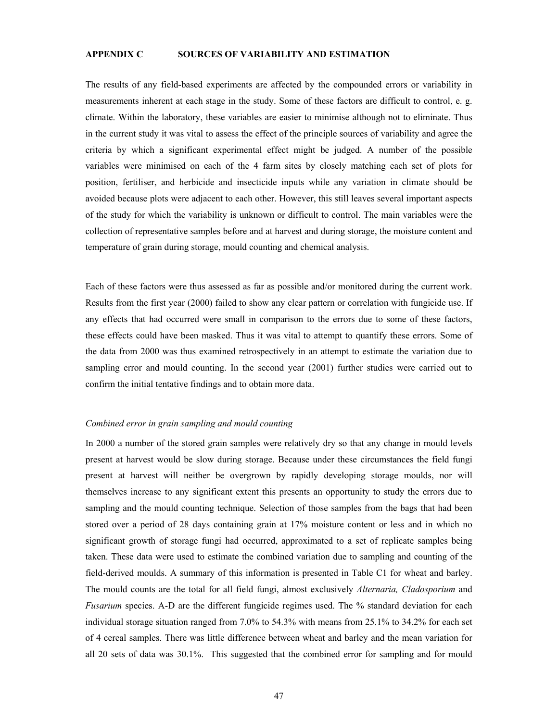#### **APPENDIX C SOURCES OF VARIABILITY AND ESTIMATION**

The results of any field-based experiments are affected by the compounded errors or variability in measurements inherent at each stage in the study. Some of these factors are difficult to control, e. g. climate. Within the laboratory, these variables are easier to minimise although not to eliminate. Thus in the current study it was vital to assess the effect of the principle sources of variability and agree the criteria by which a significant experimental effect might be judged. A number of the possible variables were minimised on each of the 4 farm sites by closely matching each set of plots for position, fertiliser, and herbicide and insecticide inputs while any variation in climate should be avoided because plots were adjacent to each other. However, this still leaves several important aspects of the study for which the variability is unknown or difficult to control. The main variables were the collection of representative samples before and at harvest and during storage, the moisture content and temperature of grain during storage, mould counting and chemical analysis.

Each of these factors were thus assessed as far as possible and/or monitored during the current work. Results from the first year (2000) failed to show any clear pattern or correlation with fungicide use. If any effects that had occurred were small in comparison to the errors due to some of these factors, these effects could have been masked. Thus it was vital to attempt to quantify these errors. Some of the data from 2000 was thus examined retrospectively in an attempt to estimate the variation due to sampling error and mould counting. In the second year (2001) further studies were carried out to confirm the initial tentative findings and to obtain more data.

#### *Combined error in grain sampling and mould counting*

In 2000 a number of the stored grain samples were relatively dry so that any change in mould levels present at harvest would be slow during storage. Because under these circumstances the field fungi present at harvest will neither be overgrown by rapidly developing storage moulds, nor will themselves increase to any significant extent this presents an opportunity to study the errors due to sampling and the mould counting technique. Selection of those samples from the bags that had been stored over a period of 28 days containing grain at 17% moisture content or less and in which no significant growth of storage fungi had occurred, approximated to a set of replicate samples being taken. These data were used to estimate the combined variation due to sampling and counting of the field-derived moulds. A summary of this information is presented in Table C1 for wheat and barley. The mould counts are the total for all field fungi, almost exclusively *Alternaria, Cladosporium* and *Fusarium* species. A-D are the different fungicide regimes used. The % standard deviation for each individual storage situation ranged from 7.0% to 54.3% with means from 25.1% to 34.2% for each set of 4 cereal samples. There was little difference between wheat and barley and the mean variation for all 20 sets of data was 30.1%. This suggested that the combined error for sampling and for mould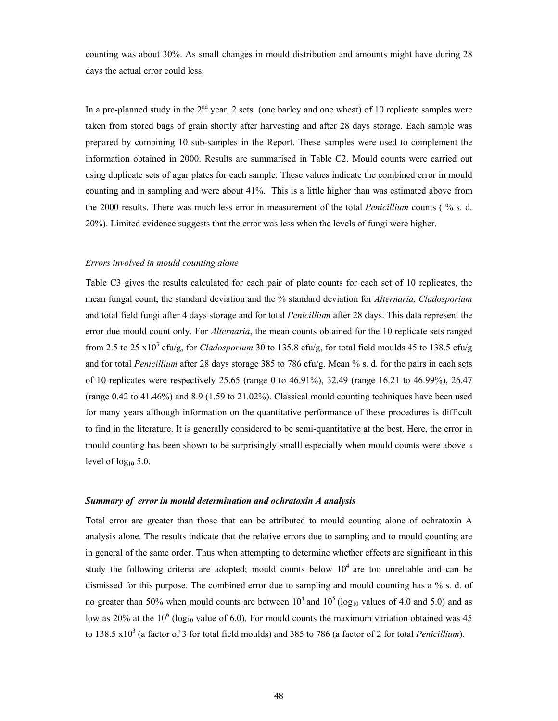counting was about 30%. As small changes in mould distribution and amounts might have during 28 days the actual error could less.

In a pre-planned study in the  $2<sup>nd</sup>$  year, 2 sets (one barley and one wheat) of 10 replicate samples were taken from stored bags of grain shortly after harvesting and after 28 days storage. Each sample was prepared by combining 10 sub-samples in the Report. These samples were used to complement the information obtained in 2000. Results are summarised in Table C2. Mould counts were carried out using duplicate sets of agar plates for each sample. These values indicate the combined error in mould counting and in sampling and were about 41%. This is a little higher than was estimated above from the 2000 results. There was much less error in measurement of the total *Penicillium* counts ( % s. d. 20%). Limited evidence suggests that the error was less when the levels of fungi were higher.

#### *Errors involved in mould counting alone*

Table C3 gives the results calculated for each pair of plate counts for each set of 10 replicates, the mean fungal count, the standard deviation and the % standard deviation for *Alternaria, Cladosporium* and total field fungi after 4 days storage and for total *Penicillium* after 28 days. This data represent the error due mould count only. For *Alternaria*, the mean counts obtained for the 10 replicate sets ranged from 2.5 to 25  $x10^3$  cfu/g, for *Cladosporium* 30 to 135.8 cfu/g, for total field moulds 45 to 138.5 cfu/g and for total *Penicillium* after 28 days storage 385 to 786 cfu/g. Mean % s. d. for the pairs in each sets of 10 replicates were respectively 25.65 (range 0 to 46.91%), 32.49 (range 16.21 to 46.99%), 26.47 (range 0.42 to 41.46%) and 8.9 (1.59 to 21.02%). Classical mould counting techniques have been used for many years although information on the quantitative performance of these procedures is difficult to find in the literature. It is generally considered to be semi-quantitative at the best. Here, the error in mould counting has been shown to be surprisingly smalll especially when mould counts were above a level of  $log_{10} 5.0$ .

#### *Summary of error in mould determination and ochratoxin A analysis*

Total error are greater than those that can be attributed to mould counting alone of ochratoxin A analysis alone. The results indicate that the relative errors due to sampling and to mould counting are in general of the same order. Thus when attempting to determine whether effects are significant in this study the following criteria are adopted; mould counts below  $10<sup>4</sup>$  are too unreliable and can be dismissed for this purpose. The combined error due to sampling and mould counting has a % s. d. of no greater than 50% when mould counts are between  $10^4$  and  $10^5$  (log<sub>10</sub> values of 4.0 and 5.0) and as low as 20% at the 10<sup>6</sup> (log<sub>10</sub> value of 6.0). For mould counts the maximum variation obtained was 45 to 138.5 x10<sup>3</sup> (a factor of 3 for total field moulds) and 385 to 786 (a factor of 2 for total *Penicillium*).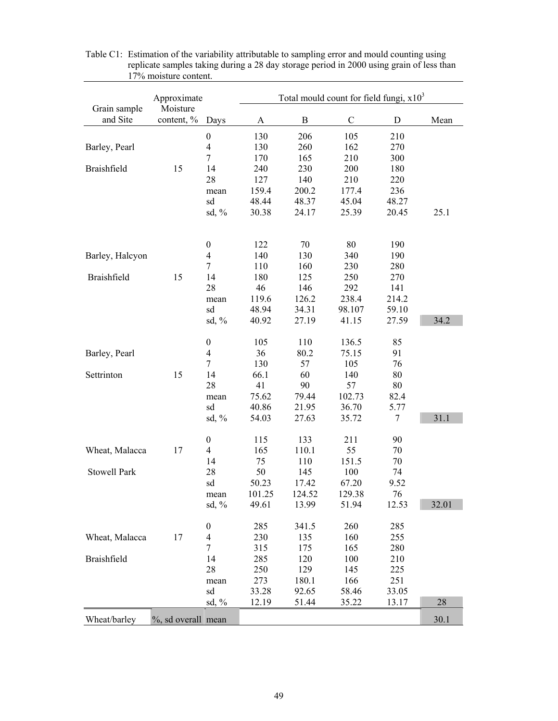|                          | Approximate            | Total mould count for field fungi, $x103$ |        |              |             |             |       |  |
|--------------------------|------------------------|-------------------------------------------|--------|--------------|-------------|-------------|-------|--|
| Grain sample<br>and Site | Moisture<br>content, % | Days                                      | A      | $\, {\bf B}$ | $\mathsf C$ | $\mathbf D$ | Mean  |  |
|                          |                        | $\boldsymbol{0}$                          | 130    | 206          | 105         | 210         |       |  |
| Barley, Pearl            |                        | $\overline{4}$                            | 130    | 260          | 162         | 270         |       |  |
|                          |                        | $\overline{7}$                            | 170    | 165          | 210         | 300         |       |  |
| Braishfield              | 15                     | 14                                        | 240    | 230          | 200         | 180         |       |  |
|                          |                        | 28                                        | 127    | 140          | 210         | 220         |       |  |
|                          |                        | mean                                      | 159.4  | 200.2        | 177.4       | 236         |       |  |
|                          |                        | sd                                        | 48.44  | 48.37        | 45.04       | 48.27       |       |  |
|                          |                        | sd, $%$                                   | 30.38  | 24.17        | 25.39       | 20.45       | 25.1  |  |
|                          |                        | $\boldsymbol{0}$                          | 122    | 70           | 80          | 190         |       |  |
| Barley, Halcyon          |                        | $\overline{\mathcal{A}}$                  | 140    | 130          | 340         | 190         |       |  |
|                          |                        | $\tau$                                    | 110    | 160          | 230         | 280         |       |  |
| Braishfield              | 15                     | 14                                        | 180    | 125          | 250         | 270         |       |  |
|                          |                        | 28                                        | 46     | 146          | 292         | 141         |       |  |
|                          |                        | mean                                      | 119.6  | 126.2        | 238.4       | 214.2       |       |  |
|                          |                        | sd                                        | 48.94  | 34.31        | 98.107      | 59.10       |       |  |
|                          |                        | sd, $%$                                   | 40.92  | 27.19        | 41.15       | 27.59       | 34.2  |  |
|                          |                        |                                           |        |              |             |             |       |  |
|                          |                        | $\boldsymbol{0}$                          | 105    | 110          | 136.5       | 85          |       |  |
| Barley, Pearl            |                        | $\overline{4}$                            | 36     | 80.2         | 75.15       | 91          |       |  |
|                          |                        | $\tau$                                    | 130    | 57           | 105         | 76          |       |  |
| Settrinton               | 15                     | 14                                        | 66.1   | 60           | 140         | 80          |       |  |
|                          |                        | 28                                        | 41     | 90           | 57          | 80          |       |  |
|                          |                        | mean                                      | 75.62  | 79.44        | 102.73      | 82.4        |       |  |
|                          |                        | sd                                        | 40.86  | 21.95        | 36.70       | 5.77        |       |  |
|                          |                        | sd, %                                     | 54.03  | 27.63        | 35.72       | 7           | 31.1  |  |
|                          |                        | $\boldsymbol{0}$                          | 115    | 133          | 211         | 90          |       |  |
| Wheat, Malacca           | 17                     | $\overline{4}$                            | 165    | 110.1        | 55          | 70          |       |  |
|                          |                        | 14                                        | 75     | 110          | 151.5       | 70          |       |  |
| Stowell Park             |                        | 28                                        | 50     | 145          | 100         | 74          |       |  |
|                          |                        | sd                                        | 50.23  | 17.42        | 67.20       | 9.52        |       |  |
|                          |                        | mean                                      | 101.25 | 124.52       | 129.38      | 76          |       |  |
|                          |                        | sd, $%$                                   | 49.61  | 13.99        | 51.94       | 12.53       | 32.01 |  |
|                          |                        | $\boldsymbol{0}$                          | 285    | 341.5        | 260         | 285         |       |  |
| Wheat, Malacca           | 17                     | 4                                         | 230    | 135          | 160         | 255         |       |  |
|                          |                        | $\tau$                                    | 315    | 175          | 165         | 280         |       |  |
| Braishfield              |                        | 14                                        | 285    | 120          | 100         | 210         |       |  |
|                          |                        | 28                                        | 250    | 129          | 145         | 225         |       |  |
|                          |                        | mean                                      | 273    | 180.1        | 166         | 251         |       |  |
|                          |                        | sd                                        | 33.28  | 92.65        | 58.46       | 33.05       |       |  |
|                          |                        | sd, $%$                                   | 12.19  | 51.44        | 35.22       | 13.17       | 28    |  |
| Wheat/barley             | %, sd overall mean     |                                           |        |              |             |             | 30.1  |  |

Table C1: Estimation of the variability attributable to sampling error and mould counting using replicate samples taking during a 28 day storage period in 2000 using grain of less than 17% moisture content.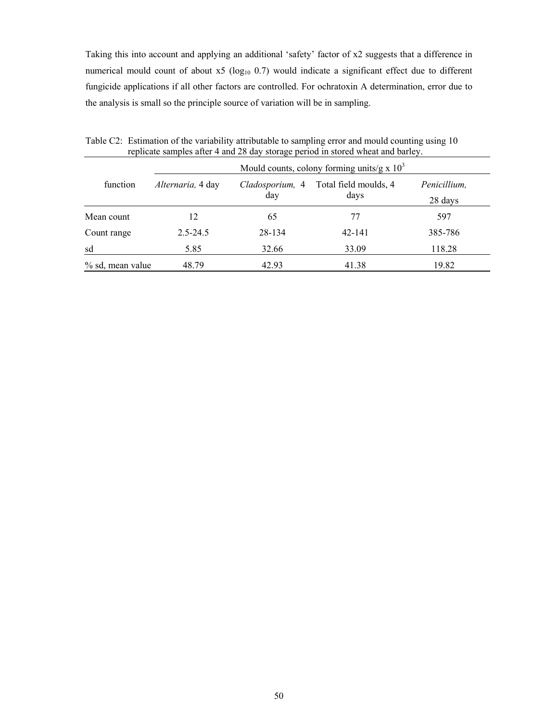Taking this into account and applying an additional 'safety' factor of x2 suggests that a difference in numerical mould count of about  $x5$  (log<sub>10</sub> 0.7) would indicate a significant effect due to different fungicide applications if all other factors are controlled. For ochratoxin A determination, error due to the analysis is small so the principle source of variation will be in sampling.

|                  | Mould counts, colony forming units/g x $103$ |                        |                               |                         |  |  |  |  |  |
|------------------|----------------------------------------------|------------------------|-------------------------------|-------------------------|--|--|--|--|--|
| function         | Alternaria, 4 day                            | Cladosporium, 4<br>day | Total field moulds, 4<br>days | Penicillium,<br>28 days |  |  |  |  |  |
| Mean count       | 12                                           | 65                     | 77                            | 597                     |  |  |  |  |  |
| Count range      | $2.5 - 24.5$                                 | 28-134                 | $42 - 141$                    | 385-786                 |  |  |  |  |  |
| sd               | 5.85                                         | 32.66                  | 33.09                         | 118.28                  |  |  |  |  |  |
| % sd, mean value | 48.79                                        | 42.93                  | 41.38                         | 19.82                   |  |  |  |  |  |

Table C2: Estimation of the variability attributable to sampling error and mould counting using 10 replicate samples after 4 and 28 day storage period in stored wheat and barley.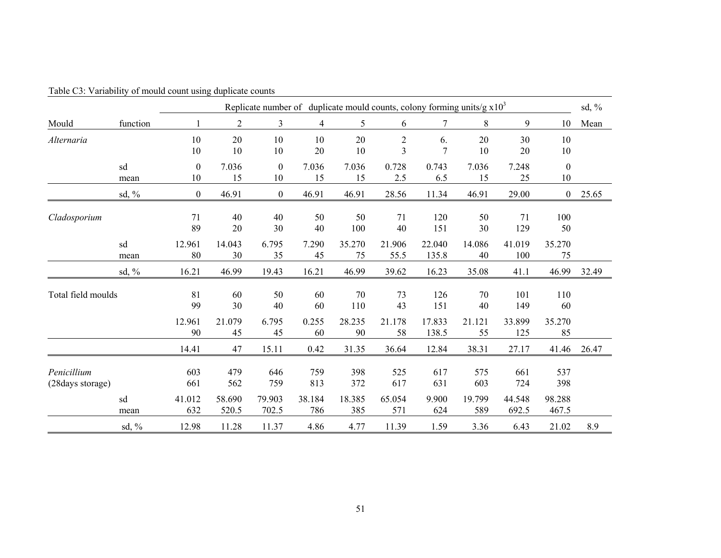|                                  | Replicate number of duplicate mould counts, colony forming units/g $x103$ |                        |                    |                    |                   |                     |                     |                      | sd, $\%$           |                      |                        |       |
|----------------------------------|---------------------------------------------------------------------------|------------------------|--------------------|--------------------|-------------------|---------------------|---------------------|----------------------|--------------------|----------------------|------------------------|-------|
| Mould                            | function                                                                  |                        | $\overline{2}$     | $\mathfrak{Z}$     | 4                 | 5                   | 6                   | 7                    | 8                  | 9                    | 10                     | Mean  |
| Alternaria                       |                                                                           | 10<br>10               | 20<br>10           | 10<br>10           | 10<br>20          | 20<br>10            | $\overline{c}$<br>3 | 6.<br>$\overline{7}$ | 20<br>10           | 30<br>20             | 10<br>10               |       |
|                                  | sd<br>mean                                                                | $\boldsymbol{0}$<br>10 | 7.036<br>15        | $\mathbf{0}$<br>10 | 7.036<br>15       | 7.036<br>15         | 0.728<br>2.5        | 0.743<br>6.5         | 7.036<br>15        | 7.248<br>25          | $\boldsymbol{0}$<br>10 |       |
|                                  | sd, $%$                                                                   | $\boldsymbol{0}$       | 46.91              | $\boldsymbol{0}$   | 46.91             | 46.91               | 28.56               | 11.34                | 46.91              | 29.00                | $\boldsymbol{0}$       | 25.65 |
| Cladosporium                     |                                                                           | 71<br>89               | 40<br>20           | 40<br>30           | 50<br>40          | 50<br>100           | 71<br>40            | 120<br>151           | 50<br>30           | 71<br>129            | 100<br>50              |       |
|                                  | sd<br>mean                                                                | 12.961<br>80           | 14.043<br>30       | 6.795<br>35        | 7.290<br>45       | 35.270<br>75        | 21.906<br>55.5      | 22.040<br>135.8      | 14.086<br>40       | 41.019<br>100        | 35.270<br>75           |       |
|                                  | $sd, \%$                                                                  | 16.21                  | 46.99              | 19.43              | 16.21             | 46.99               | 39.62               | 16.23                | 35.08              | 41.1                 | 46.99                  | 32.49 |
| Total field moulds               |                                                                           | 81<br>99<br>12.961     | 60<br>30<br>21.079 | 50<br>40<br>6.795  | 60<br>60<br>0.255 | 70<br>110<br>28.235 | 73<br>43<br>21.178  | 126<br>151<br>17.833 | 70<br>40<br>21.121 | 101<br>149<br>33.899 | 110<br>60<br>35.270    |       |
|                                  |                                                                           | 90<br>14.41            | 45<br>47           | 45<br>15.11        | 60<br>0.42        | 90<br>31.35         | 58<br>36.64         | 138.5<br>12.84       | 55<br>38.31        | 125<br>27.17         | 85<br>41.46            | 26.47 |
| Penicillium<br>(28 days storage) |                                                                           | 603<br>661             | 479<br>562         | 646<br>759         | 759<br>813        | 398<br>372          | 525<br>617          | 617<br>631           | 575<br>603         | 661<br>724           | 537<br>398             |       |
|                                  | sd<br>mean                                                                | 41.012<br>632          | 58.690<br>520.5    | 79.903<br>702.5    | 38.184<br>786     | 18.385<br>385       | 65.054<br>571       | 9.900<br>624         | 19.799<br>589      | 44.548<br>692.5      | 98.288<br>467.5        |       |
|                                  | sd, $%$                                                                   | 12.98                  | 11.28              | 11.37              | 4.86              | 4.77                | 11.39               | 1.59                 | 3.36               | 6.43                 | 21.02                  | 8.9   |

Table C3: Variability of mould count using duplicate counts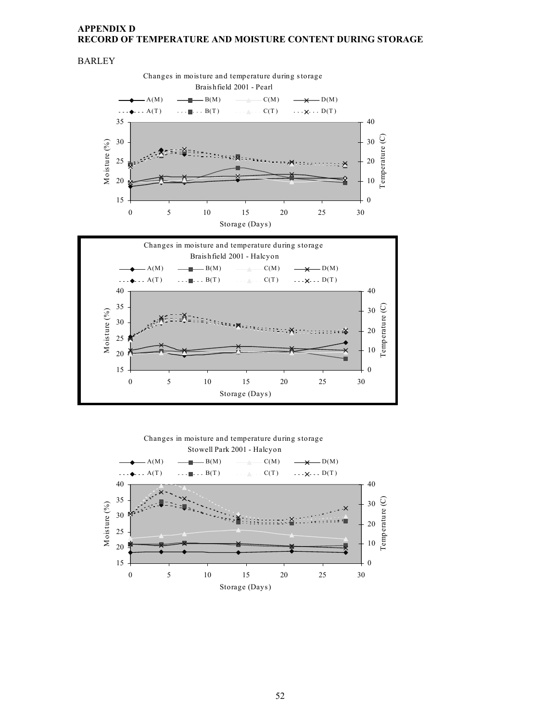## **APPENDIX D RECORD OF TEMPERATURE AND MOISTURE CONTENT DURING STORAGE**





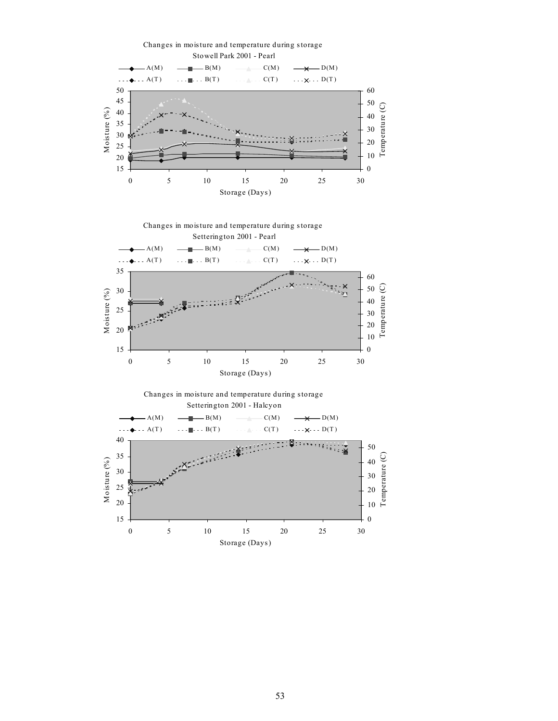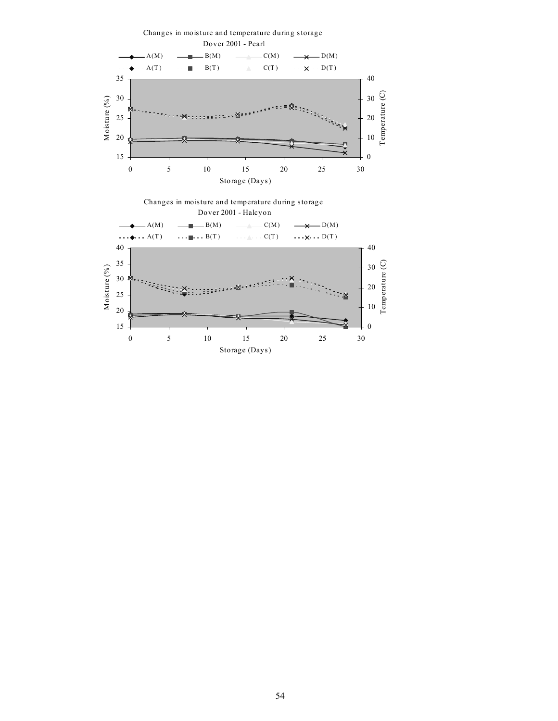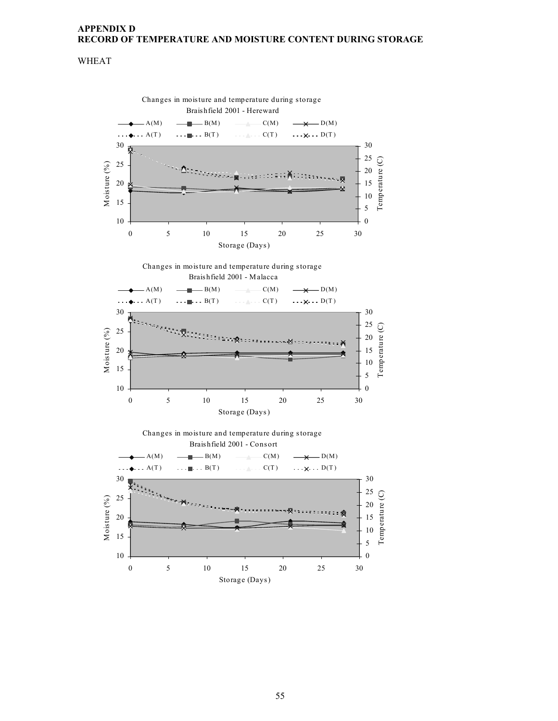## **APPENDIX D RECORD OF TEMPERATURE AND MOISTURE CONTENT DURING STORAGE**

## WHEAT

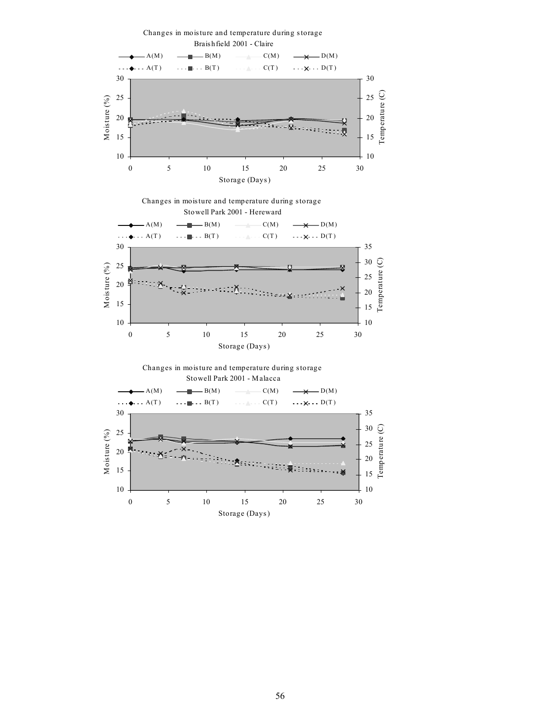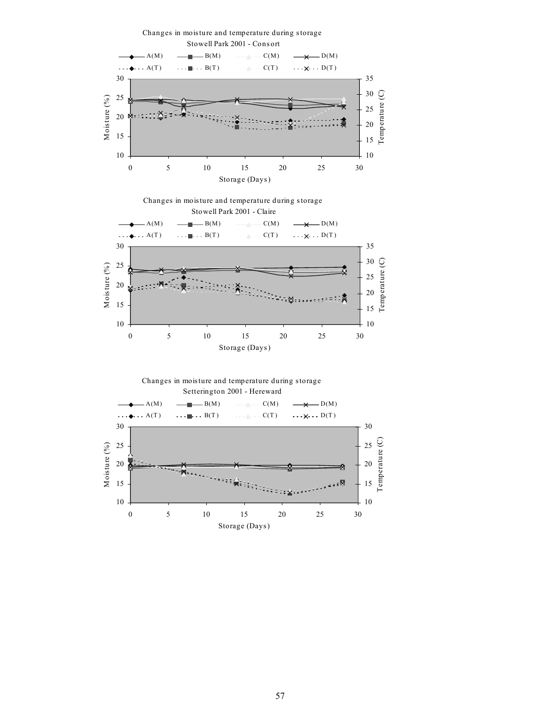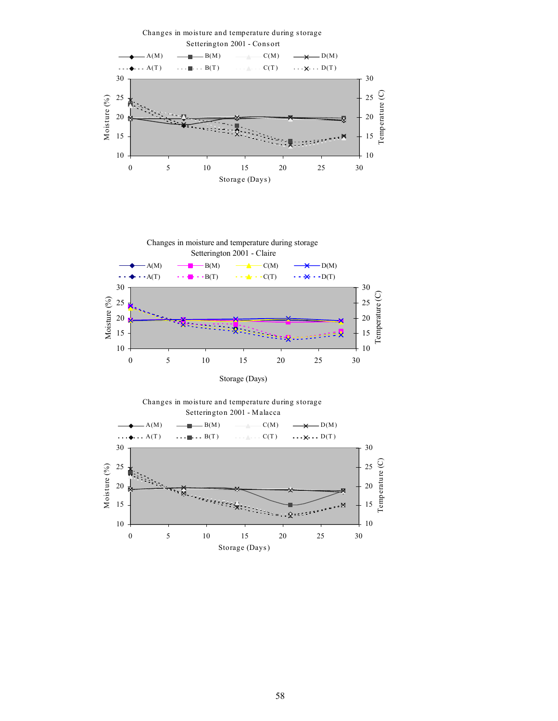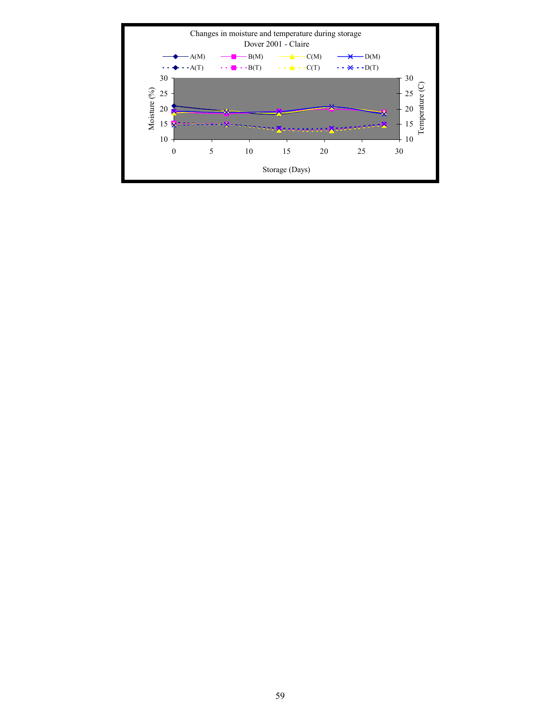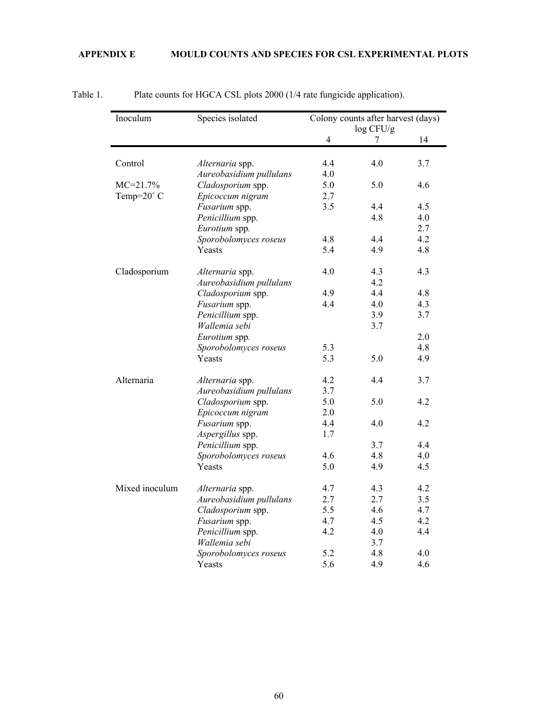## **APPENDIX E MOULD COUNTS AND SPECIES FOR CSL EXPERIMENTAL PLOTS**

| Inoculum       | Species isolated        | Colony counts after harvest (days)<br>log CFU/g |     |     |  |
|----------------|-------------------------|-------------------------------------------------|-----|-----|--|
|                |                         | $\overline{4}$                                  |     | 14  |  |
| Control        | Alternaria spp.         | 4.4                                             | 4.0 | 3.7 |  |
|                | Aureobasidium pullulans | 4.0                                             |     |     |  |
| $MC = 21.7%$   | Cladosporium spp.       | 5.0                                             | 5.0 | 4.6 |  |
| Temp=20° C     | Epicoccum nigram        | 2.7                                             |     |     |  |
|                | Fusarium spp.           | 3.5                                             | 4.4 | 4.5 |  |
|                | Penicillium spp.        |                                                 | 4.8 | 4.0 |  |
|                | Eurotium spp.           |                                                 |     | 2.7 |  |
|                | Sporobolomyces roseus   | 4.8                                             | 4.4 | 4.2 |  |
|                | Yeasts                  | 5.4                                             | 4.9 | 4.8 |  |
|                |                         |                                                 |     |     |  |
| Cladosporium   | Alternaria spp.         | 4.0                                             | 4.3 | 4.3 |  |
|                | Aureobasidium pullulans |                                                 | 4.2 |     |  |
|                | Cladosporium spp.       | 4.9                                             | 4.4 | 4.8 |  |
|                | Fusarium spp.           | 4.4                                             | 4.0 | 4.3 |  |
|                | Penicillium spp.        |                                                 | 3.9 | 3.7 |  |
|                | Wallemia sebi           |                                                 | 3.7 |     |  |
|                | Eurotium spp.           |                                                 |     | 2.0 |  |
|                | Sporobolomyces roseus   | 5.3                                             |     | 4.8 |  |
|                | Yeasts                  | 5.3                                             | 5.0 | 4.9 |  |
| Alternaria     | Alternaria spp.         | 4.2                                             | 4.4 | 3.7 |  |
|                | Aureobasidium pullulans | 3.7                                             |     |     |  |
|                | Cladosporium spp.       | 5.0                                             | 5.0 | 4.2 |  |
|                | Epicoccum nigram        | 2.0                                             |     |     |  |
|                | Fusarium spp.           | 4.4                                             | 4.0 | 4.2 |  |
|                | Aspergillus spp.        | 1.7                                             |     |     |  |
|                | Penicillium spp.        |                                                 | 3.7 | 4.4 |  |
|                | Sporobolomyces roseus   | 4.6                                             | 4.8 | 4.0 |  |
|                | Yeasts                  | 5.0                                             | 4.9 | 4.5 |  |
| Mixed inoculum | Alternaria spp.         | 4.7                                             | 4.3 | 4.2 |  |
|                | Aureobasidium pullulans | 2.7                                             | 2.7 | 3.5 |  |
|                | Cladosporium spp.       | 5.5                                             | 4.6 | 4.7 |  |
|                | Fusarium spp.           | 4.7                                             | 4.5 | 4.2 |  |
|                | Penicillium spp.        | 4.2                                             | 4.0 | 4.4 |  |
|                | Wallemia sebi           |                                                 | 3.7 |     |  |
|                | Sporobolomyces roseus   | 5.2                                             | 4.8 | 4.0 |  |
|                | Yeasts                  | 5.6                                             | 4.9 | 4.6 |  |

## Table 1. Plate counts for HGCA CSL plots 2000 (1/4 rate fungicide application).